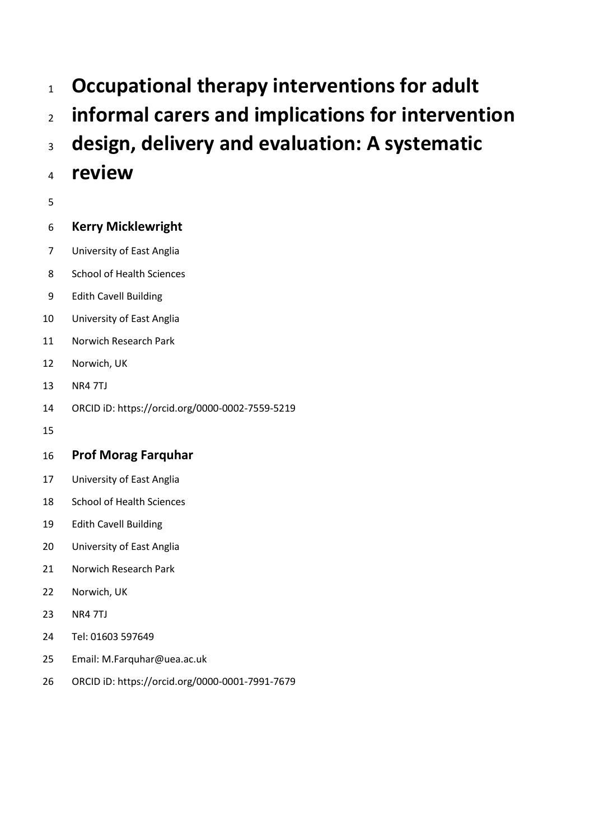- **Occupational therapy interventions for adult**
- **informal carers and implications for intervention**
- **design, delivery and evaluation: A systematic**
- **review**
- 

# **Kerry Micklewright**

- University of East Anglia
- School of Health Sciences
- Edith Cavell Building
- University of East Anglia
- Norwich Research Park
- Norwich, UK
- NR4 7TJ
- ORCID iD: https://orcid.org/0000-0002-7559-5219
- 

# **Prof Morag Farquhar**

- University of East Anglia
- School of Health Sciences
- Edith Cavell Building
- University of East Anglia
- Norwich Research Park
- Norwich, UK
- NR4 7TJ
- Tel: 01603 597649
- Email: M.Farquhar@uea.ac.uk
- ORCID iD: https://orcid.org/0000-0001-7991-7679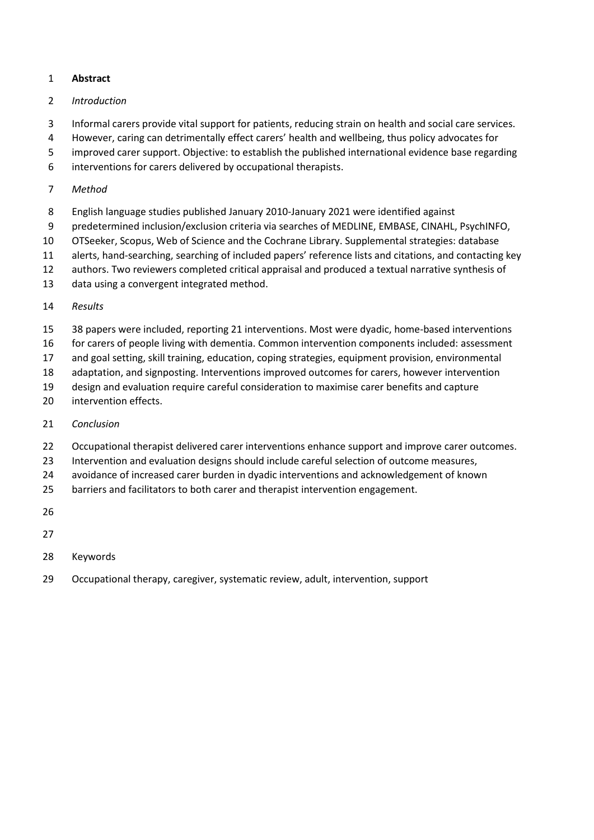# **Abstract**

## *Introduction*

- Informal carers provide vital support for patients, reducing strain on health and social care services.
- However, caring can detrimentally effect carers' health and wellbeing, thus policy advocates for
- improved carer support. Objective: to establish the published international evidence base regarding
- interventions for carers delivered by occupational therapists.

## *Method*

- English language studies published January 2010-January 2021 were identified against
- predetermined inclusion/exclusion criteria via searches of MEDLINE, EMBASE, CINAHL, PsychINFO,
- OTSeeker, Scopus, Web of Science and the Cochrane Library. Supplemental strategies: database
- alerts, hand-searching, searching of included papers' reference lists and citations, and contacting key
- authors. Two reviewers completed critical appraisal and produced a textual narrative synthesis of
- data using a convergent integrated method.

# *Results*

- 38 papers were included, reporting 21 interventions. Most were dyadic, home-based interventions
- for carers of people living with dementia. Common intervention components included: assessment
- and goal setting, skill training, education, coping strategies, equipment provision, environmental
- adaptation, and signposting. Interventions improved outcomes for carers, however intervention
- design and evaluation require careful consideration to maximise carer benefits and capture
- intervention effects.
- *Conclusion*
- 22 Occupational therapist delivered carer interventions enhance support and improve carer outcomes.
- Intervention and evaluation designs should include careful selection of outcome measures,
- avoidance of increased carer burden in dyadic interventions and acknowledgement of known
- barriers and facilitators to both carer and therapist intervention engagement.
- 
- 
- Keywords
- Occupational therapy, caregiver, systematic review, adult, intervention, support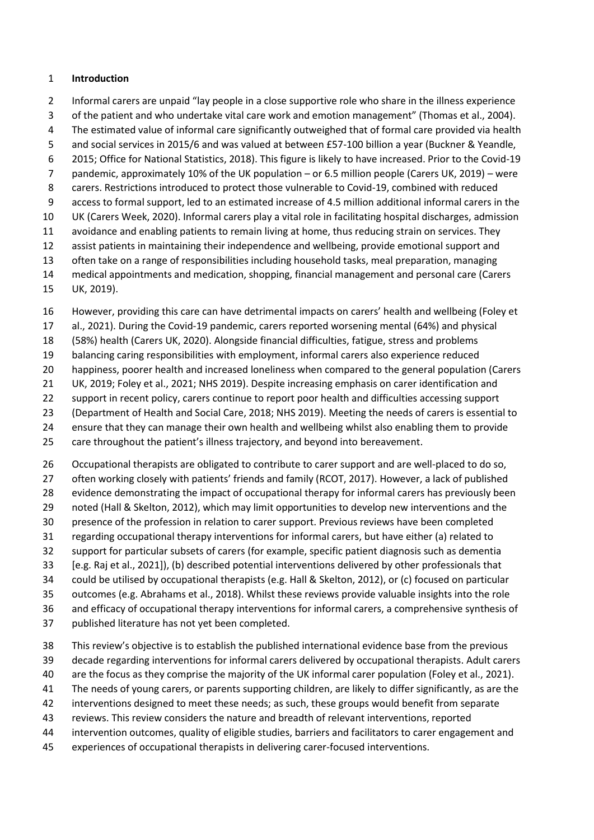## **Introduction**

 Informal carers are unpaid "lay people in a close supportive role who share in the illness experience of the patient and who undertake vital care work and emotion management" (Thomas et al., 2004). The estimated value of informal care significantly outweighed that of formal care provided via health and social services in 2015/6 and was valued at between £57-100 billion a year (Buckner & Yeandle, 2015; Office for National Statistics, 2018). This figure is likely to have increased. Prior to the Covid-19 pandemic, approximately 10% of the UK population – or 6.5 million people (Carers UK, 2019) – were carers. Restrictions introduced to protect those vulnerable to Covid-19, combined with reduced access to formal support, led to an estimated increase of 4.5 million additional informal carers in the UK (Carers Week, 2020). Informal carers play a vital role in facilitating hospital discharges, admission avoidance and enabling patients to remain living at home, thus reducing strain on services. They assist patients in maintaining their independence and wellbeing, provide emotional support and often take on a range of responsibilities including household tasks, meal preparation, managing medical appointments and medication, shopping, financial management and personal care (Carers

UK, 2019).

However, providing this care can have detrimental impacts on carers' health and wellbeing (Foley et

al., 2021). During the Covid-19 pandemic, carers reported worsening mental (64%) and physical

(58%) health (Carers UK, 2020). Alongside financial difficulties, fatigue, stress and problems

balancing caring responsibilities with employment, informal carers also experience reduced

happiness, poorer health and increased loneliness when compared to the general population (Carers

UK, 2019; Foley et al., 2021; NHS 2019). Despite increasing emphasis on carer identification and

support in recent policy, carers continue to report poor health and difficulties accessing support

(Department of Health and Social Care, 2018; NHS 2019). Meeting the needs of carers is essential to

ensure that they can manage their own health and wellbeing whilst also enabling them to provide

care throughout the patient's illness trajectory, and beyond into bereavement.

 Occupational therapists are obligated to contribute to carer support and are well-placed to do so, often working closely with patients' friends and family (RCOT, 2017). However, a lack of published evidence demonstrating the impact of occupational therapy for informal carers has previously been noted (Hall & Skelton, 2012), which may limit opportunities to develop new interventions and the presence of the profession in relation to carer support. Previous reviews have been completed regarding occupational therapy interventions for informal carers, but have either (a) related to support for particular subsets of carers (for example, specific patient diagnosis such as dementia [e.g. Raj et al., 2021]), (b) described potential interventions delivered by other professionals that

could be utilised by occupational therapists (e.g. Hall & Skelton, 2012), or (c) focused on particular

 outcomes (e.g. Abrahams et al., 2018). Whilst these reviews provide valuable insights into the role and efficacy of occupational therapy interventions for informal carers, a comprehensive synthesis of

- 
- published literature has not yet been completed.
- This review's objective is to establish the published international evidence base from the previous

decade regarding interventions for informal carers delivered by occupational therapists. Adult carers

- are the focus as they comprise the majority of the UK informal carer population (Foley et al., 2021).
- The needs of young carers, or parents supporting children, are likely to differ significantly, as are the
- interventions designed to meet these needs; as such, these groups would benefit from separate
- reviews. This review considers the nature and breadth of relevant interventions, reported
- intervention outcomes, quality of eligible studies, barriers and facilitators to carer engagement and
- experiences of occupational therapists in delivering carer-focused interventions.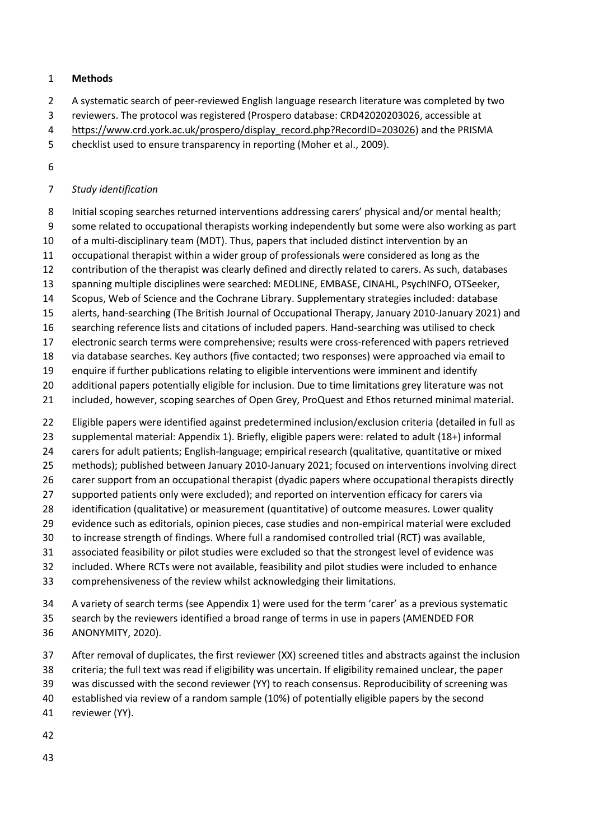## **Methods**

- A systematic search of peer-reviewed English language research literature was completed by two
- reviewers. The protocol was registered (Prospero database: CRD42020203026, accessible at
- [https://www.crd.york.ac.uk/prospero/display\\_record.php?RecordID=203026\)](https://www.crd.york.ac.uk/prospero/display_record.php?RecordID=203026) and the PRISMA
- checklist used to ensure transparency in reporting (Moher et al., 2009).
- 

# *Study identification*

- 8 Initial scoping searches returned interventions addressing carers' physical and/or mental health;
- some related to occupational therapists working independently but some were also working as part

of a multi-disciplinary team (MDT). Thus, papers that included distinct intervention by an

- occupational therapist within a wider group of professionals were considered as long as the
- contribution of the therapist was clearly defined and directly related to carers. As such, databases
- spanning multiple disciplines were searched: MEDLINE, EMBASE, CINAHL, PsychINFO, OTSeeker,
- Scopus, Web of Science and the Cochrane Library. Supplementary strategies included: database
- alerts, hand-searching (The British Journal of Occupational Therapy, January 2010-January 2021) and
- searching reference lists and citations of included papers. Hand-searching was utilised to check
- electronic search terms were comprehensive; results were cross-referenced with papers retrieved
- via database searches. Key authors (five contacted; two responses) were approached via email to
- enquire if further publications relating to eligible interventions were imminent and identify
- 20 additional papers potentially eligible for inclusion. Due to time limitations grey literature was not
- included, however, scoping searches of Open Grey, ProQuest and Ethos returned minimal material.
- Eligible papers were identified against predetermined inclusion/exclusion criteria (detailed in full as
- supplemental material: Appendix 1). Briefly, eligible papers were: related to adult (18+) informal
- carers for adult patients; English-language; empirical research (qualitative, quantitative or mixed
- methods); published between January 2010-January 2021; focused on interventions involving direct
- carer support from an occupational therapist (dyadic papers where occupational therapists directly
- 27 supported patients only were excluded); and reported on intervention efficacy for carers via
- identification (qualitative) or measurement (quantitative) of outcome measures. Lower quality
- evidence such as editorials, opinion pieces, case studies and non-empirical material were excluded
- to increase strength of findings. Where full a randomised controlled trial (RCT) was available,
- associated feasibility or pilot studies were excluded so that the strongest level of evidence was
- included. Where RCTs were not available, feasibility and pilot studies were included to enhance
- comprehensiveness of the review whilst acknowledging their limitations.
- A variety of search terms (see Appendix 1) were used for the term 'carer' as a previous systematic
- search by the reviewers identified a broad range of terms in use in papers (AMENDED FOR
- ANONYMITY, 2020).
- After removal of duplicates, the first reviewer (XX) screened titles and abstracts against the inclusion
- criteria; the full text was read if eligibility was uncertain. If eligibility remained unclear, the paper
- was discussed with the second reviewer (YY) to reach consensus. Reproducibility of screening was
- established via review of a random sample (10%) of potentially eligible papers by the second
- reviewer (YY).
- 
-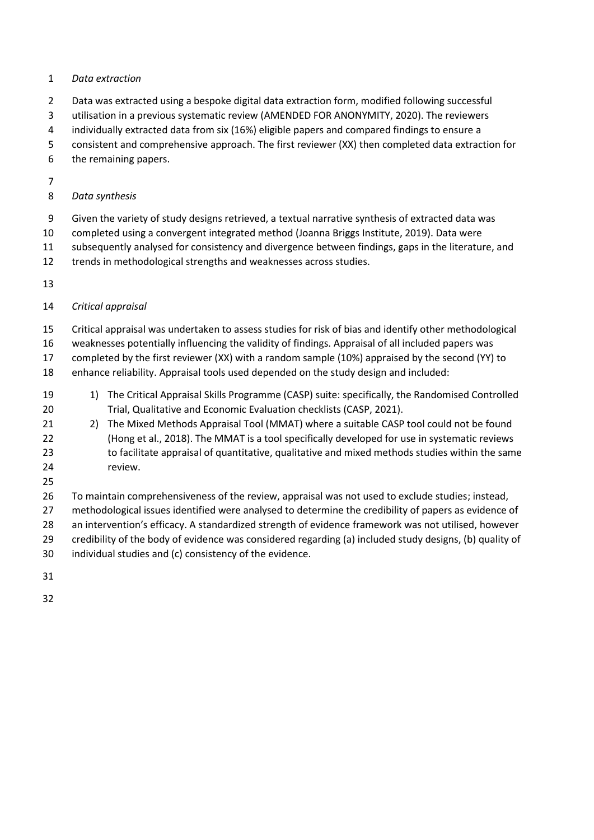## *Data extraction*

- Data was extracted using a bespoke digital data extraction form, modified following successful
- utilisation in a previous systematic review (AMENDED FOR ANONYMITY, 2020). The reviewers
- individually extracted data from six (16%) eligible papers and compared findings to ensure a
- consistent and comprehensive approach. The first reviewer (XX) then completed data extraction for
- the remaining papers.
- 

# *Data synthesis*

- Given the variety of study designs retrieved, a textual narrative synthesis of extracted data was
- completed using a convergent integrated method (Joanna Briggs Institute, 2019). Data were
- subsequently analysed for consistency and divergence between findings, gaps in the literature, and
- 12 trends in methodological strengths and weaknesses across studies.
- 

# *Critical appraisal*

- Critical appraisal was undertaken to assess studies for risk of bias and identify other methodological
- weaknesses potentially influencing the validity of findings. Appraisal of all included papers was
- completed by the first reviewer (XX) with a random sample (10%) appraised by the second (YY) to
- enhance reliability. Appraisal tools used depended on the study design and included:
- 1) The Critical Appraisal Skills Programme (CASP) suite: specifically, the Randomised Controlled Trial, Qualitative and Economic Evaluation checklists (CASP, 2021).
- 21 2) The Mixed Methods Appraisal Tool (MMAT) where a suitable CASP tool could not be found (Hong et al., 2018). The MMAT is a tool specifically developed for use in systematic reviews to facilitate appraisal of quantitative, qualitative and mixed methods studies within the same review.
- 

 To maintain comprehensiveness of the review, appraisal was not used to exclude studies; instead, methodological issues identified were analysed to determine the credibility of papers as evidence of an intervention's efficacy. A standardized strength of evidence framework was not utilised, however credibility of the body of evidence was considered regarding (a) included study designs, (b) quality of individual studies and (c) consistency of the evidence.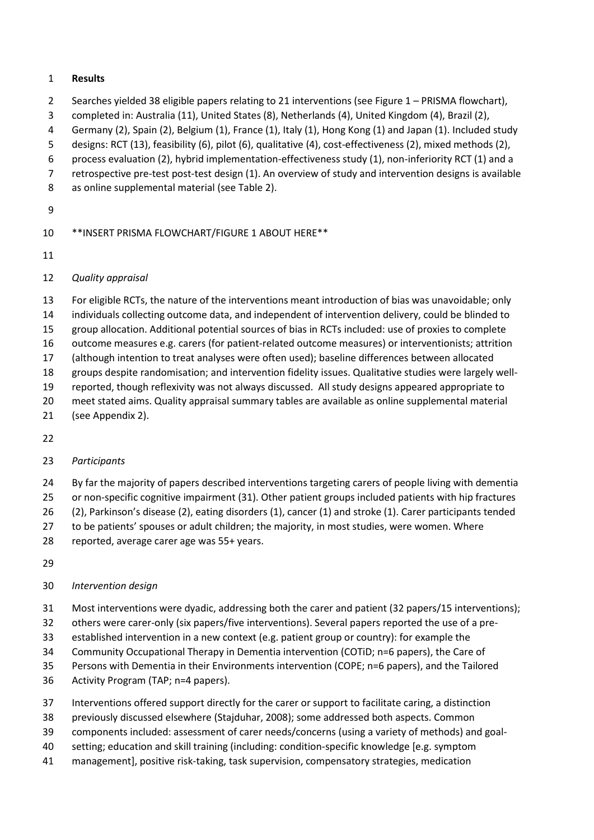# **Results**

- Searches yielded 38 eligible papers relating to 21 interventions (see Figure 1 PRISMA flowchart),
- completed in: Australia (11), United States (8), Netherlands (4), United Kingdom (4), Brazil (2),
- Germany (2), Spain (2), Belgium (1), France (1), Italy (1), Hong Kong (1) and Japan (1). Included study
- designs: RCT (13), feasibility (6), pilot (6), qualitative (4), cost-effectiveness (2), mixed methods (2),
- process evaluation (2), hybrid implementation-effectiveness study (1), non-inferiority RCT (1) and a
- retrospective pre-test post-test design (1). An overview of study and intervention designs is available
- as online supplemental material (see Table 2).
- 

# \*\*INSERT PRISMA FLOWCHART/FIGURE 1 ABOUT HERE\*\*

# *Quality appraisal*

- For eligible RCTs, the nature of the interventions meant introduction of bias was unavoidable; only
- individuals collecting outcome data, and independent of intervention delivery, could be blinded to
- group allocation. Additional potential sources of bias in RCTs included: use of proxies to complete
- outcome measures e.g. carers (for patient-related outcome measures) or interventionists; attrition
- (although intention to treat analyses were often used); baseline differences between allocated
- groups despite randomisation; and intervention fidelity issues. Qualitative studies were largely well-
- reported, though reflexivity was not always discussed. All study designs appeared appropriate to
- meet stated aims. Quality appraisal summary tables are available as online supplemental material (see Appendix 2).
- 

# *Participants*

- By far the majority of papers described interventions targeting carers of people living with dementia
- or non-specific cognitive impairment (31). Other patient groups included patients with hip fractures
- (2), Parkinson's disease (2), eating disorders (1), cancer (1) and stroke (1). Carer participants tended
- 27 to be patients' spouses or adult children; the majority, in most studies, were women. Where
- reported, average carer age was 55+ years.
- 

# *Intervention design*

- Most interventions were dyadic, addressing both the carer and patient (32 papers/15 interventions);
- others were carer-only (six papers/five interventions). Several papers reported the use of a pre-
- established intervention in a new context (e.g. patient group or country): for example the
- Community Occupational Therapy in Dementia intervention (COTiD; n=6 papers), the Care of
- Persons with Dementia in their Environments intervention (COPE; n=6 papers), and the Tailored
- Activity Program (TAP; n=4 papers).
- Interventions offered support directly for the carer or support to facilitate caring, a distinction
- previously discussed elsewhere (Stajduhar, 2008); some addressed both aspects. Common
- components included: assessment of carer needs/concerns (using a variety of methods) and goal-
- setting; education and skill training (including: condition-specific knowledge [e.g. symptom
- management], positive risk-taking, task supervision, compensatory strategies, medication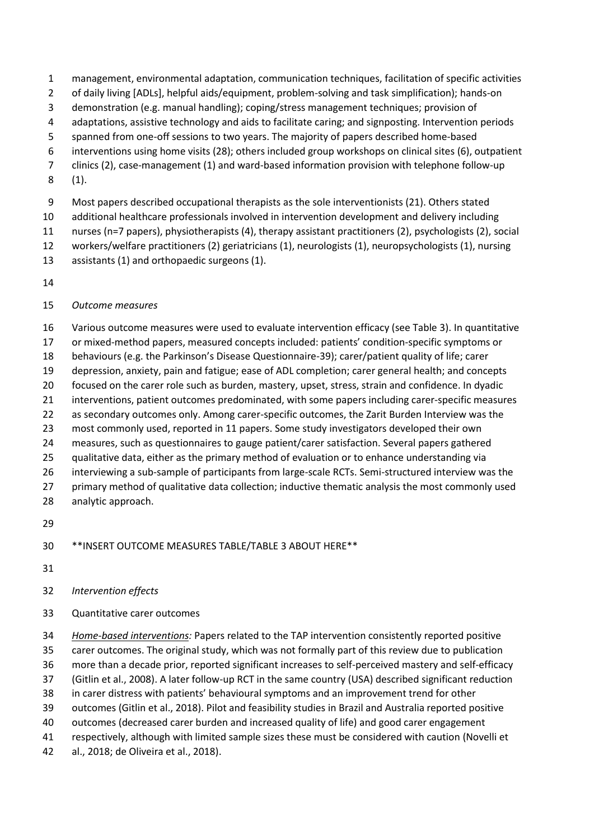- management, environmental adaptation, communication techniques, facilitation of specific activities
- of daily living [ADLs], helpful aids/equipment, problem-solving and task simplification); hands-on
- demonstration (e.g. manual handling); coping/stress management techniques; provision of
- adaptations, assistive technology and aids to facilitate caring; and signposting. Intervention periods
- spanned from one-off sessions to two years. The majority of papers described home-based
- interventions using home visits (28); others included group workshops on clinical sites (6), outpatient
- clinics (2), case-management (1) and ward-based information provision with telephone follow-up
- (1).
- Most papers described occupational therapists as the sole interventionists (21). Others stated
- additional healthcare professionals involved in intervention development and delivery including
- nurses (n=7 papers), physiotherapists (4), therapy assistant practitioners (2), psychologists (2), social
- workers/welfare practitioners (2) geriatricians (1), neurologists (1), neuropsychologists (1), nursing
- assistants (1) and orthopaedic surgeons (1).
- 

# *Outcome measures*

- Various outcome measures were used to evaluate intervention efficacy (see Table 3). In quantitative
- or mixed-method papers, measured concepts included: patients' condition-specific symptoms or
- behaviours (e.g. the Parkinson's Disease Questionnaire-39); carer/patient quality of life; carer
- depression, anxiety, pain and fatigue; ease of ADL completion; carer general health; and concepts focused on the carer role such as burden, mastery, upset, stress, strain and confidence. In dyadic
- interventions, patient outcomes predominated, with some papers including carer-specific measures
- as secondary outcomes only. Among carer-specific outcomes, the Zarit Burden Interview was the
- most commonly used, reported in 11 papers. Some study investigators developed their own
- measures, such as questionnaires to gauge patient/carer satisfaction. Several papers gathered
- qualitative data, either as the primary method of evaluation or to enhance understanding via
- interviewing a sub-sample of participants from large-scale RCTs. Semi-structured interview was the
- 27 primary method of qualitative data collection; inductive thematic analysis the most commonly used
- analytic approach.
- 

\*\*INSERT OUTCOME MEASURES TABLE/TABLE 3 ABOUT HERE\*\*

- 
- *Intervention effects*
- Quantitative carer outcomes

 *Home-based interventions:* Papers related to the TAP intervention consistently reported positive carer outcomes. The original study, which was not formally part of this review due to publication more than a decade prior, reported significant increases to self-perceived mastery and self-efficacy (Gitlin et al., 2008). A later follow-up RCT in the same country (USA) described significant reduction in carer distress with patients' behavioural symptoms and an improvement trend for other outcomes (Gitlin et al., 2018). Pilot and feasibility studies in Brazil and Australia reported positive outcomes (decreased carer burden and increased quality of life) and good carer engagement respectively, although with limited sample sizes these must be considered with caution (Novelli et

al., 2018; de Oliveira et al., 2018).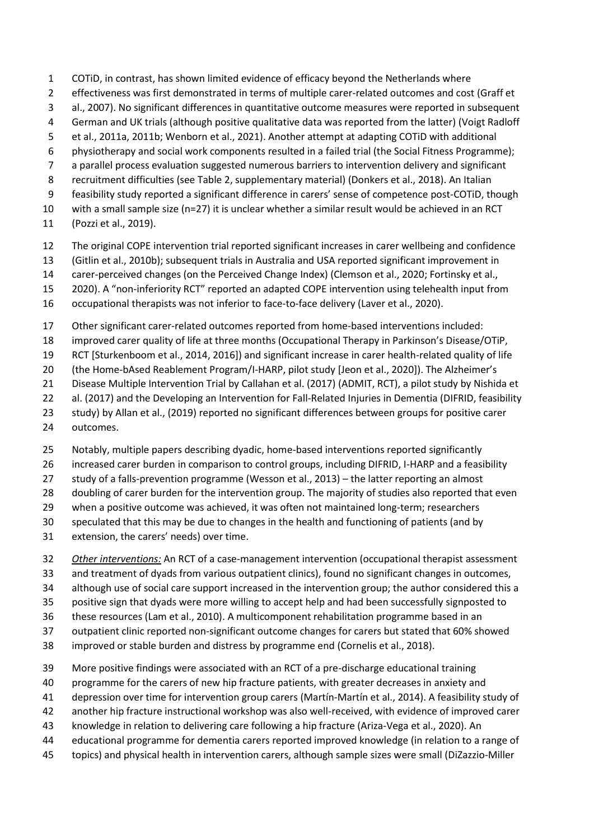- COTiD, in contrast, has shown limited evidence of efficacy beyond the Netherlands where
- effectiveness was first demonstrated in terms of multiple carer-related outcomes and cost (Graff et
- al., 2007). No significant differences in quantitative outcome measures were reported in subsequent
- German and UK trials (although positive qualitative data was reported from the latter) (Voigt Radloff
- et al., 2011a, 2011b; Wenborn et al., 2021). Another attempt at adapting COTiD with additional
- physiotherapy and social work components resulted in a failed trial (the Social Fitness Programme);
- a parallel process evaluation suggested numerous barriers to intervention delivery and significant
- recruitment difficulties (see Table 2, supplementary material) (Donkers et al., 2018). An Italian
- feasibility study reported a significant difference in carers' sense of competence post-COTiD, though
- with a small sample size (n=27) it is unclear whether a similar result would be achieved in an RCT
- (Pozzi et al., 2019).
- The original COPE intervention trial reported significant increases in carer wellbeing and confidence
- (Gitlin et al., 2010b); subsequent trials in Australia and USA reported significant improvement in
- carer-perceived changes (on the Perceived Change Index) (Clemson et al., 2020; Fortinsky et al.,
- 2020). A "non-inferiority RCT" reported an adapted COPE intervention using telehealth input from
- occupational therapists was not inferior to face-to-face delivery (Laver et al., 2020).
- Other significant carer-related outcomes reported from home-based interventions included:
- improved carer quality of life at three months (Occupational Therapy in Parkinson's Disease/OTiP,
- RCT [Sturkenboom et al., 2014, 2016]) and significant increase in carer health-related quality of life
- (the Home-bAsed Reablement Program/I-HARP, pilot study [Jeon et al., 2020]). The Alzheimer's
- Disease Multiple Intervention Trial by Callahan et al. (2017) (ADMIT, RCT), a pilot study by Nishida et
- al. (2017) and the Developing an Intervention for Fall-Related Injuries in Dementia (DIFRID, feasibility
- study) by Allan et al., (2019) reported no significant differences between groups for positive carer
- outcomes.
- Notably, multiple papers describing dyadic, home-based interventions reported significantly
- increased carer burden in comparison to control groups, including DIFRID, I-HARP and a feasibility
- study of a falls-prevention programme (Wesson et al., 2013) the latter reporting an almost
- doubling of carer burden for the intervention group. The majority of studies also reported that even
- when a positive outcome was achieved, it was often not maintained long-term; researchers
- speculated that this may be due to changes in the health and functioning of patients (and by
- extension, the carers' needs) over time.
- *Other interventions:* An RCT of a case-management intervention (occupational therapist assessment
- and treatment of dyads from various outpatient clinics), found no significant changes in outcomes,
- although use of social care support increased in the intervention group; the author considered this a
- positive sign that dyads were more willing to accept help and had been successfully signposted to
- these resources (Lam et al., 2010). A multicomponent rehabilitation programme based in an
- outpatient clinic reported non-significant outcome changes for carers but stated that 60% showed
- improved or stable burden and distress by programme end (Cornelis et al., 2018).
- More positive findings were associated with an RCT of a pre-discharge educational training
- programme for the carers of new hip fracture patients, with greater decreases in anxiety and
- depression over time for intervention group carers (Martín-Martín et al., 2014). A feasibility study of
- another hip fracture instructional workshop was also well-received, with evidence of improved carer
- knowledge in relation to delivering care following a hip fracture (Ariza-Vega et al., 2020). An
- educational programme for dementia carers reported improved knowledge (in relation to a range of
- topics) and physical health in intervention carers, although sample sizes were small (DiZazzio-Miller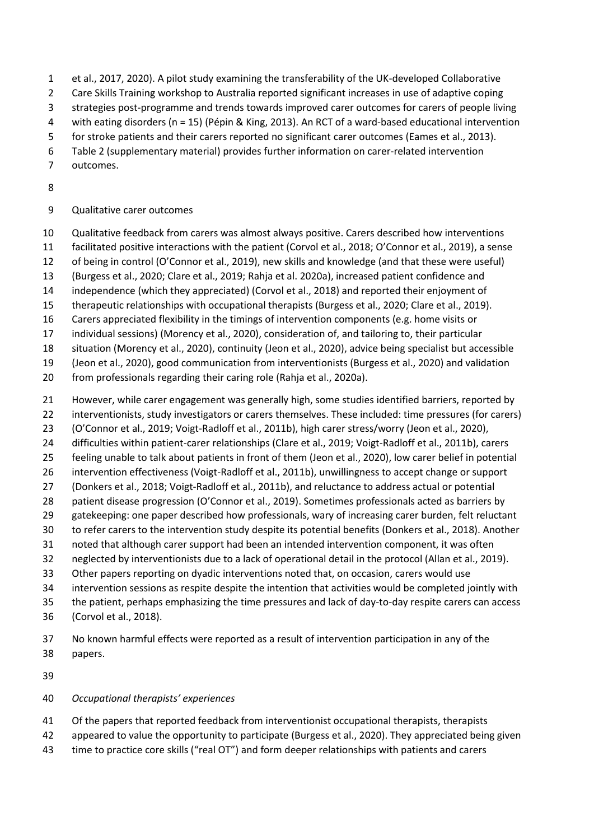- et al., 2017, 2020). A pilot study examining the transferability of the UK-developed Collaborative
- Care Skills Training workshop to Australia reported significant increases in use of adaptive coping
- strategies post-programme and trends towards improved carer outcomes for carers of people living
- with eating disorders (n = 15) (Pépin & King, 2013). An RCT of a ward-based educational intervention
- for stroke patients and their carers reported no significant carer outcomes (Eames et al., 2013).
- Table 2 (supplementary material) provides further information on carer-related intervention
- outcomes.
- 

# Qualitative carer outcomes

- Qualitative feedback from carers was almost always positive. Carers described how interventions
- facilitated positive interactions with the patient (Corvol et al., 2018; O'Connor et al., 2019), a sense
- of being in control (O'Connor et al., 2019), new skills and knowledge (and that these were useful)
- (Burgess et al., 2020; Clare et al., 2019; Rahja et al. 2020a), increased patient confidence and
- independence (which they appreciated) (Corvol et al., 2018) and reported their enjoyment of
- therapeutic relationships with occupational therapists (Burgess et al., 2020; Clare et al., 2019).
- Carers appreciated flexibility in the timings of intervention components (e.g. home visits or
- individual sessions) (Morency et al., 2020), consideration of, and tailoring to, their particular
- situation (Morency et al., 2020), continuity (Jeon et al., 2020), advice being specialist but accessible
- (Jeon et al., 2020), good communication from interventionists (Burgess et al., 2020) and validation
- from professionals regarding their caring role (Rahja et al., 2020a).
- However, while carer engagement was generally high, some studies identified barriers, reported by
- interventionists, study investigators or carers themselves. These included: time pressures (for carers)
- (O'Connor et al., 2019; Voigt-Radloff et al., 2011b), high carer stress/worry (Jeon et al., 2020),
- difficulties within patient-carer relationships (Clare et al., 2019; Voigt-Radloff et al., 2011b), carers
- feeling unable to talk about patients in front of them (Jeon et al., 2020), low carer belief in potential
- intervention effectiveness (Voigt-Radloff et al., 2011b), unwillingness to accept change or support
- (Donkers et al., 2018; Voigt-Radloff et al., 2011b), and reluctance to address actual or potential
- 28 patient disease progression (O'Connor et al., 2019). Sometimes professionals acted as barriers by
- gatekeeping: one paper described how professionals, wary of increasing carer burden, felt reluctant to refer carers to the intervention study despite its potential benefits (Donkers et al., 2018). Another
- noted that although carer support had been an intended intervention component, it was often
- neglected by interventionists due to a lack of operational detail in the protocol (Allan et al., 2019).
- Other papers reporting on dyadic interventions noted that, on occasion, carers would use
- intervention sessions as respite despite the intention that activities would be completed jointly with
- the patient, perhaps emphasizing the time pressures and lack of day-to-day respite carers can access
- (Corvol et al., 2018).
- No known harmful effects were reported as a result of intervention participation in any of the papers.
- 

# *Occupational therapists' experiences*

- Of the papers that reported feedback from interventionist occupational therapists, therapists
- appeared to value the opportunity to participate (Burgess et al., 2020). They appreciated being given
- time to practice core skills ("real OT") and form deeper relationships with patients and carers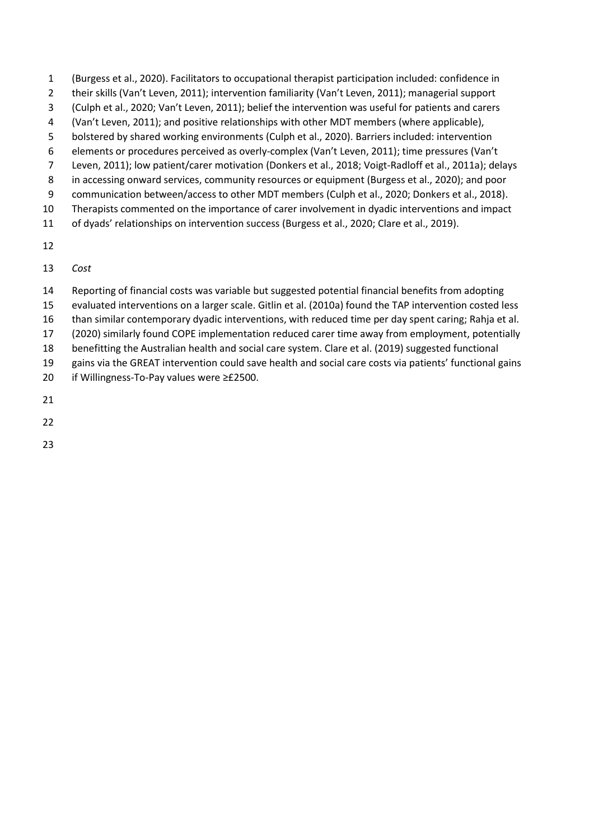- (Burgess et al., 2020). Facilitators to occupational therapist participation included: confidence in
- 2 their skills (Van't Leven, 2011); intervention familiarity (Van't Leven, 2011); managerial support
- (Culph et al., 2020; Van't Leven, 2011); belief the intervention was useful for patients and carers
- (Van't Leven, 2011); and positive relationships with other MDT members (where applicable),
- bolstered by shared working environments (Culph et al., 2020). Barriers included: intervention
- elements or procedures perceived as overly-complex (Van't Leven, 2011); time pressures (Van't
- Leven, 2011); low patient/carer motivation (Donkers et al., 2018; Voigt-Radloff et al., 2011a); delays in accessing onward services, community resources or equipment (Burgess et al., 2020); and poor
- communication between/access to other MDT members (Culph et al., 2020; Donkers et al., 2018).
- Therapists commented on the importance of carer involvement in dyadic interventions and impact
- of dyads' relationships on intervention success (Burgess et al., 2020; Clare et al., 2019).
- 

*Cost*

- Reporting of financial costs was variable but suggested potential financial benefits from adopting
- evaluated interventions on a larger scale. Gitlin et al. (2010a) found the TAP intervention costed less
- than similar contemporary dyadic interventions, with reduced time per day spent caring; Rahja et al.
- (2020) similarly found COPE implementation reduced carer time away from employment, potentially
- benefitting the Australian health and social care system. Clare et al. (2019) suggested functional
- gains via the GREAT intervention could save health and social care costs via patients' functional gains if Willingness-To-Pay values were ≥£2500.
- 
- 
- 
-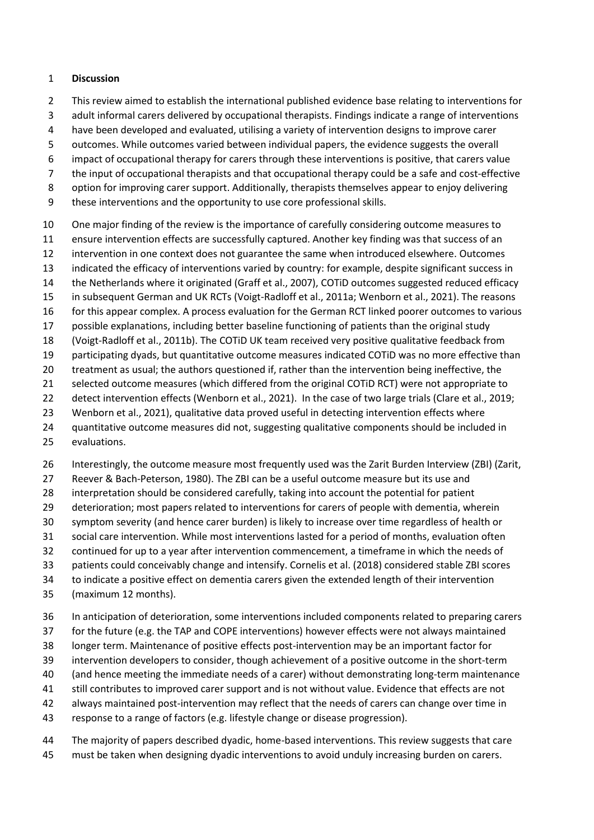## **Discussion**

- This review aimed to establish the international published evidence base relating to interventions for
- adult informal carers delivered by occupational therapists. Findings indicate a range of interventions
- have been developed and evaluated, utilising a variety of intervention designs to improve carer
- outcomes. While outcomes varied between individual papers, the evidence suggests the overall
- impact of occupational therapy for carers through these interventions is positive, that carers value
- the input of occupational therapists and that occupational therapy could be a safe and cost-effective
- option for improving carer support. Additionally, therapists themselves appear to enjoy delivering
- these interventions and the opportunity to use core professional skills.
- One major finding of the review is the importance of carefully considering outcome measures to
- ensure intervention effects are successfully captured. Another key finding was that success of an
- intervention in one context does not guarantee the same when introduced elsewhere. Outcomes
- indicated the efficacy of interventions varied by country: for example, despite significant success in
- the Netherlands where it originated (Graff et al., 2007), COTiD outcomes suggested reduced efficacy
- in subsequent German and UK RCTs (Voigt-Radloff et al., 2011a; Wenborn et al., 2021). The reasons
- for this appear complex. A process evaluation for the German RCT linked poorer outcomes to various
- possible explanations, including better baseline functioning of patients than the original study
- (Voigt-Radloff et al., 2011b). The COTiD UK team received very positive qualitative feedback from
- participating dyads, but quantitative outcome measures indicated COTiD was no more effective than
- treatment as usual; the authors questioned if, rather than the intervention being ineffective, the
- selected outcome measures (which differed from the original COTiD RCT) were not appropriate to
- detect intervention effects (Wenborn et al., 2021). In the case of two large trials (Clare et al., 2019;
- Wenborn et al., 2021), qualitative data proved useful in detecting intervention effects where
- quantitative outcome measures did not, suggesting qualitative components should be included in
- evaluations.
- Interestingly, the outcome measure most frequently used was the Zarit Burden Interview (ZBI) (Zarit,
- Reever & Bach-Peterson, 1980). The ZBI can be a useful outcome measure but its use and
- interpretation should be considered carefully, taking into account the potential for patient
- deterioration; most papers related to interventions for carers of people with dementia, wherein
- symptom severity (and hence carer burden) is likely to increase over time regardless of health or
- social care intervention. While most interventions lasted for a period of months, evaluation often
- continued for up to a year after intervention commencement, a timeframe in which the needs of
- patients could conceivably change and intensify. Cornelis et al. (2018) considered stable ZBI scores
- to indicate a positive effect on dementia carers given the extended length of their intervention
- (maximum 12 months).
- In anticipation of deterioration, some interventions included components related to preparing carers
- for the future (e.g. the TAP and COPE interventions) however effects were not always maintained
- longer term. Maintenance of positive effects post-intervention may be an important factor for
- intervention developers to consider, though achievement of a positive outcome in the short-term
- (and hence meeting the immediate needs of a carer) without demonstrating long-term maintenance
- still contributes to improved carer support and is not without value. Evidence that effects are not
- always maintained post-intervention may reflect that the needs of carers can change over time in
- response to a range of factors (e.g. lifestyle change or disease progression).
- The majority of papers described dyadic, home-based interventions. This review suggests that care must be taken when designing dyadic interventions to avoid unduly increasing burden on carers.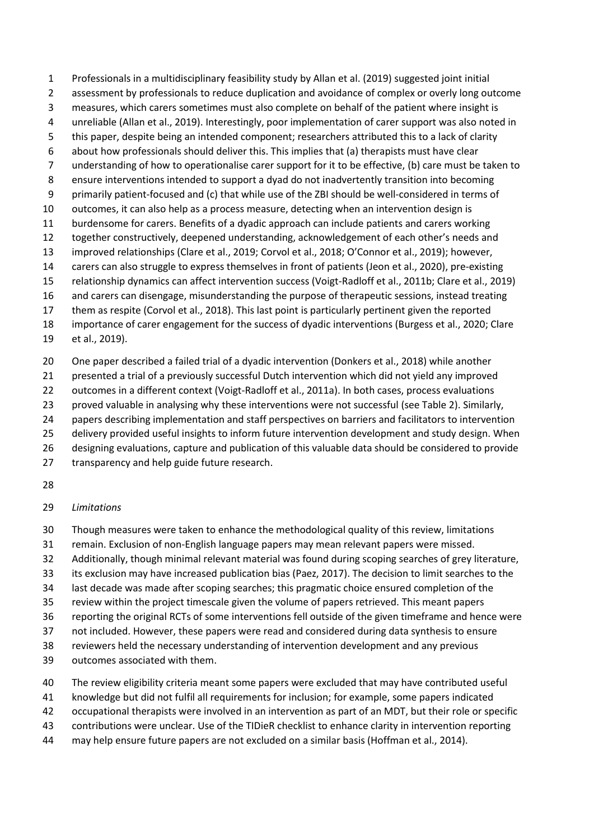Professionals in a multidisciplinary feasibility study by Allan et al. (2019) suggested joint initial 2 assessment by professionals to reduce duplication and avoidance of complex or overly long outcome measures, which carers sometimes must also complete on behalf of the patient where insight is unreliable (Allan et al., 2019). Interestingly, poor implementation of carer support was also noted in this paper, despite being an intended component; researchers attributed this to a lack of clarity about how professionals should deliver this. This implies that (a) therapists must have clear understanding of how to operationalise carer support for it to be effective, (b) care must be taken to ensure interventions intended to support a dyad do not inadvertently transition into becoming primarily patient-focused and (c) that while use of the ZBI should be well-considered in terms of outcomes, it can also help as a process measure, detecting when an intervention design is burdensome for carers. Benefits of a dyadic approach can include patients and carers working together constructively, deepened understanding, acknowledgement of each other's needs and improved relationships (Clare et al., 2019; Corvol et al., 2018; O'Connor et al., 2019); however, carers can also struggle to express themselves in front of patients (Jeon et al., 2020), pre-existing relationship dynamics can affect intervention success (Voigt-Radloff et al., 2011b; Clare et al., 2019) and carers can disengage, misunderstanding the purpose of therapeutic sessions, instead treating them as respite (Corvol et al., 2018). This last point is particularly pertinent given the reported importance of carer engagement for the success of dyadic interventions (Burgess et al., 2020; Clare et al., 2019).

One paper described a failed trial of a dyadic intervention (Donkers et al., 2018) while another

21 presented a trial of a previously successful Dutch intervention which did not yield any improved

22 outcomes in a different context (Voigt-Radloff et al., 2011a). In both cases, process evaluations

 proved valuable in analysing why these interventions were not successful (see Table 2). Similarly, papers describing implementation and staff perspectives on barriers and facilitators to intervention

delivery provided useful insights to inform future intervention development and study design. When

designing evaluations, capture and publication of this valuable data should be considered to provide

- transparency and help guide future research.
- 

# *Limitations*

Though measures were taken to enhance the methodological quality of this review, limitations

remain. Exclusion of non-English language papers may mean relevant papers were missed.

Additionally, though minimal relevant material was found during scoping searches of grey literature,

its exclusion may have increased publication bias (Paez, 2017). The decision to limit searches to the

last decade was made after scoping searches; this pragmatic choice ensured completion of the

review within the project timescale given the volume of papers retrieved. This meant papers

reporting the original RCTs of some interventions fell outside of the given timeframe and hence were

not included. However, these papers were read and considered during data synthesis to ensure

reviewers held the necessary understanding of intervention development and any previous

outcomes associated with them.

The review eligibility criteria meant some papers were excluded that may have contributed useful

knowledge but did not fulfil all requirements for inclusion; for example, some papers indicated

occupational therapists were involved in an intervention as part of an MDT, but their role or specific

contributions were unclear. Use of the TIDieR checklist to enhance clarity in intervention reporting

may help ensure future papers are not excluded on a similar basis (Hoffman et al., 2014).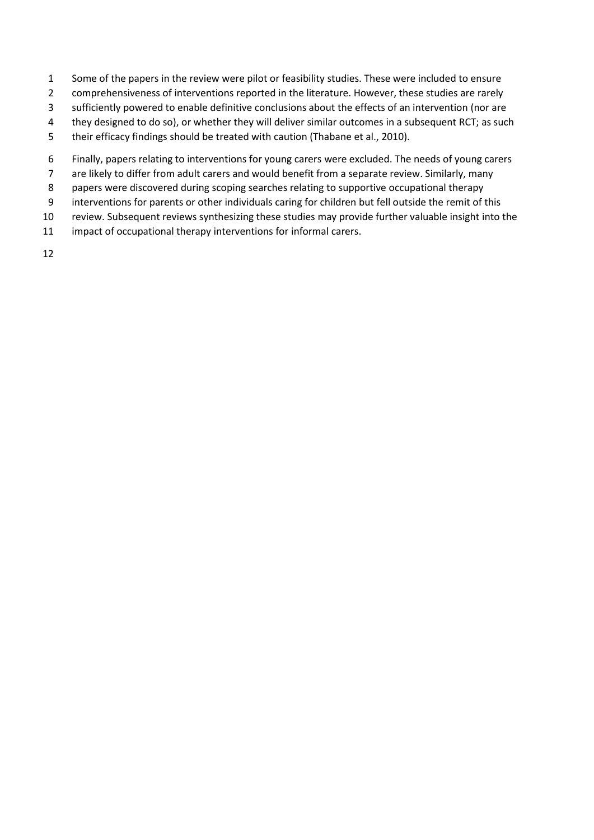- Some of the papers in the review were pilot or feasibility studies. These were included to ensure
- comprehensiveness of interventions reported in the literature. However, these studies are rarely
- sufficiently powered to enable definitive conclusions about the effects of an intervention (nor are
- they designed to do so), or whether they will deliver similar outcomes in a subsequent RCT; as such
- their efficacy findings should be treated with caution (Thabane et al., 2010).
- Finally, papers relating to interventions for young carers were excluded. The needs of young carers
- are likely to differ from adult carers and would benefit from a separate review. Similarly, many
- papers were discovered during scoping searches relating to supportive occupational therapy
- interventions for parents or other individuals caring for children but fell outside the remit of this
- review. Subsequent reviews synthesizing these studies may provide further valuable insight into the
- impact of occupational therapy interventions for informal carers.
-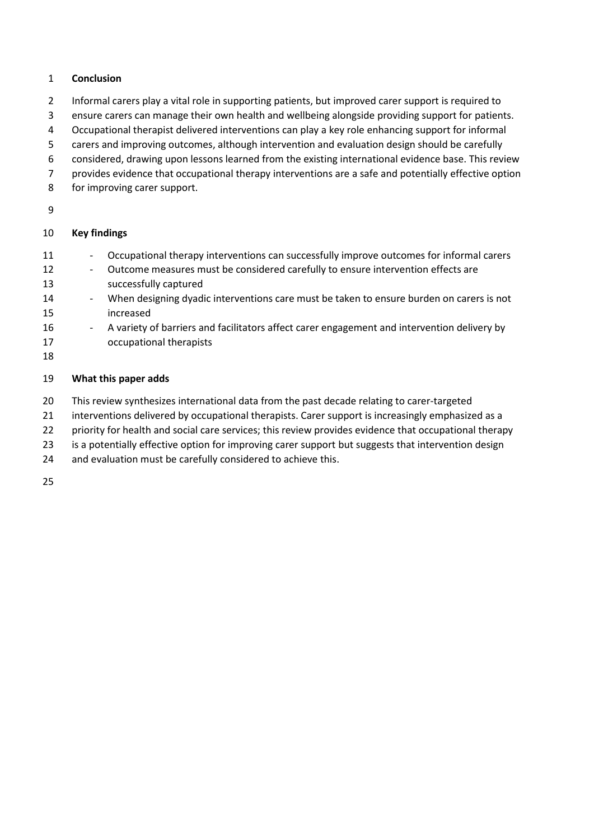# **Conclusion**

- Informal carers play a vital role in supporting patients, but improved carer support is required to
- ensure carers can manage their own health and wellbeing alongside providing support for patients.
- Occupational therapist delivered interventions can play a key role enhancing support for informal
- carers and improving outcomes, although intervention and evaluation design should be carefully
- considered, drawing upon lessons learned from the existing international evidence base. This review
- provides evidence that occupational therapy interventions are a safe and potentially effective option
- for improving carer support.
- 

# **Key findings**

- 11 Occupational therapy interventions can successfully improve outcomes for informal carers
- 12 Outcome measures must be considered carefully to ensure intervention effects are successfully captured
- 14 When designing dyadic interventions care must be taken to ensure burden on carers is not increased
- 16 A variety of barriers and facilitators affect carer engagement and intervention delivery by occupational therapists
- 

# **What this paper adds**

- 20 This review synthesizes international data from the past decade relating to carer-targeted
- 21 interventions delivered by occupational therapists. Carer support is increasingly emphasized as a
- 22 priority for health and social care services; this review provides evidence that occupational therapy
- 23 is a potentially effective option for improving carer support but suggests that intervention design
- and evaluation must be carefully considered to achieve this.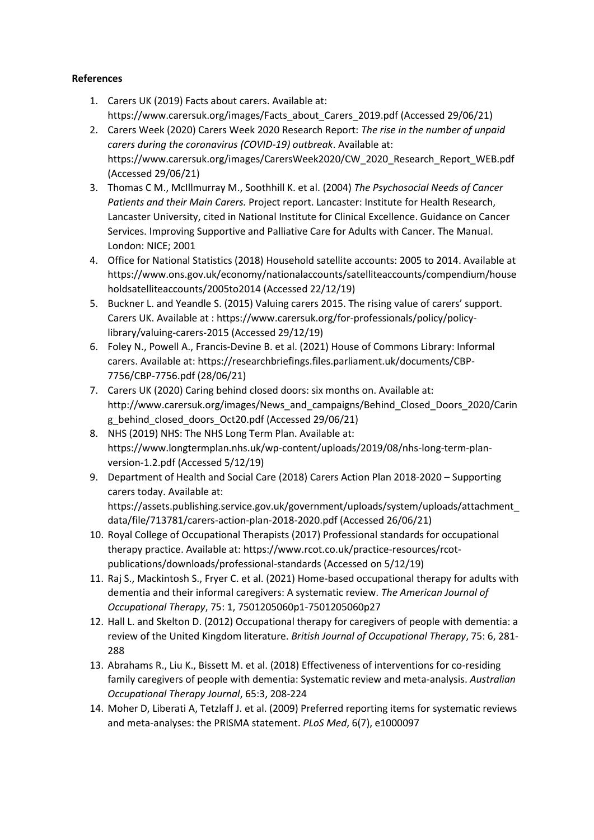## **References**

- 1. Carers UK (2019) Facts about carers. Available at: https://www.carersuk.org/images/Facts\_about\_Carers\_2019.pdf (Accessed 29/06/21)
- 2. Carers Week (2020) Carers Week 2020 Research Report: *The rise in the number of unpaid carers during the coronavirus (COVID-19) outbreak*. Available at: https://www.carersuk.org/images/CarersWeek2020/CW\_2020\_Research\_Report\_WEB.pdf (Accessed 29/06/21)
- 3. Thomas C M., McIllmurray M., Soothhill K. et al. (2004) *The Psychosocial Needs of Cancer Patients and their Main Carers.* Project report. Lancaster: Institute for Health Research, Lancaster University, cited in National Institute for Clinical Excellence. Guidance on Cancer Services. Improving Supportive and Palliative Care for Adults with Cancer. The Manual. London: NICE; 2001
- 4. Office for National Statistics (2018) Household satellite accounts: 2005 to 2014. Available at https://www.ons.gov.uk/economy/nationalaccounts/satelliteaccounts/compendium/house holdsatelliteaccounts/2005to2014 (Accessed 22/12/19)
- 5. Buckner L. and Yeandle S. (2015) Valuing carers 2015. The rising value of carers' support. Carers UK. Available at : https://www.carersuk.org/for-professionals/policy/policylibrary/valuing-carers-2015 (Accessed 29/12/19)
- 6. Foley N., Powell A., Francis-Devine B. et al. (2021) House of Commons Library: Informal carers. Available at: https://researchbriefings.files.parliament.uk/documents/CBP-7756/CBP-7756.pdf (28/06/21)
- 7. Carers UK (2020) Caring behind closed doors: six months on. Available at: http://www.carersuk.org/images/News\_and\_campaigns/Behind\_Closed\_Doors\_2020/Carin g\_behind\_closed\_doors\_Oct20.pdf (Accessed 29/06/21)
- 8. NHS (2019) NHS: The NHS Long Term Plan. Available at: https://www.longtermplan.nhs.uk/wp-content/uploads/2019/08/nhs-long-term-planversion-1.2.pdf (Accessed 5/12/19)
- 9. Department of Health and Social Care (2018) Carers Action Plan 2018-2020 Supporting carers today. Available at: https://assets.publishing.service.gov.uk/government/uploads/system/uploads/attachment\_ data/file/713781/carers-action-plan-2018-2020.pdf (Accessed 26/06/21)
- 10. Royal College of Occupational Therapists (2017) Professional standards for occupational therapy practice. Available at: https://www.rcot.co.uk/practice-resources/rcotpublications/downloads/professional-standards (Accessed on 5/12/19)
- 11. Raj S., Mackintosh S., Fryer C. et al. (2021) Home-based occupational therapy for adults with dementia and their informal caregivers: A systematic review. *The American Journal of Occupational Therapy*, 75: 1, 7501205060p1-7501205060p27
- 12. Hall L. and Skelton D. (2012) Occupational therapy for caregivers of people with dementia: a review of the United Kingdom literature. *British Journal of Occupational Therapy*, 75: 6, 281- 288
- 13. Abrahams R., Liu K., Bissett M. et al. (2018) Effectiveness of interventions for co-residing family caregivers of people with dementia: Systematic review and meta-analysis. *Australian Occupational Therapy Journal*, 65:3, 208-224
- 14. Moher D, Liberati A, Tetzlaff J. et al. (2009) Preferred reporting items for systematic reviews and meta-analyses: the PRISMA statement. *PLoS Med*, 6(7), e1000097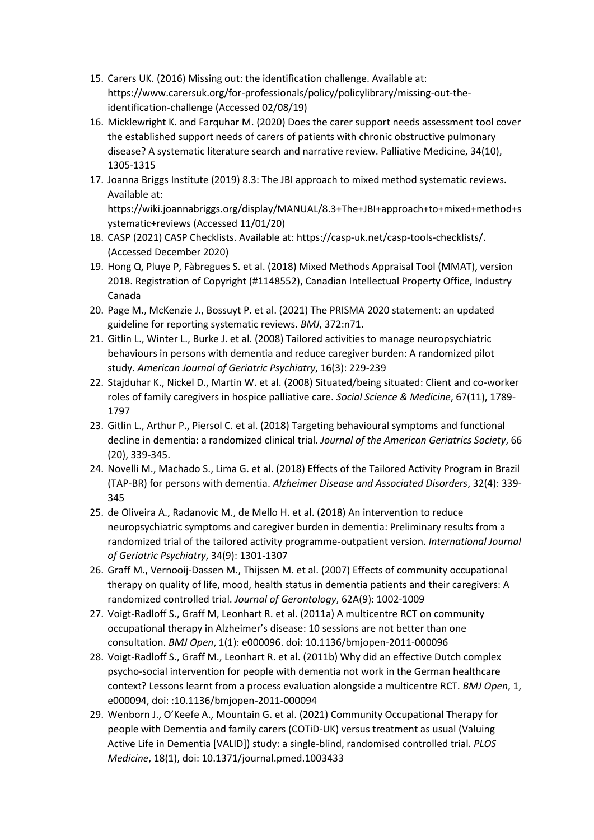- 15. Carers UK. (2016) Missing out: the identification challenge. Available at: https://www.carersuk.org/for-professionals/policy/policylibrary/missing-out-theidentification-challenge (Accessed 02/08/19)
- 16. Micklewright K. and Farquhar M. (2020) Does the carer support needs assessment tool cover the established support needs of carers of patients with chronic obstructive pulmonary disease? A systematic literature search and narrative review. Palliative Medicine, 34(10), 1305-1315
- 17. Joanna Briggs Institute (2019) 8.3: The JBI approach to mixed method systematic reviews. Available at:

https://wiki.joannabriggs.org/display/MANUAL/8.3+The+JBI+approach+to+mixed+method+s ystematic+reviews (Accessed 11/01/20)

- 18. CASP (2021) CASP Checklists. Available at: https://casp-uk.net/casp-tools-checklists/. (Accessed December 2020)
- 19. Hong Q, Pluye P, Fàbregues S. et al. (2018) Mixed Methods Appraisal Tool (MMAT), version 2018. Registration of Copyright (#1148552), Canadian Intellectual Property Office, Industry Canada
- 20. Page M., McKenzie J., Bossuyt P. et al. (2021) The PRISMA 2020 statement: an updated guideline for reporting systematic reviews. *BMJ*, 372:n71.
- 21. Gitlin L., Winter L., Burke J. et al. (2008) Tailored activities to manage neuropsychiatric behaviours in persons with dementia and reduce caregiver burden: A randomized pilot study. *American Journal of Geriatric Psychiatry*, 16(3): 229-239
- 22. Stajduhar K., Nickel D., Martin W. et al. (2008) Situated/being situated: Client and co-worker roles of family caregivers in hospice palliative care. *Social Science & Medicine*, 67(11), 1789- 1797
- 23. Gitlin L., Arthur P., Piersol C. et al. (2018) Targeting behavioural symptoms and functional decline in dementia: a randomized clinical trial. *Journal of the American Geriatrics Society*, 66 (20), 339-345.
- 24. Novelli M., Machado S., Lima G. et al. (2018) Effects of the Tailored Activity Program in Brazil (TAP-BR) for persons with dementia. *Alzheimer Disease and Associated Disorders*, 32(4): 339- 345
- 25. de Oliveira A., Radanovic M., de Mello H. et al. (2018) An intervention to reduce neuropsychiatric symptoms and caregiver burden in dementia: Preliminary results from a randomized trial of the tailored activity programme-outpatient version. *International Journal of Geriatric Psychiatry*, 34(9): 1301-1307
- 26. Graff M., Vernooij-Dassen M., Thijssen M. et al. (2007) Effects of community occupational therapy on quality of life, mood, health status in dementia patients and their caregivers: A randomized controlled trial. *Journal of Gerontology*, 62A(9): 1002-1009
- 27. Voigt-Radloff S., Graff M, Leonhart R. et al. (2011a) A multicentre RCT on community occupational therapy in Alzheimer's disease: 10 sessions are not better than one consultation. *BMJ Open*, 1(1): e000096. doi: 10.1136/bmjopen-2011-000096
- 28. Voigt-Radloff S., Graff M., Leonhart R. et al. (2011b) Why did an effective Dutch complex psycho-social intervention for people with dementia not work in the German healthcare context? Lessons learnt from a process evaluation alongside a multicentre RCT. *BMJ Open*, 1, e000094, doi: :10.1136/bmjopen-2011-000094
- 29. Wenborn J., O'Keefe A., Mountain G. et al. (2021) Community Occupational Therapy for people with Dementia and family carers (COTiD-UK) versus treatment as usual (Valuing Active Life in Dementia [VALID]) study: a single-blind, randomised controlled trial*. PLOS Medicine*, 18(1), doi: 10.1371/journal.pmed.1003433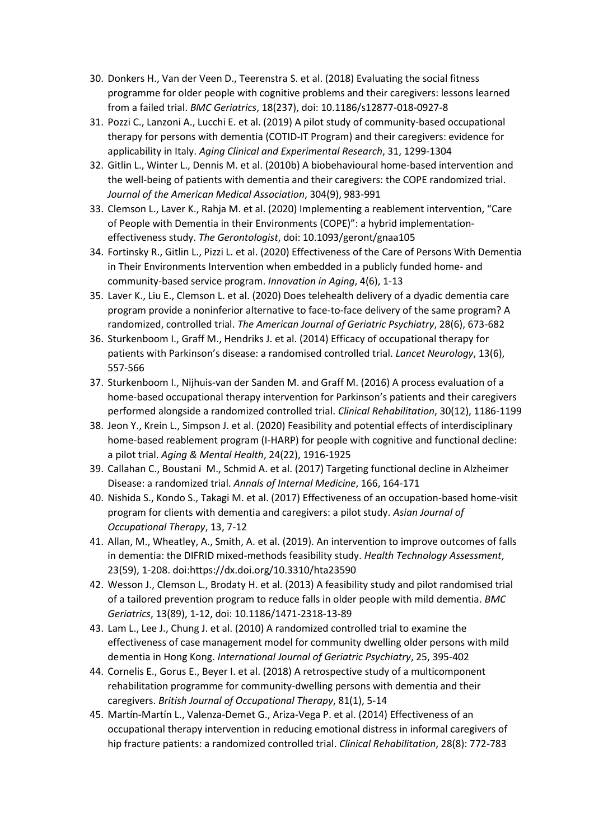- 30. Donkers H., Van der Veen D., Teerenstra S. et al. (2018) Evaluating the social fitness programme for older people with cognitive problems and their caregivers: lessons learned from a failed trial. *BMC Geriatrics*, 18(237), doi: 10.1186/s12877-018-0927-8
- 31. Pozzi C., Lanzoni A., Lucchi E. et al. (2019) A pilot study of community-based occupational therapy for persons with dementia (COTID-IT Program) and their caregivers: evidence for applicability in Italy. *Aging Clinical and Experimental Research*, 31, 1299-1304
- 32. Gitlin L., Winter L., Dennis M. et al. (2010b) A biobehavioural home-based intervention and the well-being of patients with dementia and their caregivers: the COPE randomized trial. *Journal of the American Medical Association*, 304(9), 983-991
- 33. Clemson L., Laver K., Rahja M. et al. (2020) Implementing a reablement intervention, "Care of People with Dementia in their Environments (COPE)": a hybrid implementationeffectiveness study. *The Gerontologist*, doi: 10.1093/geront/gnaa105
- 34. Fortinsky R., Gitlin L., Pizzi L. et al. (2020) Effectiveness of the Care of Persons With Dementia in Their Environments Intervention when embedded in a publicly funded home- and community-based service program. *Innovation in Aging*, 4(6), 1-13
- 35. Laver K., Liu E., Clemson L. et al. (2020) Does telehealth delivery of a dyadic dementia care program provide a noninferior alternative to face-to-face delivery of the same program? A randomized, controlled trial. *The American Journal of Geriatric Psychiatry*, 28(6), 673-682
- 36. Sturkenboom I., Graff M., Hendriks J. et al. (2014) Efficacy of occupational therapy for patients with Parkinson's disease: a randomised controlled trial. *Lancet Neurology*, 13(6), 557-566
- 37. Sturkenboom I., Nijhuis-van der Sanden M. and Graff M. (2016) A process evaluation of a home-based occupational therapy intervention for Parkinson's patients and their caregivers performed alongside a randomized controlled trial. *Clinical Rehabilitation*, 30(12), 1186-1199
- 38. Jeon Y., Krein L., Simpson J. et al. (2020) Feasibility and potential effects of interdisciplinary home-based reablement program (I-HARP) for people with cognitive and functional decline: a pilot trial. *Aging & Mental Health*, 24(22), 1916-1925
- 39. Callahan C., Boustani M., Schmid A. et al. (2017) Targeting functional decline in Alzheimer Disease: a randomized trial. *Annals of Internal Medicine*, 166, 164-171
- 40. Nishida S., Kondo S., Takagi M. et al. (2017) Effectiveness of an occupation-based home-visit program for clients with dementia and caregivers: a pilot study. *Asian Journal of Occupational Therapy*, 13, 7-12
- 41. Allan, M., Wheatley, A., Smith, A. et al. (2019). An intervention to improve outcomes of falls in dementia: the DIFRID mixed-methods feasibility study. *Health Technology Assessment*, 23(59), 1-208. doi:https://dx.doi.org/10.3310/hta23590
- 42. Wesson J., Clemson L., Brodaty H. et al. (2013) A feasibility study and pilot randomised trial of a tailored prevention program to reduce falls in older people with mild dementia. *BMC Geriatrics*, 13(89), 1-12, doi: 10.1186/1471-2318-13-89
- 43. Lam L., Lee J., Chung J. et al. (2010) A randomized controlled trial to examine the effectiveness of case management model for community dwelling older persons with mild dementia in Hong Kong. *International Journal of Geriatric Psychiatry*, 25, 395-402
- 44. Cornelis E., Gorus E., Beyer I. et al. (2018) A retrospective study of a multicomponent rehabilitation programme for community-dwelling persons with dementia and their caregivers. *British Journal of Occupational Therapy*, 81(1), 5-14
- 45. Martín-Martín L., Valenza-Demet G., Ariza-Vega P. et al. (2014) Effectiveness of an occupational therapy intervention in reducing emotional distress in informal caregivers of hip fracture patients: a randomized controlled trial. *Clinical Rehabilitation*, 28(8): 772-783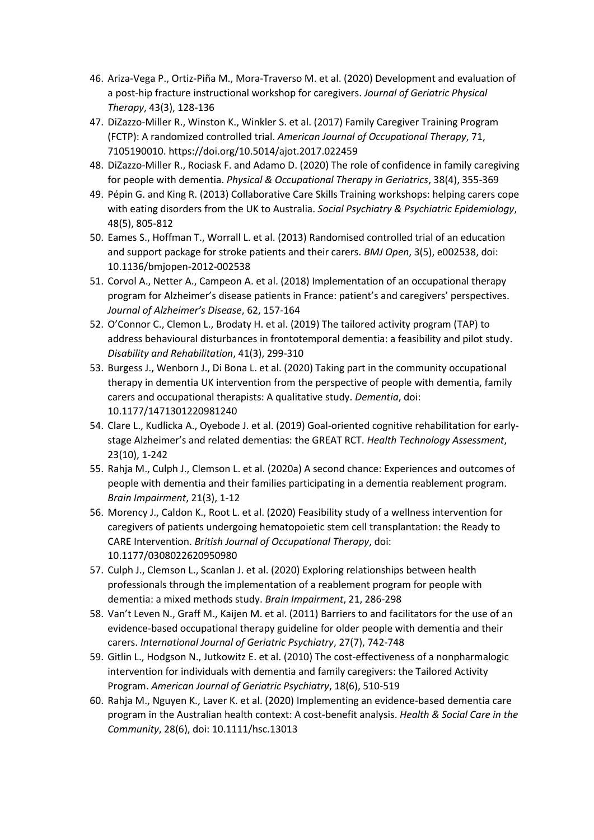- 46. Ariza-Vega P., Ortiz-Piña M., Mora-Traverso M. et al. (2020) Development and evaluation of a post-hip fracture instructional workshop for caregivers. *Journal of Geriatric Physical Therapy*, 43(3), 128-136
- 47. DiZazzo-Miller R., Winston K., Winkler S. et al. (2017) Family Caregiver Training Program (FCTP): A randomized controlled trial. *American Journal of Occupational Therapy*, 71, 7105190010. https://doi.org/10.5014/ajot.2017.022459
- 48. DiZazzo-Miller R., Rociask F. and Adamo D. (2020) The role of confidence in family caregiving for people with dementia. *Physical & Occupational Therapy in Geriatrics*, 38(4), 355-369
- 49. Pépin G. and King R. (2013) Collaborative Care Skills Training workshops: helping carers cope with eating disorders from the UK to Australia. *Social Psychiatry & Psychiatric Epidemiology*, 48(5), 805-812
- 50. Eames S., Hoffman T., Worrall L. et al. (2013) Randomised controlled trial of an education and support package for stroke patients and their carers. *BMJ Open*, 3(5), e002538, doi: 10.1136/bmjopen-2012-002538
- 51. Corvol A., Netter A., Campeon A. et al. (2018) Implementation of an occupational therapy program for Alzheimer's disease patients in France: patient's and caregivers' perspectives. *Journal of Alzheimer's Disease*, 62, 157-164
- 52. O'Connor C., Clemon L., Brodaty H. et al. (2019) The tailored activity program (TAP) to address behavioural disturbances in frontotemporal dementia: a feasibility and pilot study. *Disability and Rehabilitation*, 41(3), 299-310
- 53. Burgess J., Wenborn J., Di Bona L. et al. (2020) Taking part in the community occupational therapy in dementia UK intervention from the perspective of people with dementia, family carers and occupational therapists: A qualitative study. *Dementia*, doi: 10.1177/1471301220981240
- 54. Clare L., Kudlicka A., Oyebode J. et al. (2019) Goal-oriented cognitive rehabilitation for earlystage Alzheimer's and related dementias: the GREAT RCT. *Health Technology Assessment*, 23(10), 1-242
- 55. Rahja M., Culph J., Clemson L. et al. (2020a) A second chance: Experiences and outcomes of people with dementia and their families participating in a dementia reablement program. *Brain Impairment*, 21(3), 1-12
- 56. Morency J., Caldon K., Root L. et al. (2020) Feasibility study of a wellness intervention for caregivers of patients undergoing hematopoietic stem cell transplantation: the Ready to CARE Intervention. *British Journal of Occupational Therapy*, doi: 10.1177/0308022620950980
- 57. Culph J., Clemson L., Scanlan J. et al. (2020) Exploring relationships between health professionals through the implementation of a reablement program for people with dementia: a mixed methods study. *Brain Impairment*, 21, 286-298
- 58. Van't Leven N., Graff M., Kaijen M. et al. (2011) Barriers to and facilitators for the use of an evidence-based occupational therapy guideline for older people with dementia and their carers. *International Journal of Geriatric Psychiatry*, 27(7), 742-748
- 59. Gitlin L., Hodgson N., Jutkowitz E. et al. (2010) The cost-effectiveness of a nonpharmalogic intervention for individuals with dementia and family caregivers: the Tailored Activity Program. *American Journal of Geriatric Psychiatry*, 18(6), 510-519
- 60. Rahja M., Nguyen K., Laver K. et al. (2020) Implementing an evidence-based dementia care program in the Australian health context: A cost-benefit analysis. *Health & Social Care in the Community*, 28(6), doi: 10.1111/hsc.13013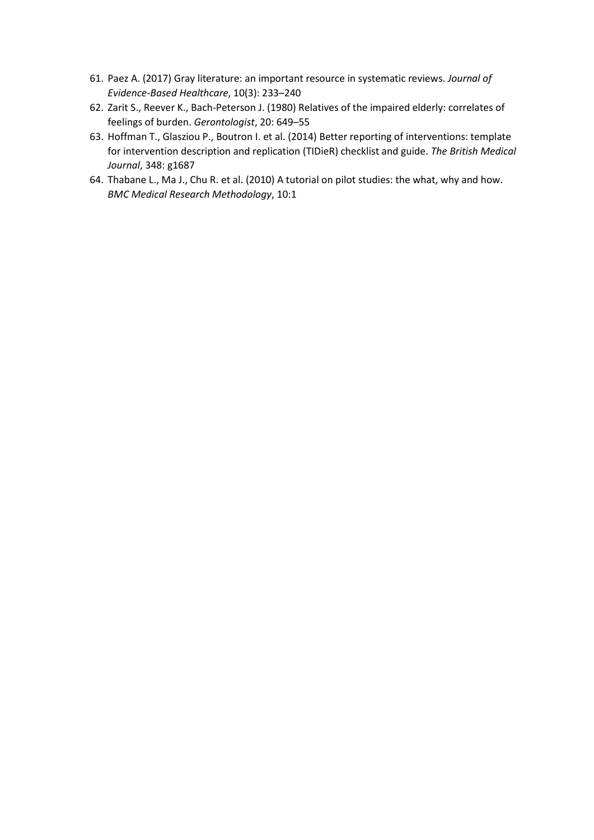- 61. Paez A. (2017) Gray literature: an important resource in systematic reviews. *Journal of Evidence-Based Healthcare*, 10(3): 233–240
- 62. Zarit S., Reever K., Bach-Peterson J. (1980) Relatives of the impaired elderly: correlates of feelings of burden. *Gerontologist*, 20: 649–55
- 63. Hoffman T., Glasziou P., Boutron I. et al. (2014) Better reporting of interventions: template for intervention description and replication (TIDieR) checklist and guide. *The British Medical Journal*, 348: g1687
- 64. Thabane L., Ma J., Chu R. et al. (2010) A tutorial on pilot studies: the what, why and how. *BMC Medical Research Methodology*, 10:1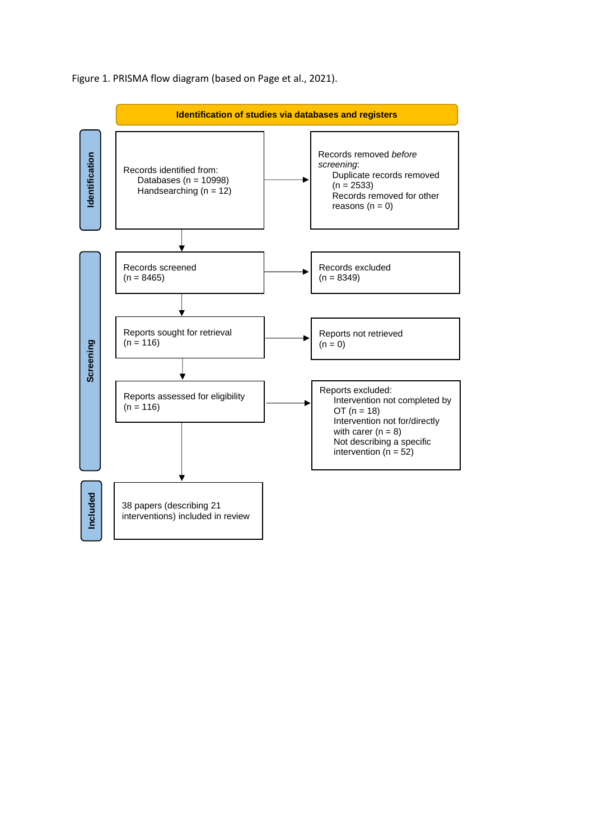

Figure 1. PRISMA flow diagram (based on Page et al., 2021).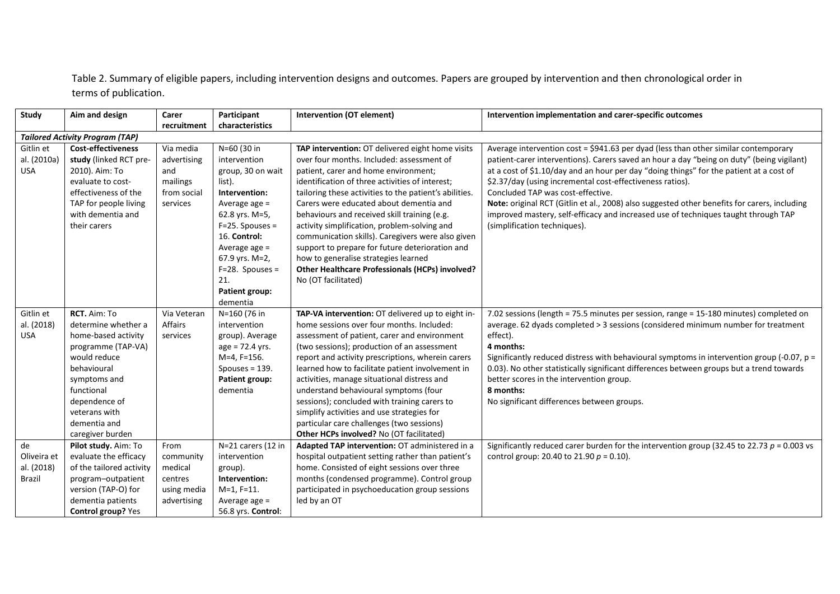Table 2. Summary of eligible papers, including intervention designs and outcomes. Papers are grouped by intervention and then chronological order in terms of publication.

| <b>Study</b>                              | Aim and design                                                                                                                                                                                                      | Carer                                                                  | Participant                                                                                                                                                                                                                          | <b>Intervention (OT element)</b>                                                                                                                                                                                                                                                                                                                                                                                                                                                                                                                                                                                               | Intervention implementation and carer-specific outcomes                                                                                                                                                                                                                                                                                                                                                                                                                                                                                                                                             |
|-------------------------------------------|---------------------------------------------------------------------------------------------------------------------------------------------------------------------------------------------------------------------|------------------------------------------------------------------------|--------------------------------------------------------------------------------------------------------------------------------------------------------------------------------------------------------------------------------------|--------------------------------------------------------------------------------------------------------------------------------------------------------------------------------------------------------------------------------------------------------------------------------------------------------------------------------------------------------------------------------------------------------------------------------------------------------------------------------------------------------------------------------------------------------------------------------------------------------------------------------|-----------------------------------------------------------------------------------------------------------------------------------------------------------------------------------------------------------------------------------------------------------------------------------------------------------------------------------------------------------------------------------------------------------------------------------------------------------------------------------------------------------------------------------------------------------------------------------------------------|
|                                           |                                                                                                                                                                                                                     | recruitment                                                            | characteristics                                                                                                                                                                                                                      |                                                                                                                                                                                                                                                                                                                                                                                                                                                                                                                                                                                                                                |                                                                                                                                                                                                                                                                                                                                                                                                                                                                                                                                                                                                     |
|                                           | <b>Tailored Activity Program (TAP)</b>                                                                                                                                                                              |                                                                        |                                                                                                                                                                                                                                      |                                                                                                                                                                                                                                                                                                                                                                                                                                                                                                                                                                                                                                |                                                                                                                                                                                                                                                                                                                                                                                                                                                                                                                                                                                                     |
| Gitlin et<br>al. (2010a)<br><b>USA</b>    | <b>Cost-effectiveness</b><br>study (linked RCT pre-<br>2010). Aim: To<br>evaluate to cost-<br>effectiveness of the<br>TAP for people living<br>with dementia and<br>their carers                                    | Via media<br>advertising<br>and<br>mailings<br>from social<br>services | N=60 (30 in<br>intervention<br>group, 30 on wait<br>list).<br>Intervention:<br>Average age =<br>62.8 yrs. M=5,<br>$F=25.$ Spouses =<br>16. Control:<br>Average age =<br>67.9 yrs. M=2,<br>$F=28.$ Spouses =<br>21.<br>Patient group: | TAP intervention: OT delivered eight home visits<br>over four months. Included: assessment of<br>patient, carer and home environment;<br>identification of three activities of interest;<br>tailoring these activities to the patient's abilities.<br>Carers were educated about dementia and<br>behaviours and received skill training (e.g.<br>activity simplification, problem-solving and<br>communication skills). Caregivers were also given<br>support to prepare for future deterioration and<br>how to generalise strategies learned<br><b>Other Healthcare Professionals (HCPs) involved?</b><br>No (OT facilitated) | Average intervention cost = \$941.63 per dyad (less than other similar contemporary<br>patient-carer interventions). Carers saved an hour a day "being on duty" (being vigilant)<br>at a cost of \$1.10/day and an hour per day "doing things" for the patient at a cost of<br>\$2.37/day (using incremental cost-effectiveness ratios).<br>Concluded TAP was cost-effective.<br>Note: original RCT (Gitlin et al., 2008) also suggested other benefits for carers, including<br>improved mastery, self-efficacy and increased use of techniques taught through TAP<br>(simplification techniques). |
| Gitlin et<br>al. (2018)<br><b>USA</b>     | RCT. Aim: To<br>determine whether a<br>home-based activity<br>programme (TAP-VA)<br>would reduce<br>behavioural<br>symptoms and<br>functional<br>dependence of<br>veterans with<br>dementia and<br>caregiver burden | Via Veteran<br>Affairs<br>services                                     | dementia<br>N=160 (76 in<br>intervention<br>group). Average<br>$age = 72.4$ yrs.<br>M=4, F=156.<br>Spouses = $139.$<br><b>Patient group:</b><br>dementia                                                                             | TAP-VA intervention: OT delivered up to eight in-<br>home sessions over four months. Included:<br>assessment of patient, carer and environment<br>(two sessions); production of an assessment<br>report and activity prescriptions, wherein carers<br>learned how to facilitate patient involvement in<br>activities, manage situational distress and<br>understand behavioural symptoms (four<br>sessions); concluded with training carers to<br>simplify activities and use strategies for<br>particular care challenges (two sessions)<br>Other HCPs involved? No (OT facilitated)                                          | 7.02 sessions (length = 75.5 minutes per session, range = 15-180 minutes) completed on<br>average. 62 dyads completed > 3 sessions (considered minimum number for treatment<br>effect).<br>4 months:<br>Significantly reduced distress with behavioural symptoms in intervention group (-0.07, $p =$<br>0.03). No other statistically significant differences between groups but a trend towards<br>better scores in the intervention group.<br>8 months:<br>No significant differences between groups.                                                                                             |
| de<br>Oliveira et<br>al. (2018)<br>Brazil | Pilot study. Aim: To<br>evaluate the efficacy<br>of the tailored activity<br>program-outpatient<br>version (TAP-O) for<br>dementia patients<br>Control group? Yes                                                   | From<br>community<br>medical<br>centres<br>using media<br>advertising  | N=21 carers (12 in<br>intervention<br>group).<br>Intervention:<br>$M=1, F=11.$<br>Average age =<br>56.8 yrs. Control:                                                                                                                | Adapted TAP intervention: OT administered in a<br>hospital outpatient setting rather than patient's<br>home. Consisted of eight sessions over three<br>months (condensed programme). Control group<br>participated in psychoeducation group sessions<br>led by an OT                                                                                                                                                                                                                                                                                                                                                           | Significantly reduced carer burden for the intervention group (32.45 to 22.73 $p = 0.003$ vs<br>control group: 20.40 to 21.90 $p = 0.10$ ).                                                                                                                                                                                                                                                                                                                                                                                                                                                         |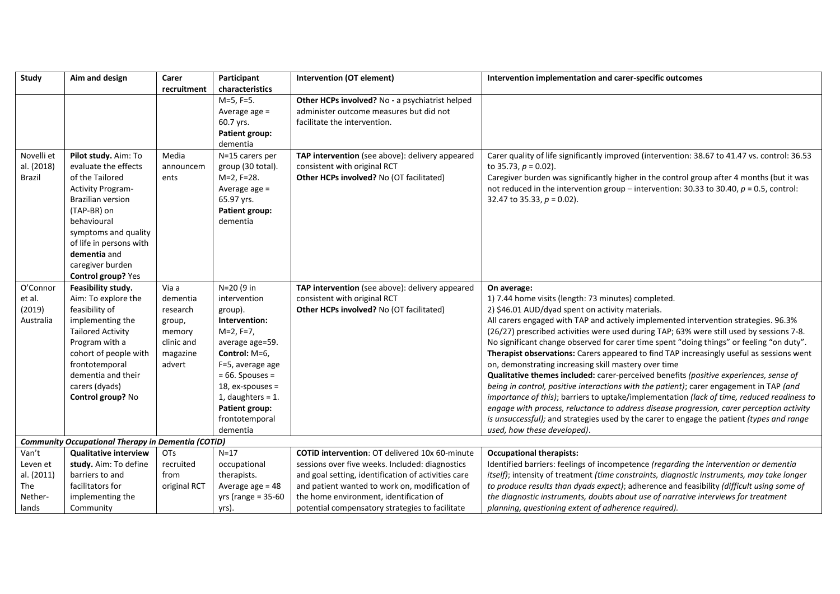| Study                    | Aim and design                                            | Carer           | Participant                             | Intervention (OT element)                                                       | Intervention implementation and carer-specific outcomes                                                                                                                          |
|--------------------------|-----------------------------------------------------------|-----------------|-----------------------------------------|---------------------------------------------------------------------------------|----------------------------------------------------------------------------------------------------------------------------------------------------------------------------------|
|                          |                                                           | recruitment     | characteristics                         |                                                                                 |                                                                                                                                                                                  |
|                          |                                                           |                 | $M=5, F=5.$                             | Other HCPs involved? No - a psychiatrist helped                                 |                                                                                                                                                                                  |
|                          |                                                           |                 | Average age $=$                         | administer outcome measures but did not                                         |                                                                                                                                                                                  |
|                          |                                                           |                 | 60.7 yrs.                               | facilitate the intervention.                                                    |                                                                                                                                                                                  |
|                          |                                                           |                 | Patient group:                          |                                                                                 |                                                                                                                                                                                  |
|                          |                                                           |                 | dementia                                |                                                                                 |                                                                                                                                                                                  |
| Novelli et<br>al. (2018) | Pilot study. Aim: To<br>evaluate the effects              | Media           | N=15 carers per                         | TAP intervention (see above): delivery appeared                                 | Carer quality of life significantly improved (intervention: 38.67 to 41.47 vs. control: 36.53                                                                                    |
|                          |                                                           | announcem       | group (30 total).                       | consistent with original RCT                                                    | to 35.73, $p = 0.02$ ).                                                                                                                                                          |
| Brazil                   | of the Tailored                                           | ents            | M=2, F=28.                              | Other HCPs involved? No (OT facilitated)                                        | Caregiver burden was significantly higher in the control group after 4 months (but it was                                                                                        |
|                          | <b>Activity Program-</b>                                  |                 | Average age $=$                         |                                                                                 | not reduced in the intervention group – intervention: 30.33 to 30.40, $p = 0.5$ , control:                                                                                       |
|                          | <b>Brazilian version</b>                                  |                 | 65.97 yrs.                              |                                                                                 | 32.47 to 35.33, $p = 0.02$ ).                                                                                                                                                    |
|                          | (TAP-BR) on                                               |                 | <b>Patient group:</b>                   |                                                                                 |                                                                                                                                                                                  |
|                          | behavioural                                               |                 | dementia                                |                                                                                 |                                                                                                                                                                                  |
|                          | symptoms and quality                                      |                 |                                         |                                                                                 |                                                                                                                                                                                  |
|                          | of life in persons with                                   |                 |                                         |                                                                                 |                                                                                                                                                                                  |
|                          | dementia and                                              |                 |                                         |                                                                                 |                                                                                                                                                                                  |
|                          | caregiver burden                                          |                 |                                         |                                                                                 |                                                                                                                                                                                  |
|                          | Control group? Yes                                        | Via a           | N=20 (9 in                              |                                                                                 |                                                                                                                                                                                  |
| O'Connor<br>et al.       | Feasibility study.<br>Aim: To explore the                 | dementia        | intervention                            | TAP intervention (see above): delivery appeared<br>consistent with original RCT | On average:<br>1) 7.44 home visits (length: 73 minutes) completed.                                                                                                               |
|                          | feasibility of                                            |                 |                                         | Other HCPs involved? No (OT facilitated)                                        |                                                                                                                                                                                  |
| (2019)<br>Australia      | implementing the                                          | research        | group).<br>Intervention:                |                                                                                 | 2) \$46.01 AUD/dyad spent on activity materials.<br>All carers engaged with TAP and actively implemented intervention strategies. 96.3%                                          |
|                          | <b>Tailored Activity</b>                                  | group,          |                                         |                                                                                 | (26/27) prescribed activities were used during TAP; 63% were still used by sessions 7-8.                                                                                         |
|                          |                                                           | memory          | $M=2, F=7,$                             |                                                                                 |                                                                                                                                                                                  |
|                          | Program with a                                            | clinic and      | average age=59.                         |                                                                                 | No significant change observed for carer time spent "doing things" or feeling "on duty".                                                                                         |
|                          | cohort of people with                                     | magazine        | Control: M=6,                           |                                                                                 | Therapist observations: Carers appeared to find TAP increasingly useful as sessions went                                                                                         |
|                          | frontotemporal<br>dementia and their                      | advert          | F=5, average age                        |                                                                                 | on, demonstrating increasing skill mastery over time                                                                                                                             |
|                          | carers (dyads)                                            |                 | $= 66.$ Spouses $=$<br>18, ex-spouses = |                                                                                 | Qualitative themes included: carer-perceived benefits (positive experiences, sense of<br>being in control, positive interactions with the patient); carer engagement in TAP (and |
|                          | Control group? No                                         |                 | 1, daughters = $1$ .                    |                                                                                 | importance of this); barriers to uptake/implementation (lack of time, reduced readiness to                                                                                       |
|                          |                                                           |                 | <b>Patient group:</b>                   |                                                                                 | engage with process, reluctance to address disease progression, carer perception activity                                                                                        |
|                          |                                                           |                 | frontotemporal                          |                                                                                 | is unsuccessful); and strategies used by the carer to engage the patient (types and range                                                                                        |
|                          |                                                           |                 | dementia                                |                                                                                 | used, how these developed).                                                                                                                                                      |
|                          | <b>Community Occupational Therapy in Dementia (COTID)</b> |                 |                                         |                                                                                 |                                                                                                                                                                                  |
| Van't                    | <b>Qualitative interview</b>                              | OT <sub>s</sub> | $N=17$                                  | <b>COTID intervention: OT delivered 10x 60-minute</b>                           | <b>Occupational therapists:</b>                                                                                                                                                  |
| Leven et                 | study. Aim: To define                                     | recruited       | occupational                            | sessions over five weeks. Included: diagnostics                                 | Identified barriers: feelings of incompetence (regarding the intervention or dementia                                                                                            |
| al. (2011)               | barriers to and                                           | from            | therapists.                             | and goal setting, identification of activities care                             | itself); intensity of treatment (time constraints, diagnostic instruments, may take longer                                                                                       |
| The                      | facilitators for                                          | original RCT    | Average age $= 48$                      | and patient wanted to work on, modification of                                  | to produce results than dyads expect); adherence and feasibility (difficult using some of                                                                                        |
| Nether-                  | implementing the                                          |                 | $yrs$ (range = 35-60                    | the home environment, identification of                                         | the diagnostic instruments, doubts about use of narrative interviews for treatment                                                                                               |
| lands                    | Community                                                 |                 | yrs).                                   | potential compensatory strategies to facilitate                                 | planning, questioning extent of adherence required).                                                                                                                             |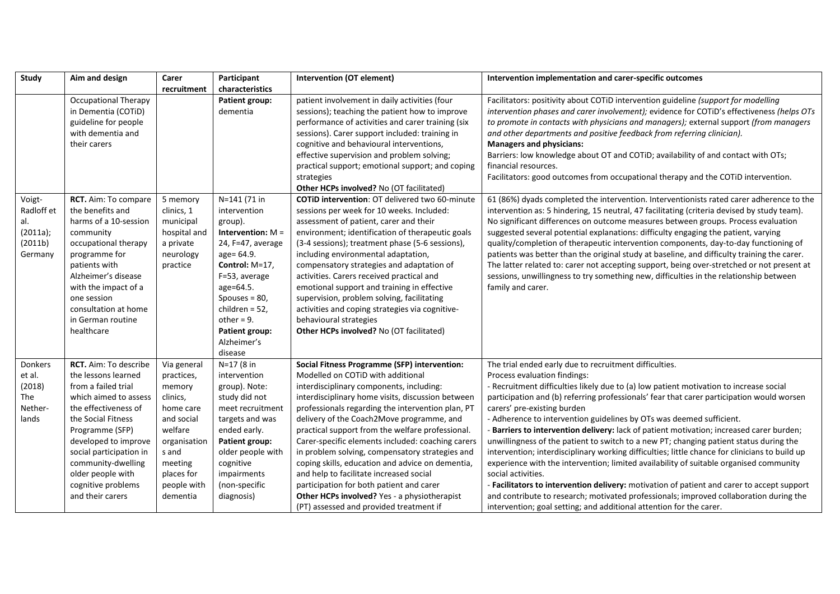| Study      | Aim and design               | Carer        | Participant           | <b>Intervention (OT element)</b>                      | Intervention implementation and carer-specific outcomes                                        |
|------------|------------------------------|--------------|-----------------------|-------------------------------------------------------|------------------------------------------------------------------------------------------------|
|            |                              | recruitment  | characteristics       |                                                       |                                                                                                |
|            | <b>Occupational Therapy</b>  |              | Patient group:        | patient involvement in daily activities (four         | Facilitators: positivity about COTID intervention guideline (support for modelling             |
|            | in Dementia (COTiD)          |              | dementia              | sessions); teaching the patient how to improve        | intervention phases and carer involvement); evidence for COTiD's effectiveness (helps OTs      |
|            | guideline for people         |              |                       | performance of activities and carer training (six     | to promote in contacts with physicians and managers); external support (from managers          |
|            | with dementia and            |              |                       | sessions). Carer support included: training in        | and other departments and positive feedback from referring clinician).                         |
|            | their carers                 |              |                       | cognitive and behavioural interventions,              | <b>Managers and physicians:</b>                                                                |
|            |                              |              |                       | effective supervision and problem solving;            | Barriers: low knowledge about OT and COTiD; availability of and contact with OTs;              |
|            |                              |              |                       | practical support; emotional support; and coping      | financial resources.                                                                           |
|            |                              |              |                       | strategies                                            | Facilitators: good outcomes from occupational therapy and the COTID intervention.              |
|            |                              |              |                       | Other HCPs involved? No (OT facilitated)              |                                                                                                |
| Voigt-     | RCT. Aim: To compare         | 5 memory     | N=141 (71 in          | <b>COTID intervention: OT delivered two 60-minute</b> | 61 (86%) dyads completed the intervention. Interventionists rated carer adherence to the       |
| Radloff et | the benefits and             | clinics, 1   | intervention          | sessions per week for 10 weeks. Included:             | intervention as: 5 hindering, 15 neutral, 47 facilitating (criteria devised by study team).    |
| al.        | harms of a 10-session        | municipal    | group).               | assessment of patient, carer and their                | No significant differences on outcome measures between groups. Process evaluation              |
| (2011a);   | community                    | hospital and | Intervention: $M =$   | environment; identification of therapeutic goals      | suggested several potential explanations: difficulty engaging the patient, varying             |
| (2011b)    | occupational therapy         | a private    | 24, F=47, average     | (3-4 sessions); treatment phase (5-6 sessions),       | quality/completion of therapeutic intervention components, day-to-day functioning of           |
| Germany    | programme for                | neurology    | age= 64.9.            | including environmental adaptation,                   | patients was better than the original study at baseline, and difficulty training the carer.    |
|            | patients with                | practice     | Control: M=17,        | compensatory strategies and adaptation of             | The latter related to: carer not accepting support, being over-stretched or not present at     |
|            | Alzheimer's disease          |              | F=53, average         | activities. Carers received practical and             | sessions, unwillingness to try something new, difficulties in the relationship between         |
|            | with the impact of a         |              | age=64.5.             | emotional support and training in effective           | family and carer.                                                                              |
|            | one session                  |              | Spouses = $80$ ,      | supervision, problem solving, facilitating            |                                                                                                |
|            | consultation at home         |              | children = $52$ ,     | activities and coping strategies via cognitive-       |                                                                                                |
|            | in German routine            |              | $other = 9.$          | behavioural strategies                                |                                                                                                |
|            | healthcare                   |              | Patient group:        | Other HCPs involved? No (OT facilitated)              |                                                                                                |
|            |                              |              | Alzheimer's           |                                                       |                                                                                                |
|            |                              |              | disease               |                                                       |                                                                                                |
| Donkers    | <b>RCT.</b> Aim: To describe | Via general  | N=17 (8 in            | Social Fitness Programme (SFP) intervention:          | The trial ended early due to recruitment difficulties.                                         |
| et al.     | the lessons learned          | practices,   | intervention          | Modelled on COTID with additional                     | Process evaluation findings:                                                                   |
| (2018)     | from a failed trial          | memory       | group). Note:         | interdisciplinary components, including:              | - Recruitment difficulties likely due to (a) low patient motivation to increase social         |
| The        | which aimed to assess        | clinics,     | study did not         | interdisciplinary home visits, discussion between     | participation and (b) referring professionals' fear that carer participation would worsen      |
| Nether-    | the effectiveness of         | home care    | meet recruitment      | professionals regarding the intervention plan, PT     | carers' pre-existing burden                                                                    |
| lands      | the Social Fitness           | and social   | targets and was       | delivery of the Coach2Move programme, and             | - Adherence to intervention guidelines by OTs was deemed sufficient.                           |
|            | Programme (SFP)              | welfare      | ended early.          | practical support from the welfare professional.      | Barriers to intervention delivery: lack of patient motivation; increased carer burden;         |
|            | developed to improve         | organisation | <b>Patient group:</b> | Carer-specific elements included: coaching carers     | unwillingness of the patient to switch to a new PT; changing patient status during the         |
|            | social participation in      | s and        | older people with     | in problem solving, compensatory strategies and       | intervention; interdisciplinary working difficulties; little chance for clinicians to build up |
|            | community-dwelling           | meeting      | cognitive             | coping skills, education and advice on dementia,      | experience with the intervention; limited availability of suitable organised community         |
|            | older people with            | places for   | impairments           | and help to facilitate increased social               | social activities.                                                                             |
|            | cognitive problems           | people with  | (non-specific         | participation for both patient and carer              | - Facilitators to intervention delivery: motivation of patient and carer to accept support     |
|            | and their carers             | dementia     | diagnosis)            | Other HCPs involved? Yes - a physiotherapist          | and contribute to research; motivated professionals; improved collaboration during the         |
|            |                              |              |                       | (PT) assessed and provided treatment if               | intervention; goal setting; and additional attention for the carer.                            |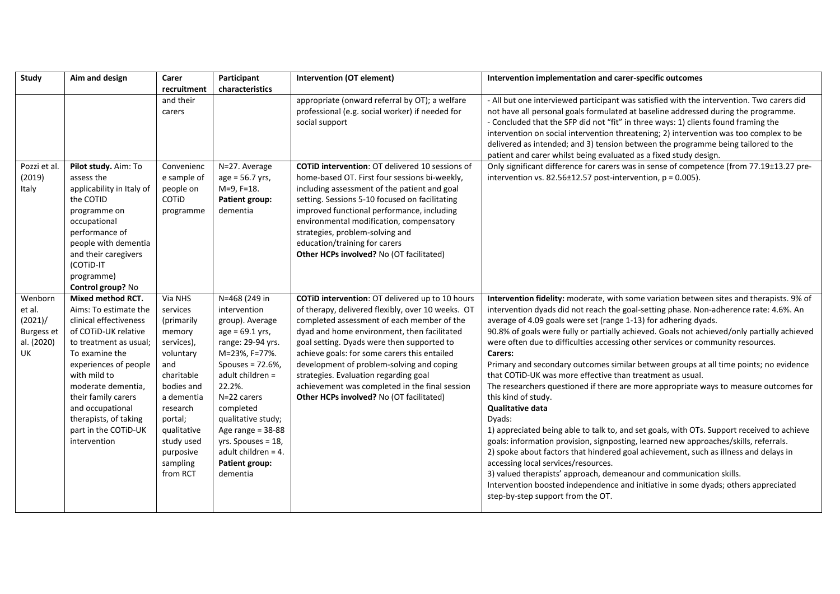| Study             | Aim and design                         | Carer                | Participant                          | <b>Intervention (OT element)</b>                                                                  | Intervention implementation and carer-specific outcomes                                                                                                                         |
|-------------------|----------------------------------------|----------------------|--------------------------------------|---------------------------------------------------------------------------------------------------|---------------------------------------------------------------------------------------------------------------------------------------------------------------------------------|
|                   |                                        | recruitment          | characteristics                      |                                                                                                   |                                                                                                                                                                                 |
|                   |                                        | and their<br>carers  |                                      | appropriate (onward referral by OT); a welfare<br>professional (e.g. social worker) if needed for | - All but one interviewed participant was satisfied with the intervention. Two carers did<br>not have all personal goals formulated at baseline addressed during the programme. |
|                   |                                        |                      |                                      | social support                                                                                    | - Concluded that the SFP did not "fit" in three ways: 1) clients found framing the                                                                                              |
|                   |                                        |                      |                                      |                                                                                                   | intervention on social intervention threatening; 2) intervention was too complex to be                                                                                          |
|                   |                                        |                      |                                      |                                                                                                   | delivered as intended; and 3) tension between the programme being tailored to the                                                                                               |
|                   |                                        |                      |                                      |                                                                                                   | patient and carer whilst being evaluated as a fixed study design.                                                                                                               |
| Pozzi et al.      | Pilot study. Aim: To                   | Convenienc           | N=27. Average                        | <b>COTID intervention: OT delivered 10 sessions of</b>                                            | Only significant difference for carers was in sense of competence (from 77.19±13.27 pre-                                                                                        |
| (2019)            | assess the                             | e sample of          | age = 56.7 yrs,                      | home-based OT. First four sessions bi-weekly,                                                     | intervention vs. $82.56 \pm 12.57$ post-intervention, $p = 0.005$ ).                                                                                                            |
| Italy             | applicability in Italy of<br>the COTID | people on<br>COTID   | M=9, F=18.<br>Patient group:         | including assessment of the patient and goal<br>setting. Sessions 5-10 focused on facilitating    |                                                                                                                                                                                 |
|                   | programme on                           | programme            | dementia                             | improved functional performance, including                                                        |                                                                                                                                                                                 |
|                   | occupational                           |                      |                                      | environmental modification, compensatory                                                          |                                                                                                                                                                                 |
|                   | performance of                         |                      |                                      | strategies, problem-solving and                                                                   |                                                                                                                                                                                 |
|                   | people with dementia                   |                      |                                      | education/training for carers                                                                     |                                                                                                                                                                                 |
|                   | and their caregivers                   |                      |                                      | Other HCPs involved? No (OT facilitated)                                                          |                                                                                                                                                                                 |
|                   | (COTID-IT                              |                      |                                      |                                                                                                   |                                                                                                                                                                                 |
|                   | programme)<br>Control group? No        |                      |                                      |                                                                                                   |                                                                                                                                                                                 |
| Wenborn           | Mixed method RCT.                      | Via NHS              | N=468 (249 in                        | COTID intervention: OT delivered up to 10 hours                                                   | Intervention fidelity: moderate, with some variation between sites and therapists. 9% of                                                                                        |
| et al.            | Aims: To estimate the                  | services             | intervention                         | of therapy, delivered flexibly, over 10 weeks. OT                                                 | intervention dyads did not reach the goal-setting phase. Non-adherence rate: 4.6%. An                                                                                           |
| (2021)/           | clinical effectiveness                 | (primarily           | group). Average                      | completed assessment of each member of the                                                        | average of 4.09 goals were set (range 1-13) for adhering dyads.                                                                                                                 |
| <b>Burgess et</b> | of COTID-UK relative                   | memory               | $age = 69.1 yrs,$                    | dyad and home environment, then facilitated                                                       | 90.8% of goals were fully or partially achieved. Goals not achieved/only partially achieved                                                                                     |
| al. (2020)        | to treatment as usual;                 | services),           | range: 29-94 yrs.                    | goal setting. Dyads were then supported to                                                        | were often due to difficulties accessing other services or community resources.                                                                                                 |
| UK                | To examine the                         | voluntary            | M=23%, F=77%.                        | achieve goals: for some carers this entailed                                                      | Carers:                                                                                                                                                                         |
|                   | experiences of people<br>with mild to  | and<br>charitable    | Spouses = 72.6%,<br>adult children = | development of problem-solving and coping                                                         | Primary and secondary outcomes similar between groups at all time points; no evidence<br>that COTID-UK was more effective than treatment as usual.                              |
|                   | moderate dementia,                     | bodies and           | 22.2%.                               | strategies. Evaluation regarding goal<br>achievement was completed in the final session           | The researchers questioned if there are more appropriate ways to measure outcomes for                                                                                           |
|                   | their family carers                    | a dementia           | N=22 carers                          | Other HCPs involved? No (OT facilitated)                                                          | this kind of study.                                                                                                                                                             |
|                   | and occupational                       | research             | completed                            |                                                                                                   | <b>Qualitative data</b>                                                                                                                                                         |
|                   | therapists, of taking                  | portal;              | qualitative study;                   |                                                                                                   | Dyads:                                                                                                                                                                          |
|                   | part in the COTID-UK                   | qualitative          | Age range = $38-88$                  |                                                                                                   | 1) appreciated being able to talk to, and set goals, with OTs. Support received to achieve                                                                                      |
|                   | intervention                           | study used           | yrs. Spouses = 18,                   |                                                                                                   | goals: information provision, signposting, learned new approaches/skills, referrals.                                                                                            |
|                   |                                        | purposive            | adult children = 4.                  |                                                                                                   | 2) spoke about factors that hindered goal achievement, such as illness and delays in                                                                                            |
|                   |                                        | sampling<br>from RCT | Patient group:<br>dementia           |                                                                                                   | accessing local services/resources.<br>3) valued therapists' approach, demeanour and communication skills.                                                                      |
|                   |                                        |                      |                                      |                                                                                                   | Intervention boosted independence and initiative in some dyads; others appreciated                                                                                              |
|                   |                                        |                      |                                      |                                                                                                   | step-by-step support from the OT.                                                                                                                                               |
|                   |                                        |                      |                                      |                                                                                                   |                                                                                                                                                                                 |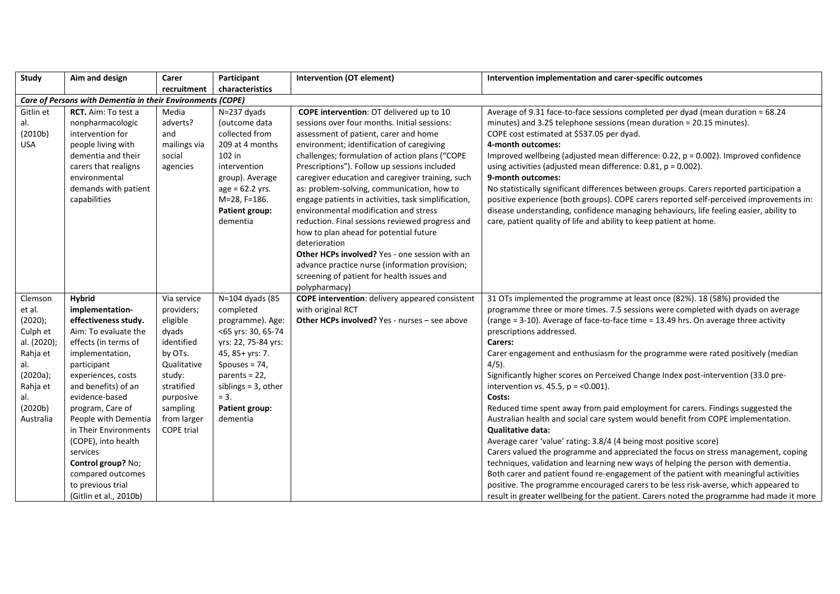| Study                                                                                                                             | Aim and design                                                                                                                                                                                                                                                                                                                                                                                              | Carer                                                                                                                                                                       | Participant                                                                                                                                                                                                             | <b>Intervention (OT element)</b>                                                                                                                                                                                                                                                                                                                                                                                                                                                                                                                                                                                                                                                                                                                          | Intervention implementation and carer-specific outcomes                                                                                                                                                                                                                                                                                                                                                                                                                                                                                                                                                                                                                                                                                                                                                                                                                                                                                                                                                                                                                                                                                                                                                                                                             |
|-----------------------------------------------------------------------------------------------------------------------------------|-------------------------------------------------------------------------------------------------------------------------------------------------------------------------------------------------------------------------------------------------------------------------------------------------------------------------------------------------------------------------------------------------------------|-----------------------------------------------------------------------------------------------------------------------------------------------------------------------------|-------------------------------------------------------------------------------------------------------------------------------------------------------------------------------------------------------------------------|-----------------------------------------------------------------------------------------------------------------------------------------------------------------------------------------------------------------------------------------------------------------------------------------------------------------------------------------------------------------------------------------------------------------------------------------------------------------------------------------------------------------------------------------------------------------------------------------------------------------------------------------------------------------------------------------------------------------------------------------------------------|---------------------------------------------------------------------------------------------------------------------------------------------------------------------------------------------------------------------------------------------------------------------------------------------------------------------------------------------------------------------------------------------------------------------------------------------------------------------------------------------------------------------------------------------------------------------------------------------------------------------------------------------------------------------------------------------------------------------------------------------------------------------------------------------------------------------------------------------------------------------------------------------------------------------------------------------------------------------------------------------------------------------------------------------------------------------------------------------------------------------------------------------------------------------------------------------------------------------------------------------------------------------|
|                                                                                                                                   |                                                                                                                                                                                                                                                                                                                                                                                                             | recruitment                                                                                                                                                                 | characteristics                                                                                                                                                                                                         |                                                                                                                                                                                                                                                                                                                                                                                                                                                                                                                                                                                                                                                                                                                                                           |                                                                                                                                                                                                                                                                                                                                                                                                                                                                                                                                                                                                                                                                                                                                                                                                                                                                                                                                                                                                                                                                                                                                                                                                                                                                     |
|                                                                                                                                   | Care of Persons with Dementia in their Environments (COPE)                                                                                                                                                                                                                                                                                                                                                  |                                                                                                                                                                             |                                                                                                                                                                                                                         |                                                                                                                                                                                                                                                                                                                                                                                                                                                                                                                                                                                                                                                                                                                                                           |                                                                                                                                                                                                                                                                                                                                                                                                                                                                                                                                                                                                                                                                                                                                                                                                                                                                                                                                                                                                                                                                                                                                                                                                                                                                     |
| Gitlin et<br>al.<br>(2010b)<br><b>USA</b>                                                                                         | RCT. Aim: To test a<br>nonpharmacologic<br>intervention for<br>people living with<br>dementia and their<br>carers that realigns<br>environmental<br>demands with patient<br>capabilities                                                                                                                                                                                                                    | Media<br>adverts?<br>and<br>mailings via<br>social<br>agencies                                                                                                              | N=237 dyads<br>(outcome data<br>collected from<br>209 at 4 months<br>102 in<br>intervention<br>group). Average<br>$age = 62.2$ yrs.<br>M=28, F=186.<br>Patient group:<br>dementia                                       | <b>COPE intervention:</b> OT delivered up to 10<br>sessions over four months. Initial sessions:<br>assessment of patient, carer and home<br>environment; identification of caregiving<br>challenges; formulation of action plans ("COPE<br>Prescriptions"). Follow up sessions included<br>caregiver education and caregiver training, such<br>as: problem-solving, communication, how to<br>engage patients in activities, task simplification,<br>environmental modification and stress<br>reduction. Final sessions reviewed progress and<br>how to plan ahead for potential future<br>deterioration<br>Other HCPs involved? Yes - one session with an<br>advance practice nurse (information provision;<br>screening of patient for health issues and | Average of 9.31 face-to-face sessions completed per dyad (mean duration = 68.24<br>minutes) and 3.25 telephone sessions (mean duration = 20.15 minutes).<br>COPE cost estimated at \$537.05 per dyad.<br>4-month outcomes:<br>Improved wellbeing (adjusted mean difference: 0.22, p = 0.002). Improved confidence<br>using activities (adjusted mean difference: $0.81$ , $p = 0.002$ ).<br>9-month outcomes:<br>No statistically significant differences between groups. Carers reported participation a<br>positive experience (both groups). COPE carers reported self-perceived improvements in:<br>disease understanding, confidence managing behaviours, life feeling easier, ability to<br>care, patient quality of life and ability to keep patient at home.                                                                                                                                                                                                                                                                                                                                                                                                                                                                                                |
| Clemson<br>et al.<br>(2020);<br>Culph et<br>al. (2020);<br>Rahja et<br>al.<br>(2020a);<br>Rahja et<br>al.<br>(2020b)<br>Australia | <b>Hybrid</b><br>implementation-<br>effectiveness study.<br>Aim: To evaluate the<br>effects (in terms of<br>implementation,<br>participant<br>experiences, costs<br>and benefits) of an<br>evidence-based<br>program, Care of<br>People with Dementia<br>in Their Environments<br>(COPE), into health<br>services<br>Control group? No;<br>compared outcomes<br>to previous trial<br>(Gitlin et al., 2010b) | Via service<br>providers;<br>eligible<br>dyads<br>identified<br>by OTs.<br>Qualitative<br>study:<br>stratified<br>purposive<br>sampling<br>from larger<br><b>COPE</b> trial | N=104 dyads (85<br>completed<br>programme). Age:<br><65 yrs: 30, 65-74<br>yrs: 22, 75-84 yrs:<br>45, 85+ yrs: 7.<br>Spouses = $74$ ,<br>parents = $22$ ,<br>siblings = 3, other<br>$= 3.$<br>Patient group:<br>dementia | polypharmacy)<br><b>COPE intervention:</b> delivery appeared consistent<br>with original RCT<br><b>Other HCPs involved?</b> Yes - nurses - see above                                                                                                                                                                                                                                                                                                                                                                                                                                                                                                                                                                                                      | 31 OTs implemented the programme at least once (82%). 18 (58%) provided the<br>programme three or more times. 7.5 sessions were completed with dyads on average<br>(range = 3-10). Average of face-to-face time = 13.49 hrs. On average three activity<br>prescriptions addressed.<br>Carers:<br>Carer engagement and enthusiasm for the programme were rated positively (median<br>$4/5$ ).<br>Significantly higher scores on Perceived Change Index post-intervention (33.0 pre-<br>intervention vs. 45.5, $p = 0.001$ ).<br>Costs:<br>Reduced time spent away from paid employment for carers. Findings suggested the<br>Australian health and social care system would benefit from COPE implementation.<br><b>Qualitative data:</b><br>Average carer 'value' rating: 3.8/4 (4 being most positive score)<br>Carers valued the programme and appreciated the focus on stress management, coping<br>techniques, validation and learning new ways of helping the person with dementia.<br>Both carer and patient found re-engagement of the patient with meaningful activities<br>positive. The programme encouraged carers to be less risk-averse, which appeared to<br>result in greater wellbeing for the patient. Carers noted the programme had made it more |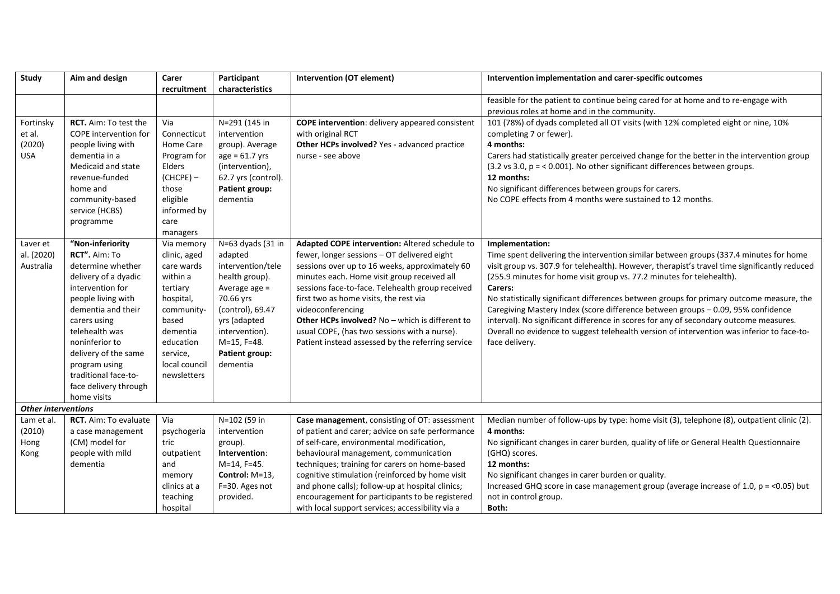| <b>Study</b>               | Aim and design        | Carer         | Participant           | <b>Intervention (OT element)</b>                       | Intervention implementation and carer-specific outcomes                                       |
|----------------------------|-----------------------|---------------|-----------------------|--------------------------------------------------------|-----------------------------------------------------------------------------------------------|
|                            |                       | recruitment   | characteristics       |                                                        |                                                                                               |
|                            |                       |               |                       |                                                        | feasible for the patient to continue being cared for at home and to re-engage with            |
|                            |                       |               |                       |                                                        | previous roles at home and in the community.                                                  |
| Fortinsky                  | RCT. Aim: To test the | Via           | $N = 291$ (145 in     | <b>COPE intervention:</b> delivery appeared consistent | 101 (78%) of dyads completed all OT visits (with 12% completed eight or nine, 10%             |
| et al.                     | COPE intervention for | Connecticut   | intervention          | with original RCT                                      | completing 7 or fewer).                                                                       |
| (2020)                     | people living with    | Home Care     | group). Average       | Other HCPs involved? Yes - advanced practice           | 4 months:                                                                                     |
| USA                        | dementia in a         | Program for   | $age = 61.7 yrs$      | nurse - see above                                      | Carers had statistically greater perceived change for the better in the intervention group    |
|                            | Medicaid and state    | Elders        | (intervention),       |                                                        | $(3.2 \text{ vs } 3.0, p = 0.001)$ . No other significant differences between groups.         |
|                            | revenue-funded        | $(CHCPE) -$   | 62.7 yrs (control).   |                                                        | 12 months:                                                                                    |
|                            | home and              | those         | Patient group:        |                                                        | No significant differences between groups for carers.                                         |
|                            | community-based       | eligible      | dementia              |                                                        | No COPE effects from 4 months were sustained to 12 months.                                    |
|                            | service (HCBS)        | informed by   |                       |                                                        |                                                                                               |
|                            | programme             | care          |                       |                                                        |                                                                                               |
|                            |                       | managers      |                       |                                                        |                                                                                               |
| Laver et                   | "Non-inferiority      | Via memory    | N=63 dyads (31 in     | Adapted COPE intervention: Altered schedule to         | Implementation:                                                                               |
| al. (2020)                 | RCT". Aim: To         | clinic, aged  | adapted               | fewer, longer sessions - OT delivered eight            | Time spent delivering the intervention similar between groups (337.4 minutes for home         |
| Australia                  | determine whether     | care wards    | intervention/tele     | sessions over up to 16 weeks, approximately 60         | visit group vs. 307.9 for telehealth). However, therapist's travel time significantly reduced |
|                            | delivery of a dyadic  | within a      | health group).        | minutes each. Home visit group received all            | (255.9 minutes for home visit group vs. 77.2 minutes for telehealth).                         |
|                            | intervention for      | tertiary      | Average age =         | sessions face-to-face. Telehealth group received       | Carers:                                                                                       |
|                            | people living with    | hospital,     | 70.66 yrs             | first two as home visits, the rest via                 | No statistically significant differences between groups for primary outcome measure, the      |
|                            | dementia and their    | community-    | (control), 69.47      | videoconferencing                                      | Caregiving Mastery Index (score difference between groups - 0.09, 95% confidence              |
|                            | carers using          | based         | yrs (adapted          | Other HCPs involved? No - which is different to        | interval). No significant difference in scores for any of secondary outcome measures.         |
|                            | telehealth was        | dementia      | intervention).        | usual COPE, (has two sessions with a nurse).           | Overall no evidence to suggest telehealth version of intervention was inferior to face-to-    |
|                            | noninferior to        | education     | M=15, F=48.           | Patient instead assessed by the referring service      | face delivery.                                                                                |
|                            | delivery of the same  | service,      | <b>Patient group:</b> |                                                        |                                                                                               |
|                            | program using         | local council | dementia              |                                                        |                                                                                               |
|                            | traditional face-to-  | newsletters   |                       |                                                        |                                                                                               |
|                            | face delivery through |               |                       |                                                        |                                                                                               |
|                            | home visits           |               |                       |                                                        |                                                                                               |
| <b>Other interventions</b> |                       |               |                       |                                                        |                                                                                               |
| Lam et al.                 | RCT. Aim: To evaluate | Via           | N=102 (59 in          | Case management, consisting of OT: assessment          | Median number of follow-ups by type: home visit (3), telephone (8), outpatient clinic (2).    |
| (2010)                     | a case management     | psychogeria   | intervention          | of patient and carer; advice on safe performance       | 4 months:                                                                                     |
| Hong                       | (CM) model for        | tric          | group).               | of self-care, environmental modification,              | No significant changes in carer burden, quality of life or General Health Questionnaire       |
| Kong                       | people with mild      | outpatient    | Intervention:         | behavioural management, communication                  | (GHQ) scores.                                                                                 |
|                            | dementia              | and           | M=14, F=45.           | techniques; training for carers on home-based          | 12 months:                                                                                    |
|                            |                       | memory        | Control: M=13,        | cognitive stimulation (reinforced by home visit        | No significant changes in carer burden or quality.                                            |
|                            |                       | clinics at a  | F=30. Ages not        | and phone calls); follow-up at hospital clinics;       | Increased GHQ score in case management group (average increase of 1.0, $p = <0.05$ ) but      |
|                            |                       | teaching      | provided.             | encouragement for participants to be registered        | not in control group.                                                                         |
|                            |                       | hospital      |                       | with local support services; accessibility via a       | Both:                                                                                         |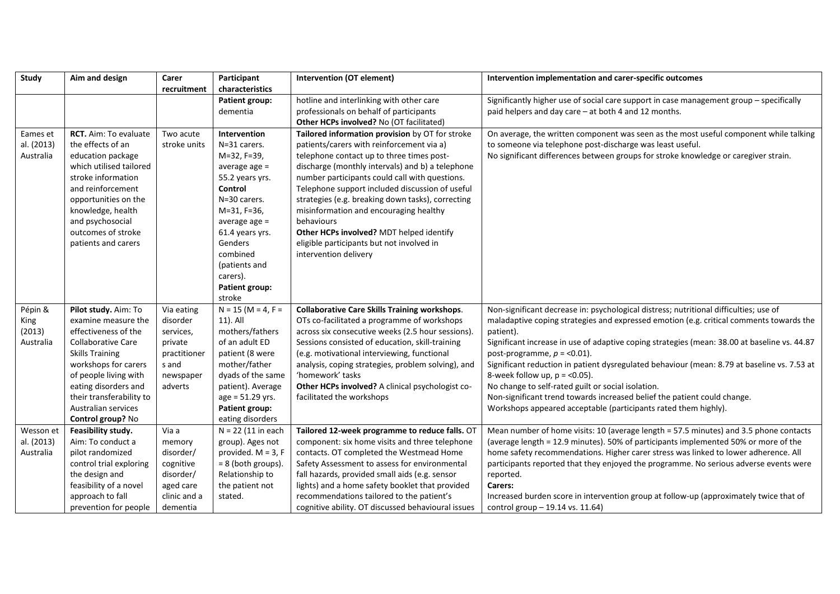| Study      | Aim and design                            | Carer                     | Participant                             | <b>Intervention (OT element)</b>                                                          | Intervention implementation and carer-specific outcomes                                            |
|------------|-------------------------------------------|---------------------------|-----------------------------------------|-------------------------------------------------------------------------------------------|----------------------------------------------------------------------------------------------------|
|            |                                           | recruitment               | characteristics                         |                                                                                           |                                                                                                    |
|            |                                           |                           | Patient group:                          | hotline and interlinking with other care                                                  | Significantly higher use of social care support in case management group - specifically            |
|            |                                           |                           | dementia                                | professionals on behalf of participants                                                   | paid helpers and day care - at both 4 and 12 months.                                               |
|            |                                           |                           |                                         | Other HCPs involved? No (OT facilitated)                                                  |                                                                                                    |
| Eames et   | <b>RCT.</b> Aim: To evaluate              | Two acute                 | Intervention                            | Tailored information provision by OT for stroke                                           | On average, the written component was seen as the most useful component while talking              |
| al. (2013) | the effects of an                         | stroke units              | N=31 carers.                            | patients/carers with reinforcement via a)                                                 | to someone via telephone post-discharge was least useful.                                          |
| Australia  | education package                         |                           | M=32, F=39,                             | telephone contact up to three times post-                                                 | No significant differences between groups for stroke knowledge or caregiver strain.                |
|            | which utilised tailored                   |                           | average age $=$                         | discharge (monthly intervals) and b) a telephone                                          |                                                                                                    |
|            | stroke information                        |                           | 55.2 years yrs.                         | number participants could call with questions.                                            |                                                                                                    |
|            | and reinforcement                         |                           | Control                                 | Telephone support included discussion of useful                                           |                                                                                                    |
|            | opportunities on the                      |                           | N=30 carers.                            | strategies (e.g. breaking down tasks), correcting                                         |                                                                                                    |
|            | knowledge, health                         |                           | M=31, F=36,                             | misinformation and encouraging healthy                                                    |                                                                                                    |
|            | and psychosocial                          |                           | average age =                           | behaviours                                                                                |                                                                                                    |
|            | outcomes of stroke                        |                           | 61.4 years yrs.                         | Other HCPs involved? MDT helped identify                                                  |                                                                                                    |
|            | patients and carers                       |                           | Genders                                 | eligible participants but not involved in                                                 |                                                                                                    |
|            |                                           |                           | combined                                | intervention delivery                                                                     |                                                                                                    |
|            |                                           |                           | (patients and                           |                                                                                           |                                                                                                    |
|            |                                           |                           | carers).                                |                                                                                           |                                                                                                    |
|            |                                           |                           | <b>Patient group:</b>                   |                                                                                           |                                                                                                    |
|            |                                           |                           | stroke                                  |                                                                                           |                                                                                                    |
| Pépin &    | Pilot study. Aim: To                      | Via eating                | $N = 15$ (M = 4, F =                    | <b>Collaborative Care Skills Training workshops.</b>                                      | Non-significant decrease in: psychological distress; nutritional difficulties; use of              |
| King       | examine measure the                       | disorder                  | 11). All                                | OTs co-facilitated a programme of workshops                                               | maladaptive coping strategies and expressed emotion (e.g. critical comments towards the            |
| (2013)     | effectiveness of the                      | services,                 | mothers/fathers                         | across six consecutive weeks (2.5 hour sessions).                                         | patient).                                                                                          |
| Australia  | <b>Collaborative Care</b>                 | private                   | of an adult ED                          | Sessions consisted of education, skill-training                                           | Significant increase in use of adaptive coping strategies (mean: 38.00 at baseline vs. 44.87       |
|            | <b>Skills Training</b>                    | practitioner              | patient (8 were                         | (e.g. motivational interviewing, functional                                               | post-programme, $p = 0.01$ .                                                                       |
|            | workshops for carers                      | s and                     | mother/father                           | analysis, coping strategies, problem solving), and                                        | Significant reduction in patient dysregulated behaviour (mean: 8.79 at baseline vs. 7.53 at        |
|            | of people living with                     | newspaper                 | dyads of the same                       | 'homework' tasks                                                                          | 8-week follow up, $p = 0.05$ ).                                                                    |
|            | eating disorders and                      | adverts                   | patient). Average                       | Other HCPs involved? A clinical psychologist co-                                          | No change to self-rated guilt or social isolation.                                                 |
|            | their transferability to                  |                           | age = 51.29 yrs.                        | facilitated the workshops                                                                 | Non-significant trend towards increased belief the patient could change.                           |
|            | Australian services                       |                           | <b>Patient group:</b>                   |                                                                                           | Workshops appeared acceptable (participants rated them highly).                                    |
|            | Control group? No                         |                           | eating disorders                        |                                                                                           |                                                                                                    |
| Wesson et  | Feasibility study.                        | Via a                     | $N = 22$ (11 in each                    | Tailored 12-week programme to reduce falls. OT                                            | Mean number of home visits: 10 (average length = 57.5 minutes) and 3.5 phone contacts              |
| al. (2013) | Aim: To conduct a                         | memory                    | group). Ages not                        | component: six home visits and three telephone                                            | (average length = 12.9 minutes). 50% of participants implemented 50% or more of the                |
| Australia  | pilot randomized                          | disorder/                 | provided. $M = 3$ , F                   | contacts. OT completed the Westmead Home<br>Safety Assessment to assess for environmental | home safety recommendations. Higher carer stress was linked to lower adherence. All                |
|            | control trial exploring<br>the design and | cognitive<br>disorder/    | $= 8$ (both groups).<br>Relationship to | fall hazards, provided small aids (e.g. sensor                                            | participants reported that they enjoyed the programme. No serious adverse events were<br>reported. |
|            | feasibility of a novel                    |                           | the patient not                         | lights) and a home safety booklet that provided                                           | Carers:                                                                                            |
|            | approach to fall                          | aged care<br>clinic and a | stated.                                 | recommendations tailored to the patient's                                                 | Increased burden score in intervention group at follow-up (approximately twice that of             |
|            |                                           |                           |                                         |                                                                                           |                                                                                                    |
|            | prevention for people                     | dementia                  |                                         | cognitive ability. OT discussed behavioural issues                                        | control group $-19.14$ vs. 11.64)                                                                  |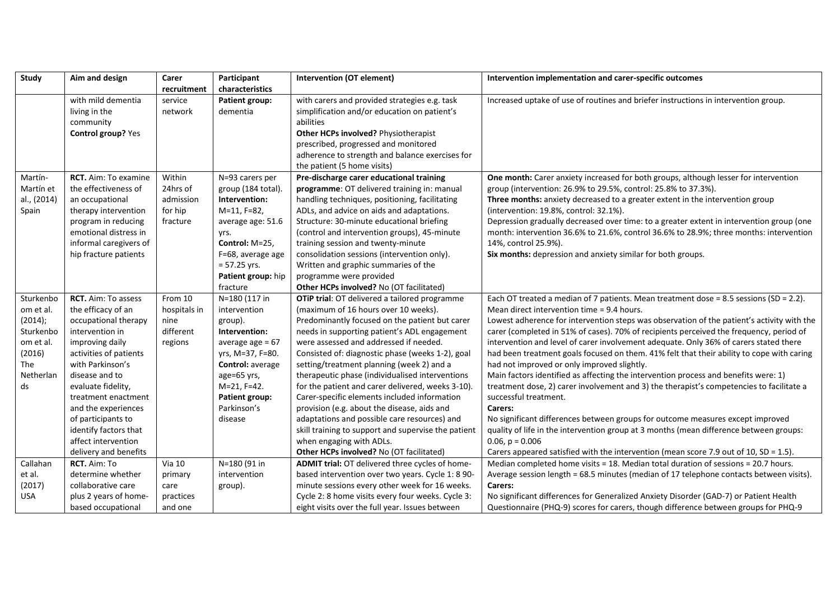| Study       | Aim and design              | Carer         | Participant        | <b>Intervention (OT element)</b>                    | Intervention implementation and carer-specific outcomes                                    |
|-------------|-----------------------------|---------------|--------------------|-----------------------------------------------------|--------------------------------------------------------------------------------------------|
|             |                             | recruitment   | characteristics    |                                                     |                                                                                            |
|             | with mild dementia          | service       | Patient group:     | with carers and provided strategies e.g. task       | Increased uptake of use of routines and briefer instructions in intervention group.        |
|             | living in the               | network       | dementia           | simplification and/or education on patient's        |                                                                                            |
|             | community                   |               |                    | abilities                                           |                                                                                            |
|             | Control group? Yes          |               |                    | Other HCPs involved? Physiotherapist                |                                                                                            |
|             |                             |               |                    | prescribed, progressed and monitored                |                                                                                            |
|             |                             |               |                    | adherence to strength and balance exercises for     |                                                                                            |
|             |                             |               |                    | the patient (5 home visits)                         |                                                                                            |
| Martín-     | <b>RCT.</b> Aim: To examine | Within        | N=93 carers per    | Pre-discharge carer educational training            | One month: Carer anxiety increased for both groups, although lesser for intervention       |
| Martín et   | the effectiveness of        | 24hrs of      | group (184 total). | programme: OT delivered training in: manual         | group (intervention: 26.9% to 29.5%, control: 25.8% to 37.3%).                             |
| al., (2014) | an occupational             | admission     | Intervention:      | handling techniques, positioning, facilitating      | Three months: anxiety decreased to a greater extent in the intervention group              |
| Spain       | therapy intervention        | for hip       | M=11, F=82,        | ADLs, and advice on aids and adaptations.           | (intervention: 19.8%, control: 32.1%).                                                     |
|             | program in reducing         | fracture      | average age: 51.6  | Structure: 30-minute educational briefing           | Depression gradually decreased over time: to a greater extent in intervention group (one   |
|             | emotional distress in       |               | yrs.               | (control and intervention groups), 45-minute        | month: intervention 36.6% to 21.6%, control 36.6% to 28.9%; three months: intervention     |
|             | informal caregivers of      |               | Control: M=25,     | training session and twenty-minute                  | 14%, control 25.9%).                                                                       |
|             | hip fracture patients       |               | F=68, average age  | consolidation sessions (intervention only).         | Six months: depression and anxiety similar for both groups.                                |
|             |                             |               | $= 57.25$ yrs.     | Written and graphic summaries of the                |                                                                                            |
|             |                             |               | Patient group: hip | programme were provided                             |                                                                                            |
|             |                             |               | fracture           | Other HCPs involved? No (OT facilitated)            |                                                                                            |
| Sturkenbo   | RCT. Aim: To assess         | From 10       | N=180 (117 in      | OTiP trial: OT delivered a tailored programme       | Each OT treated a median of 7 patients. Mean treatment dose = 8.5 sessions (SD = 2.2).     |
| om et al.   | the efficacy of an          | hospitals in  | intervention       | (maximum of 16 hours over 10 weeks).                | Mean direct intervention time = 9.4 hours.                                                 |
| (2014);     | occupational therapy        | nine          | group).            | Predominantly focused on the patient but carer      | Lowest adherence for intervention steps was observation of the patient's activity with the |
| Sturkenbo   | intervention in             | different     | Intervention:      | needs in supporting patient's ADL engagement        | carer (completed in 51% of cases). 70% of recipients perceived the frequency, period of    |
| om et al.   | improving daily             | regions       | average age $= 67$ | were assessed and addressed if needed.              | intervention and level of carer involvement adequate. Only 36% of carers stated there      |
| (2016)      | activities of patients      |               | yrs, M=37, F=80.   | Consisted of: diagnostic phase (weeks 1-2), goal    | had been treatment goals focused on them. 41% felt that their ability to cope with caring  |
| The         | with Parkinson's            |               | Control: average   | setting/treatment planning (week 2) and a           | had not improved or only improved slightly.                                                |
| Netherlan   | disease and to              |               | age=65 yrs,        | therapeutic phase (individualised interventions     | Main factors identified as affecting the intervention process and benefits were: 1)        |
| ds          | evaluate fidelity,          |               | M=21, F=42.        | for the patient and carer delivered, weeks 3-10).   | treatment dose, 2) carer involvement and 3) the therapist's competencies to facilitate a   |
|             | treatment enactment         |               | Patient group:     | Carer-specific elements included information        | successful treatment.                                                                      |
|             | and the experiences         |               | Parkinson's        | provision (e.g. about the disease, aids and         | Carers:                                                                                    |
|             | of participants to          |               | disease            | adaptations and possible care resources) and        | No significant differences between groups for outcome measures except improved             |
|             | identify factors that       |               |                    | skill training to support and supervise the patient | quality of life in the intervention group at 3 months (mean difference between groups:     |
|             | affect intervention         |               |                    | when engaging with ADLs.                            | $0.06$ , $p = 0.006$                                                                       |
|             | delivery and benefits       |               |                    | Other HCPs involved? No (OT facilitated)            | Carers appeared satisfied with the intervention (mean score 7.9 out of 10, SD = 1.5).      |
| Callahan    | RCT. Aim: To                | <b>Via 10</b> | N=180 (91 in       | ADMIT trial: OT delivered three cycles of home-     | Median completed home visits = 18. Median total duration of sessions = 20.7 hours.         |
| et al.      | determine whether           | primary       | intervention       | based intervention over two years. Cycle 1: 8 90-   | Average session length = 68.5 minutes (median of 17 telephone contacts between visits).    |
| (2017)      | collaborative care          | care          | group).            | minute sessions every other week for 16 weeks.      | Carers:                                                                                    |
| <b>USA</b>  | plus 2 years of home-       | practices     |                    | Cycle 2: 8 home visits every four weeks. Cycle 3:   | No significant differences for Generalized Anxiety Disorder (GAD-7) or Patient Health      |
|             | based occupational          | and one       |                    | eight visits over the full year. Issues between     | Questionnaire (PHQ-9) scores for carers, though difference between groups for PHQ-9        |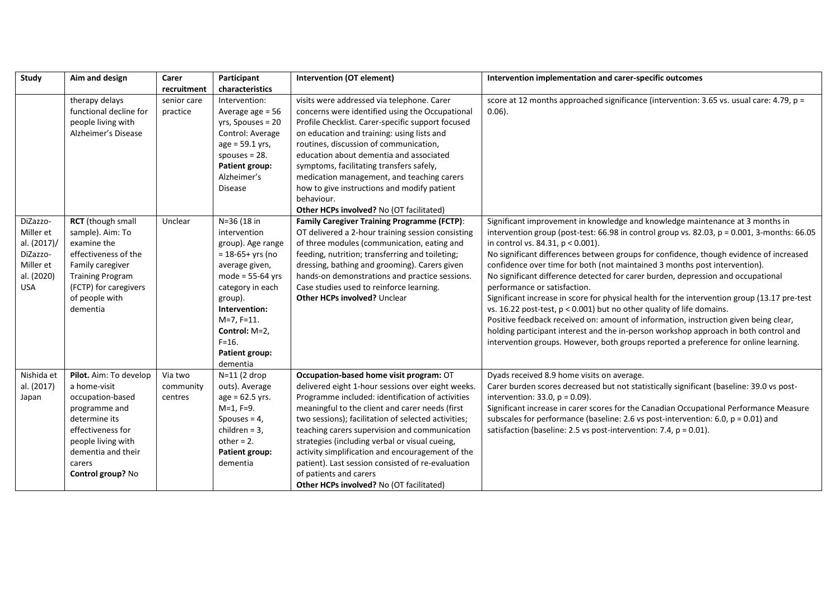| <b>Study</b> | Aim and design          | Carer       | Participant           | <b>Intervention (OT element)</b>                    | Intervention implementation and carer-specific outcomes                                      |
|--------------|-------------------------|-------------|-----------------------|-----------------------------------------------------|----------------------------------------------------------------------------------------------|
|              |                         | recruitment | characteristics       |                                                     |                                                                                              |
|              | therapy delays          | senior care | Intervention:         | visits were addressed via telephone. Carer          | score at 12 months approached significance (intervention: 3.65 vs. usual care: 4.79, p =     |
|              | functional decline for  | practice    | Average age = 56      | concerns were identified using the Occupational     | $0.06$ ).                                                                                    |
|              | people living with      |             | yrs, Spouses = 20     | Profile Checklist. Carer-specific support focused   |                                                                                              |
|              | Alzheimer's Disease     |             | Control: Average      | on education and training: using lists and          |                                                                                              |
|              |                         |             | $age = 59.1 yrs,$     | routines, discussion of communication,              |                                                                                              |
|              |                         |             | spouses $= 28$ .      | education about dementia and associated             |                                                                                              |
|              |                         |             | <b>Patient group:</b> | symptoms, facilitating transfers safely,            |                                                                                              |
|              |                         |             | Alzheimer's           | medication management, and teaching carers          |                                                                                              |
|              |                         |             | <b>Disease</b>        | how to give instructions and modify patient         |                                                                                              |
|              |                         |             |                       | behaviour.                                          |                                                                                              |
|              |                         |             |                       | Other HCPs involved? No (OT facilitated)            |                                                                                              |
| DiZazzo-     | RCT (though small       | Unclear     | N=36 (18 in           | <b>Family Caregiver Training Programme (FCTP):</b>  | Significant improvement in knowledge and knowledge maintenance at 3 months in                |
| Miller et    | sample). Aim: To        |             | intervention          | OT delivered a 2-hour training session consisting   | intervention group (post-test: 66.98 in control group vs. 82.03, p = 0.001, 3-months: 66.05  |
| al. (2017)/  | examine the             |             | group). Age range     | of three modules (communication, eating and         | in control vs. 84.31, p < 0.001).                                                            |
| DiZazzo-     | effectiveness of the    |             | $= 18-65+$ yrs (no    | feeding, nutrition; transferring and toileting;     | No significant differences between groups for confidence, though evidence of increased       |
| Miller et    | Family caregiver        |             | average given,        | dressing, bathing and grooming). Carers given       | confidence over time for both (not maintained 3 months post intervention).                   |
| al. (2020)   | <b>Training Program</b> |             | mode = $55-64$ yrs    | hands-on demonstrations and practice sessions.      | No significant difference detected for carer burden, depression and occupational             |
| <b>USA</b>   | (FCTP) for caregivers   |             | category in each      | Case studies used to reinforce learning.            | performance or satisfaction.                                                                 |
|              | of people with          |             | group).               | <b>Other HCPs involved? Unclear</b>                 | Significant increase in score for physical health for the intervention group (13.17 pre-test |
|              | dementia                |             | Intervention:         |                                                     | vs. 16.22 post-test, p < 0.001) but no other quality of life domains.                        |
|              |                         |             | $M=7, F=11.$          |                                                     | Positive feedback received on: amount of information, instruction given being clear,         |
|              |                         |             | Control: M=2,         |                                                     | holding participant interest and the in-person workshop approach in both control and         |
|              |                         |             | $F = 16.$             |                                                     | intervention groups. However, both groups reported a preference for online learning.         |
|              |                         |             | Patient group:        |                                                     |                                                                                              |
|              |                         |             | dementia              |                                                     |                                                                                              |
| Nishida et   | Pilot. Aim: To develop  | Via two     | $N=11$ (2 drop        | Occupation-based home visit program: OT             | Dyads received 8.9 home visits on average.                                                   |
| al. (2017)   | a home-visit            | community   | outs). Average        | delivered eight 1-hour sessions over eight weeks.   | Carer burden scores decreased but not statistically significant (baseline: 39.0 vs post-     |
| Japan        | occupation-based        | centres     | $age = 62.5$ yrs.     | Programme included: identification of activities    | intervention: 33.0, $p = 0.09$ ).                                                            |
|              | programme and           |             | $M=1, F=9.$           | meaningful to the client and carer needs (first     | Significant increase in carer scores for the Canadian Occupational Performance Measure       |
|              | determine its           |             | Spouses $= 4$ ,       | two sessions); facilitation of selected activities; | subscales for performance (baseline: 2.6 vs post-intervention: 6.0, $p = 0.01$ ) and         |
|              | effectiveness for       |             | children = $3$ ,      | teaching carers supervision and communication       | satisfaction (baseline: 2.5 vs post-intervention: 7.4, p = 0.01).                            |
|              | people living with      |             | $other = 2.$          | strategies (including verbal or visual cueing,      |                                                                                              |
|              | dementia and their      |             | Patient group:        | activity simplification and encouragement of the    |                                                                                              |
|              | carers                  |             | dementia              | patient). Last session consisted of re-evaluation   |                                                                                              |
|              | Control group? No       |             |                       | of patients and carers                              |                                                                                              |
|              |                         |             |                       | Other HCPs involved? No (OT facilitated)            |                                                                                              |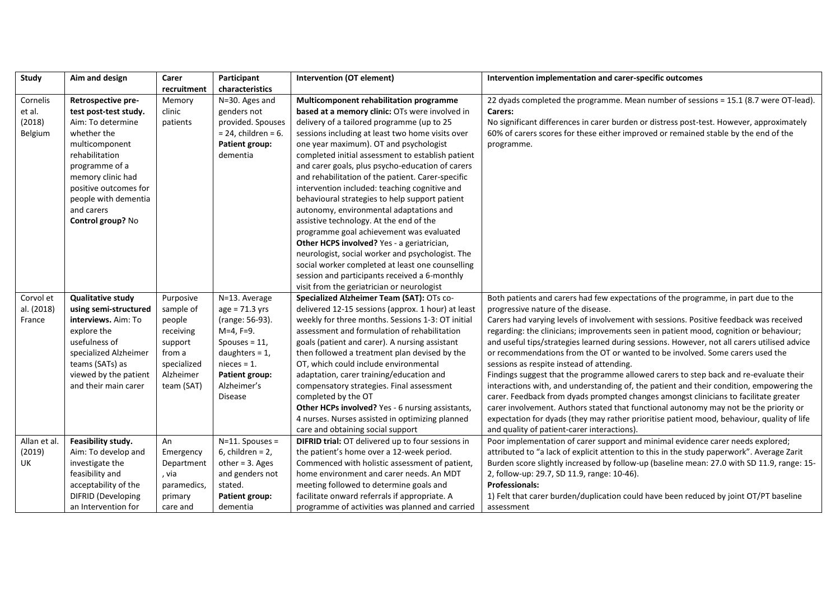| Study        | Aim and design            | Carer       | Participant            | Intervention (OT element)                          | Intervention implementation and carer-specific outcomes                                     |
|--------------|---------------------------|-------------|------------------------|----------------------------------------------------|---------------------------------------------------------------------------------------------|
|              |                           | recruitment | characteristics        |                                                    |                                                                                             |
| Cornelis     | Retrospective pre-        | Memory      | N=30. Ages and         | Multicomponent rehabilitation programme            | 22 dyads completed the programme. Mean number of sessions = 15.1 (8.7 were OT-lead).        |
| et al.       | test post-test study.     | clinic      | genders not            | based at a memory clinic: OTs were involved in     | Carers:                                                                                     |
| (2018)       | Aim: To determine         | patients    | provided. Spouses      | delivery of a tailored programme (up to 25         | No significant differences in carer burden or distress post-test. However, approximately    |
| Belgium      | whether the               |             | $= 24$ , children = 6. | sessions including at least two home visits over   | 60% of carers scores for these either improved or remained stable by the end of the         |
|              | multicomponent            |             | <b>Patient group:</b>  | one year maximum). OT and psychologist             | programme.                                                                                  |
|              | rehabilitation            |             | dementia               | completed initial assessment to establish patient  |                                                                                             |
|              | programme of a            |             |                        | and carer goals, plus psycho-education of carers   |                                                                                             |
|              | memory clinic had         |             |                        | and rehabilitation of the patient. Carer-specific  |                                                                                             |
|              | positive outcomes for     |             |                        | intervention included: teaching cognitive and      |                                                                                             |
|              | people with dementia      |             |                        | behavioural strategies to help support patient     |                                                                                             |
|              | and carers                |             |                        | autonomy, environmental adaptations and            |                                                                                             |
|              | Control group? No         |             |                        | assistive technology. At the end of the            |                                                                                             |
|              |                           |             |                        | programme goal achievement was evaluated           |                                                                                             |
|              |                           |             |                        | Other HCPS involved? Yes - a geriatrician,         |                                                                                             |
|              |                           |             |                        | neurologist, social worker and psychologist. The   |                                                                                             |
|              |                           |             |                        | social worker completed at least one counselling   |                                                                                             |
|              |                           |             |                        | session and participants received a 6-monthly      |                                                                                             |
|              |                           |             |                        | visit from the geriatrician or neurologist         |                                                                                             |
| Corvol et    | <b>Qualitative study</b>  | Purposive   | N=13. Average          | Specialized Alzheimer Team (SAT): OTs co-          | Both patients and carers had few expectations of the programme, in part due to the          |
| al. (2018)   | using semi-structured     | sample of   | $age = 71.3 yrs$       | delivered 12-15 sessions (approx. 1 hour) at least | progressive nature of the disease.                                                          |
| France       | interviews. Aim: To       | people      | (range: 56-93).        | weekly for three months. Sessions 1-3: OT initial  | Carers had varying levels of involvement with sessions. Positive feedback was received      |
|              | explore the               | receiving   | $M=4, F=9.$            | assessment and formulation of rehabilitation       | regarding: the clinicians; improvements seen in patient mood, cognition or behaviour;       |
|              | usefulness of             | support     | Spouses = $11$ ,       | goals (patient and carer). A nursing assistant     | and useful tips/strategies learned during sessions. However, not all carers utilised advice |
|              | specialized Alzheimer     | from a      | daughters = $1$ ,      | then followed a treatment plan devised by the      | or recommendations from the OT or wanted to be involved. Some carers used the               |
|              | teams (SATs) as           | specialized | $nieces = 1.$          | OT, which could include environmental              | sessions as respite instead of attending.                                                   |
|              | viewed by the patient     | Alzheimer   | Patient group:         | adaptation, carer training/education and           | Findings suggest that the programme allowed carers to step back and re-evaluate their       |
|              | and their main carer      | team (SAT)  | Alzheimer's            | compensatory strategies. Final assessment          | interactions with, and understanding of, the patient and their condition, empowering the    |
|              |                           |             | <b>Disease</b>         | completed by the OT                                | carer. Feedback from dyads prompted changes amongst clinicians to facilitate greater        |
|              |                           |             |                        | Other HCPs involved? Yes - 6 nursing assistants,   | carer involvement. Authors stated that functional autonomy may not be the priority or       |
|              |                           |             |                        | 4 nurses. Nurses assisted in optimizing planned    | expectation for dyads (they may rather prioritise patient mood, behaviour, quality of life  |
|              |                           |             |                        | care and obtaining social support                  | and quality of patient-carer interactions).                                                 |
| Allan et al. | Feasibility study.        | An          | $N=11.$ Spouses =      | DIFRID trial: OT delivered up to four sessions in  | Poor implementation of carer support and minimal evidence carer needs explored;             |
| (2019)       | Aim: To develop and       | Emergency   | 6, children = $2$ ,    | the patient's home over a 12-week period.          | attributed to "a lack of explicit attention to this in the study paperwork". Average Zarit  |
| UK.          | investigate the           | Department  | other = $3.$ Ages      | Commenced with holistic assessment of patient,     | Burden score slightly increased by follow-up (baseline mean: 27.0 with SD 11.9, range: 15-  |
|              | feasibility and           | , via       | and genders not        | home environment and carer needs. An MDT           | 2, follow-up: 29.7, SD 11.9, range: 10-46).                                                 |
|              | acceptability of the      | paramedics, | stated.                | meeting followed to determine goals and            | <b>Professionals:</b>                                                                       |
|              | <b>DIFRID</b> (Developing | primary     | Patient group:         | facilitate onward referrals if appropriate. A      | 1) Felt that carer burden/duplication could have been reduced by joint OT/PT baseline       |
|              | an Intervention for       | care and    | dementia               | programme of activities was planned and carried    | assessment                                                                                  |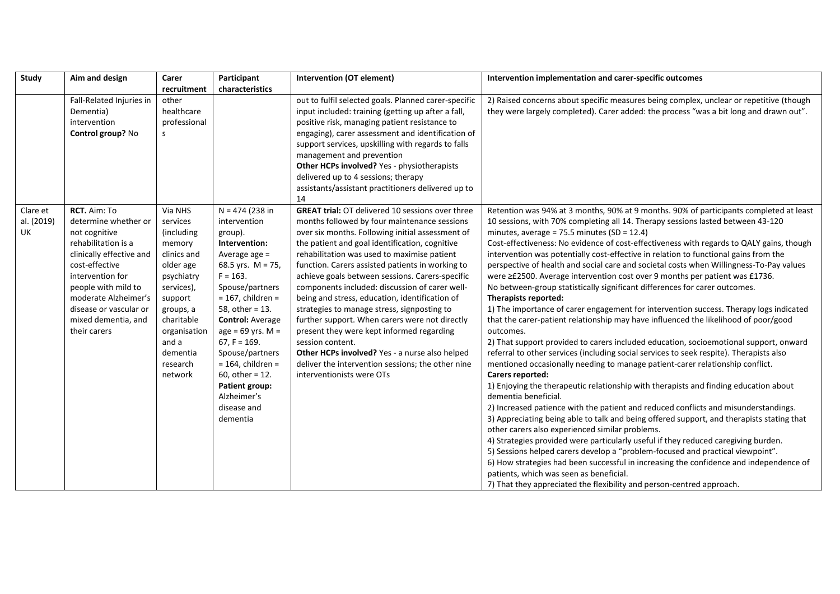| Study      | Aim and design           | Carer        | Participant             | Intervention (OT element)                               | Intervention implementation and carer-specific outcomes                                   |
|------------|--------------------------|--------------|-------------------------|---------------------------------------------------------|-------------------------------------------------------------------------------------------|
|            |                          | recruitment  | characteristics         |                                                         |                                                                                           |
|            | Fall-Related Injuries in | other        |                         | out to fulfil selected goals. Planned carer-specific    | 2) Raised concerns about specific measures being complex, unclear or repetitive (though   |
|            | Dementia)                | healthcare   |                         | input included: training (getting up after a fall,      | they were largely completed). Carer added: the process "was a bit long and drawn out".    |
|            | intervention             | professional |                         | positive risk, managing patient resistance to           |                                                                                           |
|            | Control group? No        | S            |                         | engaging), carer assessment and identification of       |                                                                                           |
|            |                          |              |                         | support services, upskilling with regards to falls      |                                                                                           |
|            |                          |              |                         | management and prevention                               |                                                                                           |
|            |                          |              |                         | Other HCPs involved? Yes - physiotherapists             |                                                                                           |
|            |                          |              |                         | delivered up to 4 sessions; therapy                     |                                                                                           |
|            |                          |              |                         | assistants/assistant practitioners delivered up to      |                                                                                           |
|            |                          |              |                         | 14                                                      |                                                                                           |
| Clare et   | RCT. Aim: To             | Via NHS      | $N = 474$ (238 in       | <b>GREAT trial: OT delivered 10 sessions over three</b> | Retention was 94% at 3 months, 90% at 9 months. 90% of participants completed at least    |
| al. (2019) | determine whether or     | services     | intervention            | months followed by four maintenance sessions            | 10 sessions, with 70% completing all 14. Therapy sessions lasted between 43-120           |
| UK         | not cognitive            | (including   | group).                 | over six months. Following initial assessment of        | minutes, average = $75.5$ minutes (SD = 12.4)                                             |
|            | rehabilitation is a      | memory       | Intervention:           | the patient and goal identification, cognitive          | Cost-effectiveness: No evidence of cost-effectiveness with regards to QALY gains, though  |
|            | clinically effective and | clinics and  | Average age $=$         | rehabilitation was used to maximise patient             | intervention was potentially cost-effective in relation to functional gains from the      |
|            | cost-effective           | older age    | 68.5 yrs. $M = 75$ ,    | function. Carers assisted patients in working to        | perspective of health and social care and societal costs when Willingness-To-Pay values   |
|            | intervention for         | psychiatry   | $F = 163.$              | achieve goals between sessions. Carers-specific         | were ≥£2500. Average intervention cost over 9 months per patient was £1736.               |
|            | people with mild to      | services),   | Spouse/partners         | components included: discussion of carer well-          | No between-group statistically significant differences for carer outcomes.                |
|            | moderate Alzheimer's     | support      | $= 167$ , children =    | being and stress, education, identification of          | Therapists reported:                                                                      |
|            | disease or vascular or   | groups, a    | 58, other = 13.         | strategies to manage stress, signposting to             | 1) The importance of carer engagement for intervention success. Therapy logs indicated    |
|            | mixed dementia, and      | charitable   | <b>Control: Average</b> | further support. When carers were not directly          | that the carer-patient relationship may have influenced the likelihood of poor/good       |
|            | their carers             | organisation | $age = 69$ yrs. M =     | present they were kept informed regarding               | outcomes.                                                                                 |
|            |                          | and a        | $67, F = 169.$          | session content.                                        | 2) That support provided to carers included education, socioemotional support, onward     |
|            |                          | dementia     | Spouse/partners         | Other HCPs involved? Yes - a nurse also helped          | referral to other services (including social services to seek respite). Therapists also   |
|            |                          | research     | $= 164$ , children =    | deliver the intervention sessions; the other nine       | mentioned occasionally needing to manage patient-carer relationship conflict.             |
|            |                          | network      | 60, other = $12$ .      | interventionists were OTs                               | Carers reported:                                                                          |
|            |                          |              | <b>Patient group:</b>   |                                                         | 1) Enjoying the therapeutic relationship with therapists and finding education about      |
|            |                          |              | Alzheimer's             |                                                         | dementia beneficial.                                                                      |
|            |                          |              | disease and             |                                                         | 2) Increased patience with the patient and reduced conflicts and misunderstandings.       |
|            |                          |              | dementia                |                                                         | 3) Appreciating being able to talk and being offered support, and therapists stating that |
|            |                          |              |                         |                                                         | other carers also experienced similar problems.                                           |
|            |                          |              |                         |                                                         | 4) Strategies provided were particularly useful if they reduced caregiving burden.        |
|            |                          |              |                         |                                                         | 5) Sessions helped carers develop a "problem-focused and practical viewpoint".            |
|            |                          |              |                         |                                                         | 6) How strategies had been successful in increasing the confidence and independence of    |
|            |                          |              |                         |                                                         | patients, which was seen as beneficial.                                                   |
|            |                          |              |                         |                                                         | 7) That they appreciated the flexibility and person-centred approach.                     |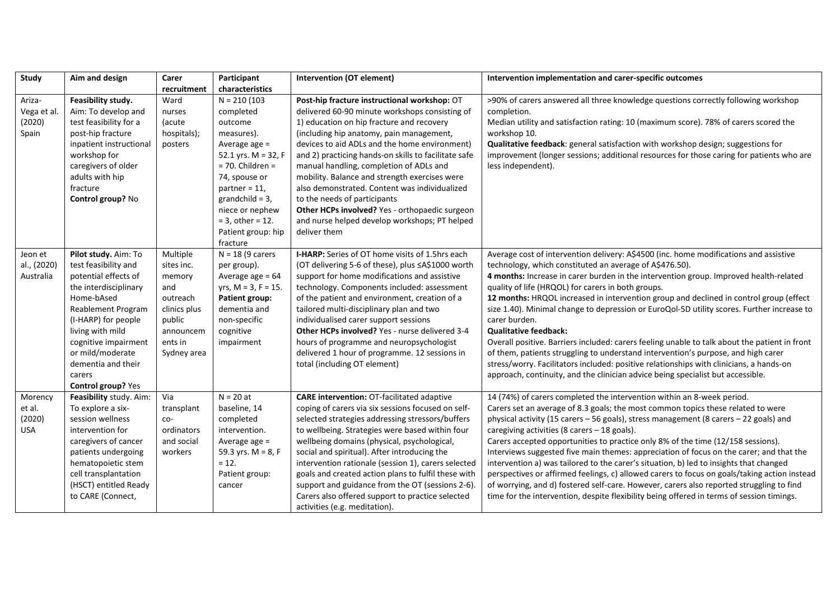| Study       | Aim and design            | Carer        | Participant               | <b>Intervention (OT element)</b>                     | Intervention implementation and carer-specific outcomes                                       |
|-------------|---------------------------|--------------|---------------------------|------------------------------------------------------|-----------------------------------------------------------------------------------------------|
|             |                           | recruitment  | characteristics           |                                                      |                                                                                               |
| Ariza-      | Feasibility study.        | Ward         | $N = 210(103)$            | Post-hip fracture instructional workshop: OT         | >90% of carers answered all three knowledge questions correctly following workshop            |
| Vega et al. | Aim: To develop and       | nurses       | completed                 | delivered 60-90 minute workshops consisting of       | completion.                                                                                   |
| (2020)      | test feasibility for a    | (acute       | outcome                   | 1) education on hip fracture and recovery            | Median utility and satisfaction rating: 10 (maximum score). 78% of carers scored the          |
| Spain       | post-hip fracture         | hospitals);  | measures).                | (including hip anatomy, pain management,             | workshop 10.                                                                                  |
|             | inpatient instructional   | posters      | Average age =             | devices to aid ADLs and the home environment)        | Qualitative feedback: general satisfaction with workshop design; suggestions for              |
|             | workshop for              |              | 52.1 yrs. $M = 32$ , F    | and 2) practicing hands-on skills to facilitate safe | improvement (longer sessions; additional resources for those caring for patients who are      |
|             | caregivers of older       |              | $= 70.$ Children $=$      | manual handling, completion of ADLs and              | less independent).                                                                            |
|             | adults with hip           |              | 74, spouse or             | mobility. Balance and strength exercises were        |                                                                                               |
|             | fracture                  |              | partner = $11$ ,          | also demonstrated. Content was individualized        |                                                                                               |
|             | Control group? No         |              | grandchild = $3$ ,        | to the needs of participants                         |                                                                                               |
|             |                           |              | niece or nephew           | Other HCPs involved? Yes - orthopaedic surgeon       |                                                                                               |
|             |                           |              | $= 3$ , other = 12.       | and nurse helped develop workshops; PT helped        |                                                                                               |
|             |                           |              | Patient group: hip        | deliver them                                         |                                                                                               |
|             |                           |              | fracture                  |                                                      |                                                                                               |
| Jeon et     | Pilot study. Aim: To      | Multiple     | $N = 18$ (9 carers        | I-HARP: Series of OT home visits of 1.5hrs each      | Average cost of intervention delivery: A\$4500 (inc. home modifications and assistive         |
| al., (2020) | test feasibility and      | sites inc.   | per group).               | (OT delivering 5-6 of these), plus ≤A\$1000 worth    | technology, which constituted an average of A\$476.50).                                       |
| Australia   | potential effects of      | memory       | Average age $= 64$        | support for home modifications and assistive         | 4 months: Increase in carer burden in the intervention group. Improved health-related         |
|             | the interdisciplinary     | and          | yrs, $M = 3$ , $F = 15$ . | technology. Components included: assessment          | quality of life (HRQOL) for carers in both groups.                                            |
|             | Home-bAsed                | outreach     | Patient group:            | of the patient and environment, creation of a        | 12 months: HRQOL increased in intervention group and declined in control group (effect        |
|             | <b>Reablement Program</b> | clinics plus | dementia and              | tailored multi-disciplinary plan and two             | size 1.40). Minimal change to depression or EuroQol-5D utility scores. Further increase to    |
|             | (I-HARP) for people       | public       | non-specific              | individualised carer support sessions                | carer burden.                                                                                 |
|             | living with mild          | announcem    | cognitive                 | Other HCPs involved? Yes - nurse delivered 3-4       | <b>Qualitative feedback:</b>                                                                  |
|             | cognitive impairment      | ents in      | impairment                | hours of programme and neuropsychologist             | Overall positive. Barriers included: carers feeling unable to talk about the patient in front |
|             | or mild/moderate          | Sydney area  |                           | delivered 1 hour of programme. 12 sessions in        | of them, patients struggling to understand intervention's purpose, and high carer             |
|             | dementia and their        |              |                           | total (including OT element)                         | stress/worry. Facilitators included: positive relationships with clinicians, a hands-on       |
|             | carers                    |              |                           |                                                      | approach, continuity, and the clinician advice being specialist but accessible.               |
|             | Control group? Yes        |              |                           |                                                      |                                                                                               |
| Morency     | Feasibility study. Aim:   | Via          | $N = 20$ at               | <b>CARE intervention: OT-facilitated adaptive</b>    | 14 (74%) of carers completed the intervention within an 8-week period.                        |
| et al.      | To explore a six-         | transplant   | baseline, 14              | coping of carers via six sessions focused on self-   | Carers set an average of 8.3 goals; the most common topics these related to were              |
| (2020)      | session wellness          | co-          | completed                 | selected strategies addressing stressors/buffers     | physical activity (15 carers - 56 goals), stress management (8 carers - 22 goals) and         |
| <b>USA</b>  | intervention for          | ordinators   | intervention.             | to wellbeing. Strategies were based within four      | caregiving activities (8 carers - 18 goals).                                                  |
|             | caregivers of cancer      | and social   | Average age $=$           | wellbeing domains (physical, psychological,          | Carers accepted opportunities to practice only 8% of the time (12/158 sessions).              |
|             | patients undergoing       | workers      | 59.3 yrs. $M = 8, F$      | social and spiritual). After introducing the         | Interviews suggested five main themes: appreciation of focus on the carer; and that the       |
|             | hematopoietic stem        |              | $= 12.$                   | intervention rationale (session 1), carers selected  | intervention a) was tailored to the carer's situation, b) led to insights that changed        |
|             | cell transplantation      |              | Patient group:            | goals and created action plans to fulfil these with  | perspectives or affirmed feelings, c) allowed carers to focus on goals/taking action instead  |
|             | (HSCT) entitled Ready     |              | cancer                    | support and guidance from the OT (sessions 2-6).     | of worrying, and d) fostered self-care. However, carers also reported struggling to find      |
|             | to CARE (Connect,         |              |                           | Carers also offered support to practice selected     | time for the intervention, despite flexibility being offered in terms of session timings.     |
|             |                           |              |                           | activities (e.g. meditation).                        |                                                                                               |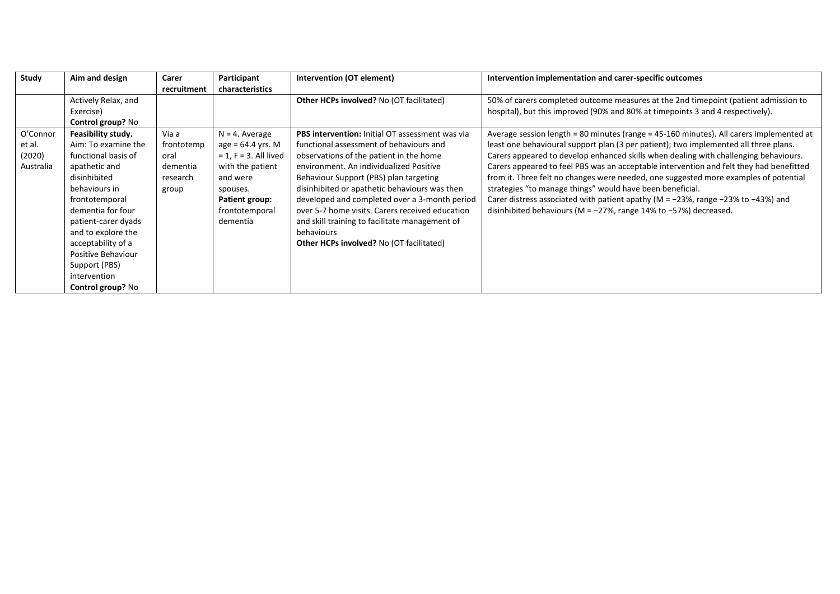| <b>Study</b> | Aim and design           | Carer       | Participant              | Intervention (OT element)                              | Intervention implementation and carer-specific outcomes                                      |
|--------------|--------------------------|-------------|--------------------------|--------------------------------------------------------|----------------------------------------------------------------------------------------------|
|              |                          | recruitment | characteristics          |                                                        |                                                                                              |
|              | Actively Relax, and      |             |                          | <b>Other HCPs involved?</b> No (OT facilitated)        | 50% of carers completed outcome measures at the 2nd timepoint (patient admission to          |
|              | Exercise)                |             |                          |                                                        | hospital), but this improved (90% and 80% at timepoints 3 and 4 respectively).               |
|              | Control group? No        |             |                          |                                                        |                                                                                              |
| O'Connor     | Feasibility study.       | Via a       | $N = 4$ . Average        | <b>PBS intervention:</b> Initial OT assessment was via | Average session length = 80 minutes (range = 45-160 minutes). All carers implemented at      |
| et al.       | Aim: To examine the      | frontotemp  | $age = 64.4$ yrs. M      | functional assessment of behaviours and                | least one behavioural support plan (3 per patient); two implemented all three plans.         |
| (2020)       | functional basis of      | oral        | $= 1$ , F = 3. All lived | observations of the patient in the home                | Carers appeared to develop enhanced skills when dealing with challenging behaviours.         |
| Australia    | apathetic and            | dementia    | with the patient         | environment. An individualized Positive                | Carers appeared to feel PBS was an acceptable intervention and felt they had benefitted      |
|              | disinhibited             | research    | and were                 | Behaviour Support (PBS) plan targeting                 | from it. Three felt no changes were needed, one suggested more examples of potential         |
|              | behaviours in            | group       | spouses.                 | disinhibited or apathetic behaviours was then          | strategies "to manage things" would have been beneficial.                                    |
|              | frontotemporal           |             | Patient group:           | developed and completed over a 3-month period          | Carer distress associated with patient apathy ( $M = -23\%$ , range $-23\%$ to $-43\%$ ) and |
|              | dementia for four        |             | frontotemporal           | over 5-7 home visits. Carers received education        | disinhibited behaviours (M = $-27\%$ , range 14% to $-57\%$ ) decreased.                     |
|              | patient-carer dyads      |             | dementia                 | and skill training to facilitate management of         |                                                                                              |
|              | and to explore the       |             |                          | behaviours                                             |                                                                                              |
|              | acceptability of a       |             |                          | <b>Other HCPs involved?</b> No (OT facilitated)        |                                                                                              |
|              | Positive Behaviour       |             |                          |                                                        |                                                                                              |
|              | Support (PBS)            |             |                          |                                                        |                                                                                              |
|              | intervention             |             |                          |                                                        |                                                                                              |
|              | <b>Control group? No</b> |             |                          |                                                        |                                                                                              |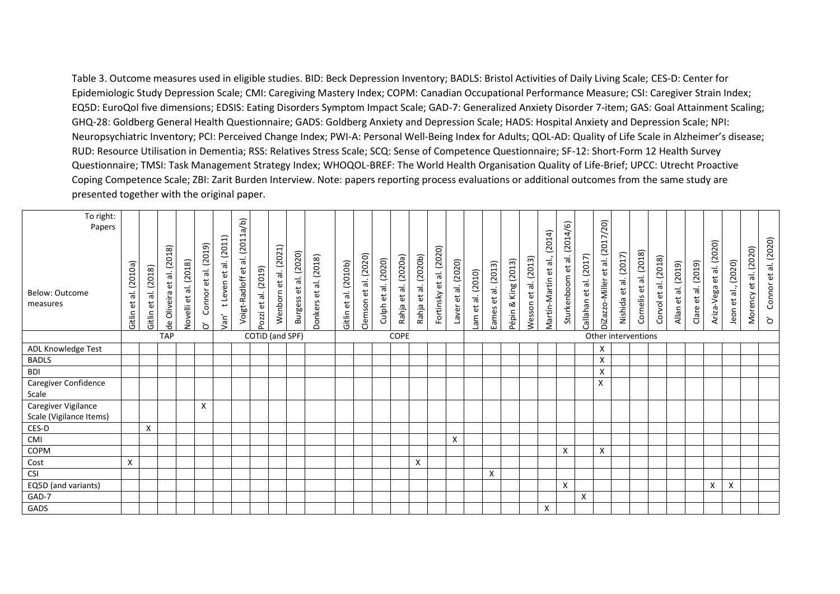Table 3. Outcome measures used in eligible studies. BID: Beck Depression Inventory; BADLS: Bristol Activities of Daily Living Scale; CES-D: Center for Epidemiologic Study Depression Scale; CMI: Caregiving Mastery Index; COPM: Canadian Occupational Performance Measure; CSI: Caregiver Strain Index; EQ5D: EuroQol five dimensions; EDSIS: Eating Disorders Symptom Impact Scale; GAD-7: Generalized Anxiety Disorder 7-item; GAS: Goal Attainment Scaling; GHQ-28: Goldberg General Health Questionnaire; GADS: Goldberg Anxiety and Depression Scale; HADS: Hospital Anxiety and Depression Scale; NPI: Neuropsychiatric Inventory; PCI: Perceived Change Index; PWI-A: Personal Well-Being Index for Adults; QOL-AD: Quality of Life Scale in Alzheimer's disease; RUD: Resource Utilisation in Dementia; RSS: Relatives Stress Scale; SCQ: Sense of Competence Questionnaire; SF-12: Short-Form 12 Health Survey Questionnaire; TMSI: Task Management Strategy Index; WHOQOL-BREF: The World Health Organisation Quality of Life-Brief; UPCC: Utrecht Proactive Coping Competence Scale; ZBI: Zarit Burden Interview. Note: papers reporting process evaluations or additional outcomes from the same study are presented together with the original paper.

| To right:<br>Papers                            |                                                                   |                                    |                                                                                       |                                                        |                                                                       |                                                                                              | (q/e<br>Ħ                                  |                                   |                                               |                                                                 |                       |                                                  |                                                  |                                             |                                                       |                                                           |                            |                                                                   |                                |                                |                           |                                                                  |                                                                     | 4/6)                                   |                              |                                    |                         |                                          |                            |                                                    |                                                          |                               |                           |                                                      |                                                        |
|------------------------------------------------|-------------------------------------------------------------------|------------------------------------|---------------------------------------------------------------------------------------|--------------------------------------------------------|-----------------------------------------------------------------------|----------------------------------------------------------------------------------------------|--------------------------------------------|-----------------------------------|-----------------------------------------------|-----------------------------------------------------------------|-----------------------|--------------------------------------------------|--------------------------------------------------|---------------------------------------------|-------------------------------------------------------|-----------------------------------------------------------|----------------------------|-------------------------------------------------------------------|--------------------------------|--------------------------------|---------------------------|------------------------------------------------------------------|---------------------------------------------------------------------|----------------------------------------|------------------------------|------------------------------------|-------------------------|------------------------------------------|----------------------------|----------------------------------------------------|----------------------------------------------------------|-------------------------------|---------------------------|------------------------------------------------------|--------------------------------------------------------|
| Below: Outcome<br>measures                     | (2010a)<br>$\dot{\bar{\bar{\sigma}}}$<br>$\overline{e}$<br>Gitlin | (2018)<br>$\vec{a}$<br>ಕ<br>Gitlin | (2018)<br>$\vec{a}$<br>$\overleftrightarrow{\mathrm{e}}$<br>Oliveira<br>$\frac{9}{6}$ | (2018)<br>$\vec{a}$<br>$\tilde{\mathtt{e}}$<br>Novelli | al. (2019)<br>$\overleftrightarrow{\mathtt{C}}$<br>Connor<br>$\delta$ | (2011)<br>$\dot{\bar{\bar{\sigma}}}$<br>$\overleftrightarrow{\mathrm{e}}$<br>t Leven<br>/an' | $\overline{c}$<br>π<br>t,<br>Voigt-Radloff | (2019)<br>ಕ<br>$\vec{e}$<br>Pozzi | al. (2021)<br>$\tilde{\mathtt{e}}$<br>Wenborn | al. (2020)<br>$\overleftrightarrow{\text{e}}$<br><b>Burgess</b> | Donkers et al. (2018) | (2010b)<br>$\dot{=}$<br>$\overline{e}$<br>Gitlin | (2020)<br>$\dot{=}$<br>$\overline{e}$<br>Clemson | al. (2020)<br>$\tilde{\mathbf{e}}$<br>Culph | (2020a)<br>$\vec{=}$<br>$\mathbf{\tilde{e}}$<br>Rahja | al. (2020b)<br>$\overleftrightarrow{\mathbf{e}}$<br>Rahja | et al. (2020)<br>Fortinsky | (2020)<br>$\dot{=}$<br>$\overleftrightarrow{\mathtt{C}}$<br>Laver | (2010)<br>$\dot{=}$<br>ť<br>me | (2013)<br>$\tilde{e}$<br>Eames | King (2013)<br>ಹ<br>Pépin | (2013)<br>$\dot{\bar{\bar{\sigma}}}$<br>$\overline{e}$<br>Wesson | (2014)<br>तं,<br>$\overleftrightarrow{\mathbf{e}}$<br>Martín-Martín | (201)<br>$\vec{a}$<br>đ<br>Sturkenboom | (2017)<br>ಕ<br>ť<br>nahallat | et al. (2017/20)<br>DiZazzo-Miller | (2017)<br>έť<br>Nishida | al. (2018)<br>$\overline{e}$<br>Cornelis | (2018)<br>ಕ<br>ť<br>Corvol | (2019)<br>$\dot{\bar{\bar{\sigma}}}$<br>ť<br>Allan | al. (2019)<br>$\overleftrightarrow{\mathbf{e}}$<br>Clare | al. (2020)<br>đ<br>Ariza-Vega | (2020)<br>et al.,<br>Jeon | (2020)<br>$\dot{\bar{\bar{\sigma}}}$<br>đ<br>Morency | al. (2020)<br>$\mathbf{e}^{\mathbf{t}}$<br>Connor<br>ò |
|                                                |                                                                   |                                    | <b>TAP</b>                                                                            |                                                        |                                                                       |                                                                                              |                                            | COTID (and SPF)                   |                                               |                                                                 |                       |                                                  |                                                  |                                             | <b>COPE</b>                                           |                                                           |                            |                                                                   |                                |                                |                           |                                                                  |                                                                     |                                        |                              | Other interventions                |                         |                                          |                            |                                                    |                                                          |                               |                           |                                                      |                                                        |
| ADL Knowledge Test                             |                                                                   |                                    |                                                                                       |                                                        |                                                                       |                                                                                              |                                            |                                   |                                               |                                                                 |                       |                                                  |                                                  |                                             |                                                       |                                                           |                            |                                                                   |                                |                                |                           |                                                                  |                                                                     |                                        |                              | X                                  |                         |                                          |                            |                                                    |                                                          |                               |                           |                                                      |                                                        |
| <b>BADLS</b>                                   |                                                                   |                                    |                                                                                       |                                                        |                                                                       |                                                                                              |                                            |                                   |                                               |                                                                 |                       |                                                  |                                                  |                                             |                                                       |                                                           |                            |                                                                   |                                |                                |                           |                                                                  |                                                                     |                                        |                              | X                                  |                         |                                          |                            |                                                    |                                                          |                               |                           |                                                      |                                                        |
| <b>BDI</b>                                     |                                                                   |                                    |                                                                                       |                                                        |                                                                       |                                                                                              |                                            |                                   |                                               |                                                                 |                       |                                                  |                                                  |                                             |                                                       |                                                           |                            |                                                                   |                                |                                |                           |                                                                  |                                                                     |                                        |                              | X                                  |                         |                                          |                            |                                                    |                                                          |                               |                           |                                                      |                                                        |
| Caregiver Confidence<br>Scale                  |                                                                   |                                    |                                                                                       |                                                        |                                                                       |                                                                                              |                                            |                                   |                                               |                                                                 |                       |                                                  |                                                  |                                             |                                                       |                                                           |                            |                                                                   |                                |                                |                           |                                                                  |                                                                     |                                        |                              | X                                  |                         |                                          |                            |                                                    |                                                          |                               |                           |                                                      |                                                        |
| Caregiver Vigilance<br>Scale (Vigilance Items) |                                                                   |                                    |                                                                                       |                                                        | X                                                                     |                                                                                              |                                            |                                   |                                               |                                                                 |                       |                                                  |                                                  |                                             |                                                       |                                                           |                            |                                                                   |                                |                                |                           |                                                                  |                                                                     |                                        |                              |                                    |                         |                                          |                            |                                                    |                                                          |                               |                           |                                                      |                                                        |
| CES-D                                          |                                                                   | X                                  |                                                                                       |                                                        |                                                                       |                                                                                              |                                            |                                   |                                               |                                                                 |                       |                                                  |                                                  |                                             |                                                       |                                                           |                            |                                                                   |                                |                                |                           |                                                                  |                                                                     |                                        |                              |                                    |                         |                                          |                            |                                                    |                                                          |                               |                           |                                                      |                                                        |
| CMI                                            |                                                                   |                                    |                                                                                       |                                                        |                                                                       |                                                                                              |                                            |                                   |                                               |                                                                 |                       |                                                  |                                                  |                                             |                                                       |                                                           |                            | X                                                                 |                                |                                |                           |                                                                  |                                                                     |                                        |                              |                                    |                         |                                          |                            |                                                    |                                                          |                               |                           |                                                      |                                                        |
| COPM                                           |                                                                   |                                    |                                                                                       |                                                        |                                                                       |                                                                                              |                                            |                                   |                                               |                                                                 |                       |                                                  |                                                  |                                             |                                                       |                                                           |                            |                                                                   |                                |                                |                           |                                                                  |                                                                     | X                                      |                              | X                                  |                         |                                          |                            |                                                    |                                                          |                               |                           |                                                      |                                                        |
| Cost                                           | $\mathsf{X}$                                                      |                                    |                                                                                       |                                                        |                                                                       |                                                                                              |                                            |                                   |                                               |                                                                 |                       |                                                  |                                                  |                                             |                                                       | Χ                                                         |                            |                                                                   |                                |                                |                           |                                                                  |                                                                     |                                        |                              |                                    |                         |                                          |                            |                                                    |                                                          |                               |                           |                                                      |                                                        |
| <b>CSI</b>                                     |                                                                   |                                    |                                                                                       |                                                        |                                                                       |                                                                                              |                                            |                                   |                                               |                                                                 |                       |                                                  |                                                  |                                             |                                                       |                                                           |                            |                                                                   |                                | Χ                              |                           |                                                                  |                                                                     |                                        |                              |                                    |                         |                                          |                            |                                                    |                                                          |                               |                           |                                                      |                                                        |
| EQ5D (and variants)                            |                                                                   |                                    |                                                                                       |                                                        |                                                                       |                                                                                              |                                            |                                   |                                               |                                                                 |                       |                                                  |                                                  |                                             |                                                       |                                                           |                            |                                                                   |                                |                                |                           |                                                                  |                                                                     | X                                      |                              |                                    |                         |                                          |                            |                                                    |                                                          | Χ                             | Χ                         |                                                      |                                                        |
| GAD-7                                          |                                                                   |                                    |                                                                                       |                                                        |                                                                       |                                                                                              |                                            |                                   |                                               |                                                                 |                       |                                                  |                                                  |                                             |                                                       |                                                           |                            |                                                                   |                                |                                |                           |                                                                  |                                                                     |                                        | X                            |                                    |                         |                                          |                            |                                                    |                                                          |                               |                           |                                                      |                                                        |
| GADS                                           |                                                                   |                                    |                                                                                       |                                                        |                                                                       |                                                                                              |                                            |                                   |                                               |                                                                 |                       |                                                  |                                                  |                                             |                                                       |                                                           |                            |                                                                   |                                |                                |                           |                                                                  | X                                                                   |                                        |                              |                                    |                         |                                          |                            |                                                    |                                                          |                               |                           |                                                      |                                                        |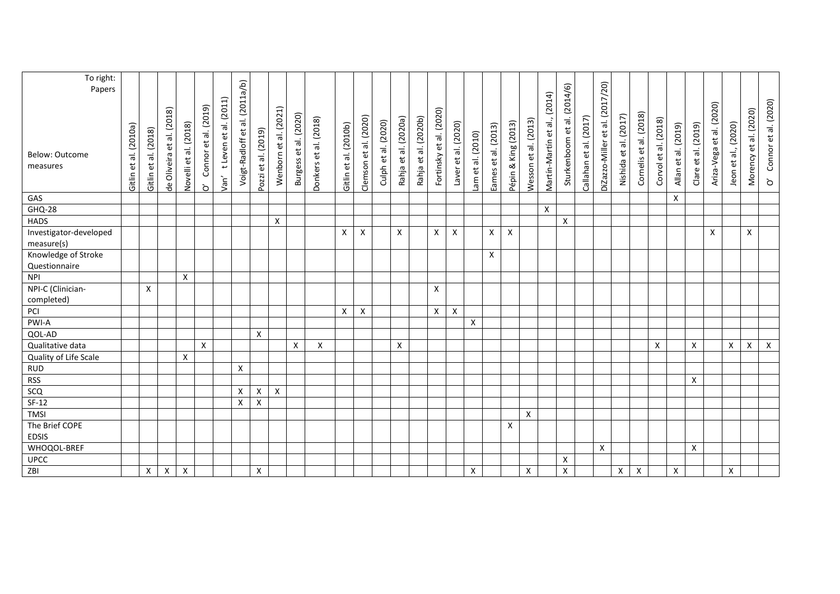| To right:<br>Papers                  |                                                                  |                           |                           |                       |                           |                               | al. (2011a/b)    |                     |                       |                       |                       |                       |                       |                     |                      |                           |                         |                           |                    |                     |                     |                      |                       |                             |                        |                                 |                       |                        |                      |                     |                     |                          |                     |                       |                                         |
|--------------------------------------|------------------------------------------------------------------|---------------------------|---------------------------|-----------------------|---------------------------|-------------------------------|------------------|---------------------|-----------------------|-----------------------|-----------------------|-----------------------|-----------------------|---------------------|----------------------|---------------------------|-------------------------|---------------------------|--------------------|---------------------|---------------------|----------------------|-----------------------|-----------------------------|------------------------|---------------------------------|-----------------------|------------------------|----------------------|---------------------|---------------------|--------------------------|---------------------|-----------------------|-----------------------------------------|
|                                      |                                                                  |                           |                           |                       |                           |                               |                  |                     |                       |                       |                       |                       |                       |                     |                      |                           |                         |                           |                    |                     |                     |                      | (2014)                |                             |                        |                                 |                       |                        |                      |                     |                     |                          |                     |                       |                                         |
| Below: Outcome<br>measures           | (2010a)<br>$\overline{\overline{\sigma}}$<br>$\vec{e}$<br>Gitlin | et al. (2018)<br>Gitlin   | de Oliveira et al. (2018) | Novelli et al. (2018) | Connor et al. (2019)<br>ò | t Leven et al. (2011)<br>Van' | Voigt-Radloff et | Pozzi et al. (2019) | Wenborn et al. (2021) | Burgess et al. (2020) | Donkers et al. (2018) | Gitlin et al. (2010b) | Clemson et al. (2020) | Culph et al. (2020) | Rahja et al. (2020a) | al. (2020b)<br>Rahja et a | Fortinsky et al. (2020) | Laver et al. (2020)       | Lam et al. (2010)  | Eames et al. (2013) | Pépin & King (2013) | Wesson et al. (2013) | Martín-Martín et al., | Sturkenboom et al. (2014/6) | Callahan et al. (2017) | DiZazzo-Miller et al. (2017/20) | Nishida et al. (2017) | Cornelis et al. (2018) | Corvol et al. (2018) | Allan et al. (2019) | Clare et al. (2019) | Ariza-Vega et al. (2020) | Jeon et al., (2020) | Morency et al. (2020) | Connor et al. (2020)<br>$\rm \grave{o}$ |
| GAS                                  |                                                                  |                           |                           |                       |                           |                               |                  |                     |                       |                       |                       |                       |                       |                     |                      |                           |                         |                           |                    |                     |                     |                      |                       |                             |                        |                                 |                       |                        |                      | X                   |                     |                          |                     |                       |                                         |
| <b>GHQ-28</b>                        |                                                                  |                           |                           |                       |                           |                               |                  |                     |                       |                       |                       |                       |                       |                     |                      |                           |                         |                           |                    |                     |                     |                      | $\mathsf{X}$          |                             |                        |                                 |                       |                        |                      |                     |                     |                          |                     |                       |                                         |
| <b>HADS</b>                          |                                                                  |                           |                           |                       |                           |                               |                  |                     | X                     |                       |                       |                       |                       |                     |                      |                           |                         |                           |                    |                     |                     |                      |                       | Χ                           |                        |                                 |                       |                        |                      |                     |                     |                          |                     |                       |                                         |
| Investigator-developed<br>measure(s) |                                                                  |                           |                           |                       |                           |                               |                  |                     |                       |                       |                       | X                     | X                     |                     | X                    |                           | X                       | X                         |                    | X                   | X                   |                      |                       |                             |                        |                                 |                       |                        |                      |                     |                     | X                        |                     | X                     |                                         |
| Knowledge of Stroke<br>Questionnaire |                                                                  |                           |                           |                       |                           |                               |                  |                     |                       |                       |                       |                       |                       |                     |                      |                           |                         |                           |                    | X                   |                     |                      |                       |                             |                        |                                 |                       |                        |                      |                     |                     |                          |                     |                       |                                         |
| <b>NPI</b>                           |                                                                  |                           |                           | X                     |                           |                               |                  |                     |                       |                       |                       |                       |                       |                     |                      |                           |                         |                           |                    |                     |                     |                      |                       |                             |                        |                                 |                       |                        |                      |                     |                     |                          |                     |                       |                                         |
| NPI-C (Clinician-                    |                                                                  | $\boldsymbol{\mathsf{X}}$ |                           |                       |                           |                               |                  |                     |                       |                       |                       |                       |                       |                     |                      |                           | X                       |                           |                    |                     |                     |                      |                       |                             |                        |                                 |                       |                        |                      |                     |                     |                          |                     |                       |                                         |
| completed)                           |                                                                  |                           |                           |                       |                           |                               |                  |                     |                       |                       |                       |                       |                       |                     |                      |                           |                         |                           |                    |                     |                     |                      |                       |                             |                        |                                 |                       |                        |                      |                     |                     |                          |                     |                       |                                         |
| PCI                                  |                                                                  |                           |                           |                       |                           |                               |                  |                     |                       |                       |                       | X                     | X                     |                     |                      |                           | X                       | $\boldsymbol{\mathsf{X}}$ |                    |                     |                     |                      |                       |                             |                        |                                 |                       |                        |                      |                     |                     |                          |                     |                       |                                         |
| PWI-A                                |                                                                  |                           |                           |                       |                           |                               |                  |                     |                       |                       |                       |                       |                       |                     |                      |                           |                         |                           | $\pmb{\mathsf{X}}$ |                     |                     |                      |                       |                             |                        |                                 |                       |                        |                      |                     |                     |                          |                     |                       |                                         |
| QOL-AD                               |                                                                  |                           |                           |                       |                           |                               |                  | X                   |                       |                       |                       |                       |                       |                     |                      |                           |                         |                           |                    |                     |                     |                      |                       |                             |                        |                                 |                       |                        |                      |                     |                     |                          |                     |                       |                                         |
| Qualitative data                     |                                                                  |                           |                           |                       | X                         |                               |                  |                     |                       | X                     | X                     |                       |                       |                     | X                    |                           |                         |                           |                    |                     |                     |                      |                       |                             |                        |                                 |                       |                        | X                    |                     | X                   |                          | X                   | X                     | $\mathsf{X}$                            |
| Quality of Life Scale                |                                                                  |                           |                           | X                     |                           |                               |                  |                     |                       |                       |                       |                       |                       |                     |                      |                           |                         |                           |                    |                     |                     |                      |                       |                             |                        |                                 |                       |                        |                      |                     |                     |                          |                     |                       |                                         |
| <b>RUD</b>                           |                                                                  |                           |                           |                       |                           |                               | $\pmb{\times}$   |                     |                       |                       |                       |                       |                       |                     |                      |                           |                         |                           |                    |                     |                     |                      |                       |                             |                        |                                 |                       |                        |                      |                     |                     |                          |                     |                       |                                         |
| <b>RSS</b>                           |                                                                  |                           |                           |                       |                           |                               |                  |                     |                       |                       |                       |                       |                       |                     |                      |                           |                         |                           |                    |                     |                     |                      |                       |                             |                        |                                 |                       |                        |                      |                     | X                   |                          |                     |                       |                                         |
| scq                                  |                                                                  |                           |                           |                       |                           |                               | X                | X                   | X                     |                       |                       |                       |                       |                     |                      |                           |                         |                           |                    |                     |                     |                      |                       |                             |                        |                                 |                       |                        |                      |                     |                     |                          |                     |                       |                                         |
| $SF-12$                              |                                                                  |                           |                           |                       |                           |                               | Χ                | X                   |                       |                       |                       |                       |                       |                     |                      |                           |                         |                           |                    |                     |                     |                      |                       |                             |                        |                                 |                       |                        |                      |                     |                     |                          |                     |                       |                                         |
| <b>TMSI</b>                          |                                                                  |                           |                           |                       |                           |                               |                  |                     |                       |                       |                       |                       |                       |                     |                      |                           |                         |                           |                    |                     |                     | $\pmb{\mathsf{X}}$   |                       |                             |                        |                                 |                       |                        |                      |                     |                     |                          |                     |                       |                                         |
| The Brief COPE<br><b>EDSIS</b>       |                                                                  |                           |                           |                       |                           |                               |                  |                     |                       |                       |                       |                       |                       |                     |                      |                           |                         |                           |                    |                     | X                   |                      |                       |                             |                        |                                 |                       |                        |                      |                     |                     |                          |                     |                       |                                         |
| WHOQOL-BREF                          |                                                                  |                           |                           |                       |                           |                               |                  |                     |                       |                       |                       |                       |                       |                     |                      |                           |                         |                           |                    |                     |                     |                      |                       |                             |                        | X                               |                       |                        |                      |                     | X                   |                          |                     |                       |                                         |
| <b>UPCC</b>                          |                                                                  |                           |                           |                       |                           |                               |                  |                     |                       |                       |                       |                       |                       |                     |                      |                           |                         |                           |                    |                     |                     |                      |                       | X                           |                        |                                 |                       |                        |                      |                     |                     |                          |                     |                       |                                         |
| ZBI                                  |                                                                  | $\pmb{\mathsf{X}}$        | $\pmb{\mathsf{X}}$        | $\pmb{\mathsf{X}}$    |                           |                               |                  | $\pmb{\mathsf{X}}$  |                       |                       |                       |                       |                       |                     |                      |                           |                         |                           | $\pmb{\mathsf{X}}$ |                     |                     | $\pmb{\mathsf{X}}$   |                       | $\pmb{\times}$              |                        |                                 | $\mathsf{X}^-$        | $\pmb{\times}$         |                      | $\pmb{\mathsf{X}}$  |                     |                          | Χ                   |                       |                                         |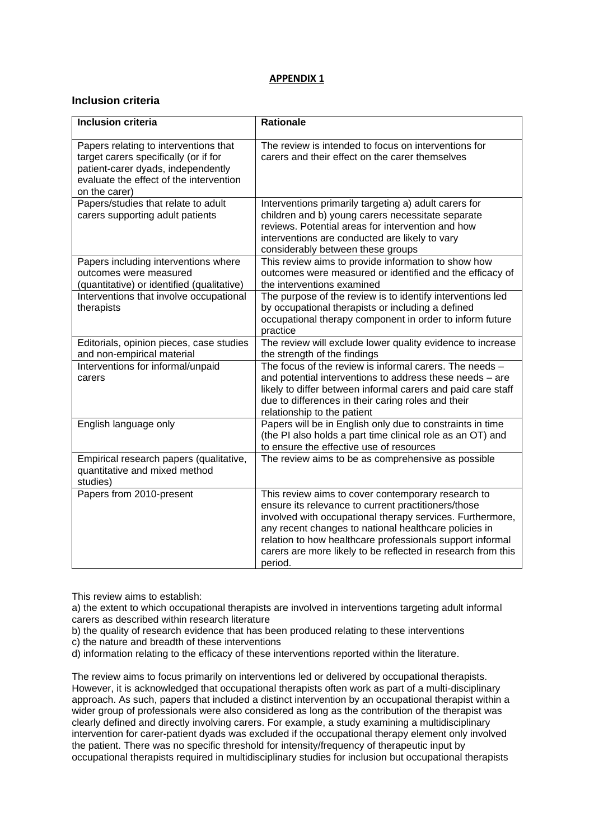### **APPENDIX 1**

### **Inclusion criteria**

| <b>Inclusion criteria</b>                                                     | <b>Rationale</b>                                                                                                   |
|-------------------------------------------------------------------------------|--------------------------------------------------------------------------------------------------------------------|
|                                                                               |                                                                                                                    |
| Papers relating to interventions that                                         | The review is intended to focus on interventions for                                                               |
| target carers specifically (or if for                                         | carers and their effect on the carer themselves                                                                    |
| patient-carer dyads, independently<br>evaluate the effect of the intervention |                                                                                                                    |
| on the carer)                                                                 |                                                                                                                    |
| Papers/studies that relate to adult                                           | Interventions primarily targeting a) adult carers for                                                              |
| carers supporting adult patients                                              | children and b) young carers necessitate separate                                                                  |
|                                                                               | reviews. Potential areas for intervention and how                                                                  |
|                                                                               | interventions are conducted are likely to vary                                                                     |
|                                                                               | considerably between these groups                                                                                  |
| Papers including interventions where                                          | This review aims to provide information to show how                                                                |
| outcomes were measured                                                        | outcomes were measured or identified and the efficacy of                                                           |
| (quantitative) or identified (qualitative)                                    | the interventions examined                                                                                         |
| Interventions that involve occupational                                       | The purpose of the review is to identify interventions led                                                         |
| therapists                                                                    | by occupational therapists or including a defined                                                                  |
|                                                                               | occupational therapy component in order to inform future                                                           |
|                                                                               | practice                                                                                                           |
| Editorials, opinion pieces, case studies                                      | The review will exclude lower quality evidence to increase                                                         |
| and non-empirical material<br>Interventions for informal/unpaid               | the strength of the findings<br>The focus of the review is informal carers. The needs -                            |
| carers                                                                        | and potential interventions to address these needs - are                                                           |
|                                                                               | likely to differ between informal carers and paid care staff                                                       |
|                                                                               | due to differences in their caring roles and their                                                                 |
|                                                                               | relationship to the patient                                                                                        |
| English language only                                                         | Papers will be in English only due to constraints in time                                                          |
|                                                                               | (the PI also holds a part time clinical role as an OT) and                                                         |
|                                                                               | to ensure the effective use of resources                                                                           |
| Empirical research papers (qualitative,                                       | The review aims to be as comprehensive as possible                                                                 |
| quantitative and mixed method                                                 |                                                                                                                    |
| studies)                                                                      |                                                                                                                    |
| Papers from 2010-present                                                      | This review aims to cover contemporary research to                                                                 |
|                                                                               | ensure its relevance to current practitioners/those                                                                |
|                                                                               | involved with occupational therapy services. Furthermore,<br>any recent changes to national healthcare policies in |
|                                                                               | relation to how healthcare professionals support informal                                                          |
|                                                                               | carers are more likely to be reflected in research from this                                                       |
|                                                                               | period.                                                                                                            |
|                                                                               |                                                                                                                    |

This review aims to establish:

a) the extent to which occupational therapists are involved in interventions targeting adult informal carers as described within research literature

b) the quality of research evidence that has been produced relating to these interventions

c) the nature and breadth of these interventions

d) information relating to the efficacy of these interventions reported within the literature.

The review aims to focus primarily on interventions led or delivered by occupational therapists. However, it is acknowledged that occupational therapists often work as part of a multi-disciplinary approach. As such, papers that included a distinct intervention by an occupational therapist within a wider group of professionals were also considered as long as the contribution of the therapist was clearly defined and directly involving carers. For example, a study examining a multidisciplinary intervention for carer-patient dyads was excluded if the occupational therapy element only involved the patient. There was no specific threshold for intensity/frequency of therapeutic input by occupational therapists required in multidisciplinary studies for inclusion but occupational therapists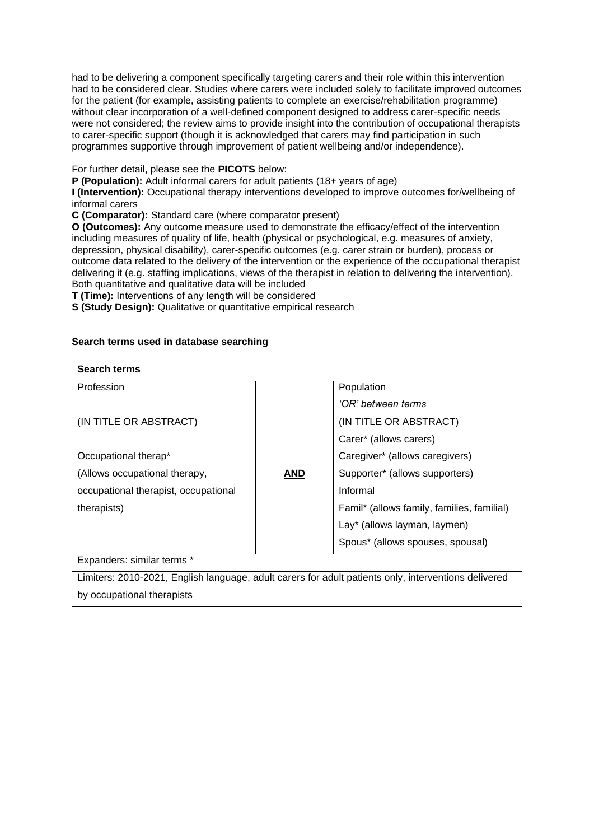had to be delivering a component specifically targeting carers and their role within this intervention had to be considered clear. Studies where carers were included solely to facilitate improved outcomes for the patient (for example, assisting patients to complete an exercise/rehabilitation programme) without clear incorporation of a well-defined component designed to address carer-specific needs were not considered; the review aims to provide insight into the contribution of occupational therapists to carer-specific support (though it is acknowledged that carers may find participation in such programmes supportive through improvement of patient wellbeing and/or independence).

For further detail, please see the **PICOTS** below:

**P (Population):** Adult informal carers for adult patients (18+ years of age)

**I (Intervention):** Occupational therapy interventions developed to improve outcomes for/wellbeing of informal carers

**C (Comparator):** Standard care (where comparator present)

**O (Outcomes):** Any outcome measure used to demonstrate the efficacy/effect of the intervention including measures of quality of life, health (physical or psychological, e.g. measures of anxiety, depression, physical disability), carer-specific outcomes (e.g. carer strain or burden), process or outcome data related to the delivery of the intervention or the experience of the occupational therapist delivering it (e.g. staffing implications, views of the therapist in relation to delivering the intervention). Both quantitative and qualitative data will be included

**T (Time):** Interventions of any length will be considered

**S (Study Design):** Qualitative or quantitative empirical research

### **Search terms used in database searching**

| <b>Search terms</b>                                                                                  |     |                                            |
|------------------------------------------------------------------------------------------------------|-----|--------------------------------------------|
| Profession                                                                                           |     | Population                                 |
|                                                                                                      |     | 'OR' between terms                         |
| (IN TITLE OR ABSTRACT)                                                                               |     | (IN TITLE OR ABSTRACT)                     |
|                                                                                                      |     | Carer* (allows carers)                     |
| Occupational therap*                                                                                 |     | Caregiver* (allows caregivers)             |
| (Allows occupational therapy,                                                                        | AND | Supporter* (allows supporters)             |
| occupational therapist, occupational                                                                 |     | Informal                                   |
| therapists)                                                                                          |     | Famil* (allows family, families, familial) |
|                                                                                                      |     | Lay* (allows layman, laymen)               |
|                                                                                                      |     | Spous* (allows spouses, spousal)           |
| Expanders: similar terms *                                                                           |     |                                            |
| Limiters: 2010-2021, English language, adult carers for adult patients only, interventions delivered |     |                                            |

by occupational therapists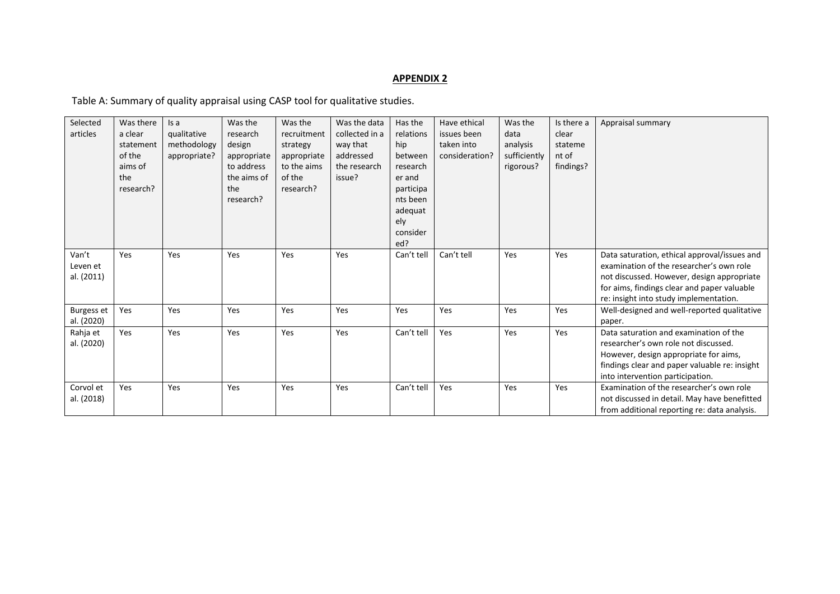# **APPENDIX 2**

Table A: Summary of quality appraisal using CASP tool for qualitative studies.

| Selected   | Was there | Is a         | Was the     | Was the     | Was the data   | Has the    | Have ethical   | Was the      | Is there a | Appraisal summary                             |
|------------|-----------|--------------|-------------|-------------|----------------|------------|----------------|--------------|------------|-----------------------------------------------|
| articles   | a clear   | qualitative  | research    | recruitment | collected in a | relations  | issues been    | data         | clear      |                                               |
|            | statement | methodology  | design      | strategy    | way that       | hip        | taken into     | analysis     | stateme    |                                               |
|            | of the    | appropriate? | appropriate | appropriate | addressed      | between    | consideration? | sufficiently | nt of      |                                               |
|            | aims of   |              | to address  | to the aims | the research   | research   |                | rigorous?    | findings?  |                                               |
|            | the       |              | the aims of | of the      | issue?         | er and     |                |              |            |                                               |
|            | research? |              | the         | research?   |                | participa  |                |              |            |                                               |
|            |           |              | research?   |             |                | nts been   |                |              |            |                                               |
|            |           |              |             |             |                | adequat    |                |              |            |                                               |
|            |           |              |             |             |                | ely        |                |              |            |                                               |
|            |           |              |             |             |                | consider   |                |              |            |                                               |
|            |           |              |             |             |                | ed?        |                |              |            |                                               |
| Van't      | Yes       | Yes          | Yes         | Yes         | Yes            | Can't tell | Can't tell     | Yes          | Yes        | Data saturation, ethical approval/issues and  |
| Leven et   |           |              |             |             |                |            |                |              |            | examination of the researcher's own role      |
| al. (2011) |           |              |             |             |                |            |                |              |            | not discussed. However, design appropriate    |
|            |           |              |             |             |                |            |                |              |            | for aims, findings clear and paper valuable   |
|            |           |              |             |             |                |            |                |              |            | re: insight into study implementation.        |
| Burgess et | Yes       | Yes          | Yes         | Yes         | Yes            | Yes        | Yes            | Yes          | Yes        | Well-designed and well-reported qualitative   |
| al. (2020) |           |              |             |             |                |            |                |              |            | paper.                                        |
| Rahja et   | Yes       | Yes          | Yes         | Yes         | Yes            | Can't tell | Yes            | Yes          | Yes        | Data saturation and examination of the        |
| al. (2020) |           |              |             |             |                |            |                |              |            | researcher's own role not discussed.          |
|            |           |              |             |             |                |            |                |              |            | However, design appropriate for aims,         |
|            |           |              |             |             |                |            |                |              |            | findings clear and paper valuable re: insight |
|            |           |              |             |             |                |            |                |              |            | into intervention participation.              |
| Corvol et  | Yes       | Yes          | Yes         | Yes         | Yes            | Can't tell | Yes            | Yes          | Yes        | Examination of the researcher's own role      |
| al. (2018) |           |              |             |             |                |            |                |              |            | not discussed in detail. May have benefitted  |
|            |           |              |             |             |                |            |                |              |            | from additional reporting re: data analysis.  |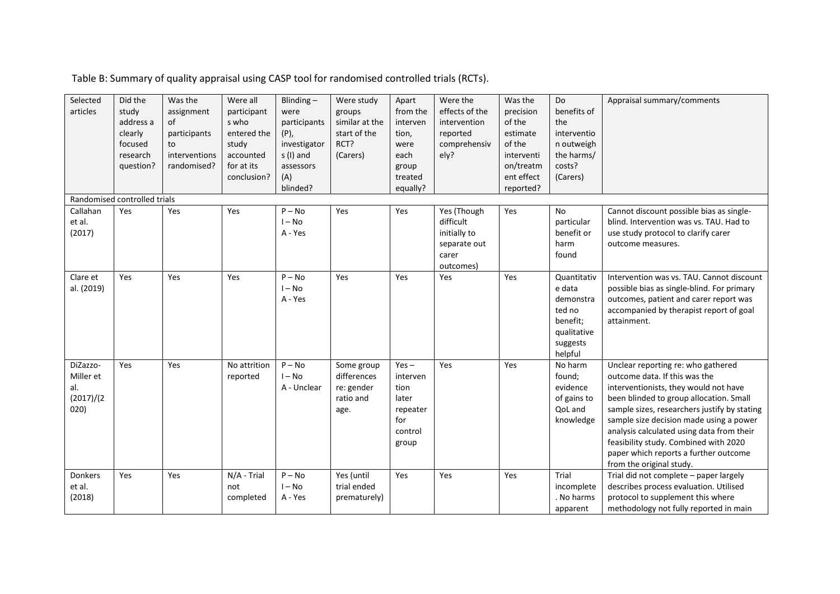| Selected<br>articles                               | Did the<br>study<br>address a<br>clearly<br>focused<br>research<br>question? | Was the<br>assignment<br>of<br>participants<br>to<br>interventions<br>randomised? | Were all<br>participant<br>s who<br>entered the<br>study<br>accounted<br>for at its<br>conclusion? | Blinding $-$<br>were<br>participants<br>(P),<br>investigator<br>s (I) and<br>assessors<br>(A)<br>blinded? | Were study<br>groups<br>similar at the<br>start of the<br>RCT?<br>(Carers) | Apart<br>from the<br>interven<br>tion,<br>were<br>each<br>group<br>treated<br>equally? | Were the<br>effects of the<br>intervention<br>reported<br>comprehensiv<br>elv? | Was the<br>precision<br>of the<br>estimate<br>of the<br>interventi<br>on/treatm<br>ent effect<br>reported? | Do<br>benefits of<br>the<br>interventio<br>n outweigh<br>the harms/<br>costs?<br>(Carers)      | Appraisal summary/comments                                                                                                                                                                                                                                                                                                                                                                                    |
|----------------------------------------------------|------------------------------------------------------------------------------|-----------------------------------------------------------------------------------|----------------------------------------------------------------------------------------------------|-----------------------------------------------------------------------------------------------------------|----------------------------------------------------------------------------|----------------------------------------------------------------------------------------|--------------------------------------------------------------------------------|------------------------------------------------------------------------------------------------------------|------------------------------------------------------------------------------------------------|---------------------------------------------------------------------------------------------------------------------------------------------------------------------------------------------------------------------------------------------------------------------------------------------------------------------------------------------------------------------------------------------------------------|
|                                                    | Randomised controlled trials                                                 |                                                                                   |                                                                                                    |                                                                                                           |                                                                            |                                                                                        |                                                                                |                                                                                                            |                                                                                                |                                                                                                                                                                                                                                                                                                                                                                                                               |
| Callahan<br>et al.<br>(2017)                       | Yes                                                                          | Yes                                                                               | Yes                                                                                                | $P - No$<br>$I - No$<br>A - Yes                                                                           | Yes                                                                        | Yes                                                                                    | Yes (Though<br>difficult<br>initially to<br>separate out<br>carer<br>outcomes) | Yes                                                                                                        | No<br>particular<br>benefit or<br>harm<br>found                                                | Cannot discount possible bias as single-<br>blind. Intervention was vs. TAU. Had to<br>use study protocol to clarify carer<br>outcome measures.                                                                                                                                                                                                                                                               |
| Clare et<br>al. (2019)                             | Yes                                                                          | Yes                                                                               | Yes                                                                                                | $P - No$<br>$I - No$<br>A - Yes                                                                           | Yes                                                                        | Yes                                                                                    | Yes                                                                            | Yes                                                                                                        | Quantitativ<br>e data<br>demonstra<br>ted no<br>benefit;<br>qualitative<br>suggests<br>helpful | Intervention was vs. TAU. Cannot discount<br>possible bias as single-blind. For primary<br>outcomes, patient and carer report was<br>accompanied by therapist report of goal<br>attainment.                                                                                                                                                                                                                   |
| DiZazzo-<br>Miller et<br>al.<br>(2017)/(2)<br>020) | Yes                                                                          | Yes                                                                               | No attrition<br>reported                                                                           | $P - No$<br>$I - No$<br>A - Unclear                                                                       | Some group<br>differences<br>re: gender<br>ratio and<br>age.               | $Yes -$<br>interven<br>tion<br>later<br>repeater<br>for<br>control<br>group            | Yes                                                                            | Yes                                                                                                        | No harm<br>found;<br>evidence<br>of gains to<br>QoL and<br>knowledge                           | Unclear reporting re: who gathered<br>outcome data. If this was the<br>interventionists, they would not have<br>been blinded to group allocation. Small<br>sample sizes, researchers justify by stating<br>sample size decision made using a power<br>analysis calculated using data from their<br>feasibility study. Combined with 2020<br>paper which reports a further outcome<br>from the original study. |
| Donkers<br>et al.<br>(2018)                        | Yes                                                                          | Yes                                                                               | N/A - Trial<br>not<br>completed                                                                    | $P - No$<br>$I - No$<br>A - Yes                                                                           | Yes (until<br>trial ended<br>prematurely)                                  | Yes                                                                                    | Yes                                                                            | Yes                                                                                                        | Trial<br>incomplete<br>. No harms<br>apparent                                                  | Trial did not complete - paper largely<br>describes process evaluation. Utilised<br>protocol to supplement this where<br>methodology not fully reported in main                                                                                                                                                                                                                                               |

Table B: Summary of quality appraisal using CASP tool for randomised controlled trials (RCTs).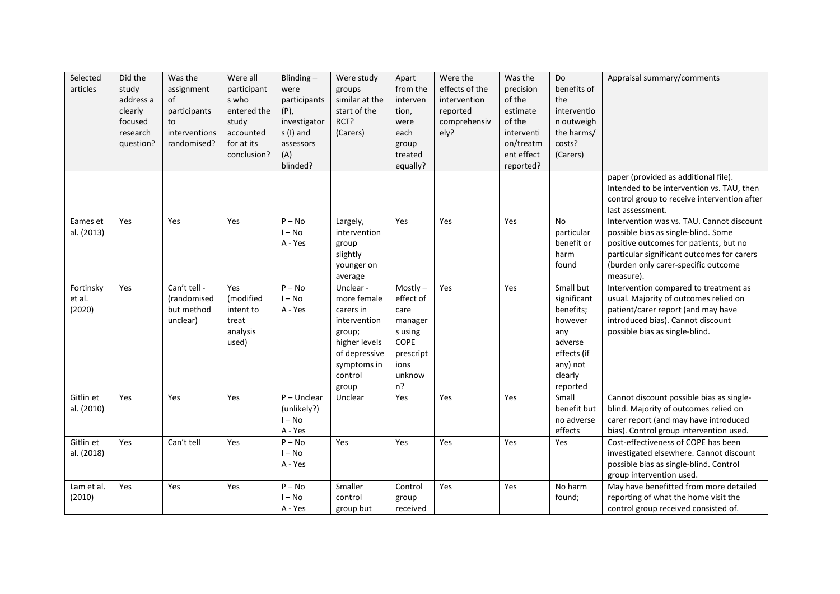| Selected<br>articles          | Did the<br>study<br>address a<br>clearly<br>focused<br>research<br>question? | Was the<br>assignment<br>of<br>participants<br>to<br>interventions<br>randomised? | Were all<br>participant<br>s who<br>entered the<br>study<br>accounted<br>for at its<br>conclusion? | Blinding $-$<br>were<br>participants<br>$(P)$ ,<br>investigator<br>s (I) and<br>assessors<br>(A)<br>blinded? | Were study<br>groups<br>similar at the<br>start of the<br>RCT?<br>(Carers)                                                           | Apart<br>from the<br>interven<br>tion,<br>were<br>each<br>group<br>treated<br>equally?                 | Were the<br>effects of the<br>intervention<br>reported<br>comprehensiv<br>ely? | Was the<br>precision<br>of the<br>estimate<br>of the<br>interventi<br>on/treatm<br>ent effect<br>reported? | Do<br>benefits of<br>the<br>interventio<br>n outweigh<br>the harms/<br>costs?<br>(Carers)                            | Appraisal summary/comments<br>paper (provided as additional file).<br>Intended to be intervention vs. TAU, then                                                                                                              |
|-------------------------------|------------------------------------------------------------------------------|-----------------------------------------------------------------------------------|----------------------------------------------------------------------------------------------------|--------------------------------------------------------------------------------------------------------------|--------------------------------------------------------------------------------------------------------------------------------------|--------------------------------------------------------------------------------------------------------|--------------------------------------------------------------------------------|------------------------------------------------------------------------------------------------------------|----------------------------------------------------------------------------------------------------------------------|------------------------------------------------------------------------------------------------------------------------------------------------------------------------------------------------------------------------------|
|                               |                                                                              |                                                                                   |                                                                                                    |                                                                                                              |                                                                                                                                      |                                                                                                        |                                                                                |                                                                                                            |                                                                                                                      | control group to receive intervention after<br>last assessment.                                                                                                                                                              |
| Eames et<br>al. (2013)        | Yes                                                                          | Yes                                                                               | Yes                                                                                                | $P - No$<br>$I - No$<br>A - Yes                                                                              | Largely,<br>intervention<br>group<br>slightly<br>younger on<br>average                                                               | Yes                                                                                                    | Yes                                                                            | Yes                                                                                                        | <b>No</b><br>particular<br>benefit or<br>harm<br>found                                                               | Intervention was vs. TAU. Cannot discount<br>possible bias as single-blind. Some<br>positive outcomes for patients, but no<br>particular significant outcomes for carers<br>(burden only carer-specific outcome<br>measure). |
| Fortinsky<br>et al.<br>(2020) | Yes                                                                          | $\overline{Can'}$ t tell -<br>(randomised<br>but method<br>unclear)               | Yes<br>(modified<br>intent to<br>treat<br>analysis<br>used)                                        | $P - No$<br>$I - No$<br>A - Yes                                                                              | Unclear -<br>more female<br>carers in<br>intervention<br>group;<br>higher levels<br>of depressive<br>symptoms in<br>control<br>group | Mostly-<br>effect of<br>care<br>manager<br>s using<br><b>COPE</b><br>prescript<br>ions<br>unknow<br>n? | Yes                                                                            | Yes                                                                                                        | Small but<br>significant<br>benefits;<br>however<br>any<br>adverse<br>effects (if<br>any) not<br>clearly<br>reported | Intervention compared to treatment as<br>usual. Majority of outcomes relied on<br>patient/carer report (and may have<br>introduced bias). Cannot discount<br>possible bias as single-blind.                                  |
| Gitlin et<br>al. (2010)       | Yes                                                                          | Yes                                                                               | Yes                                                                                                | $P -$ Unclear<br>(unlikely?)<br>$I - No$<br>A - Yes                                                          | Unclear                                                                                                                              | Yes                                                                                                    | Yes                                                                            | Yes                                                                                                        | Small<br>benefit but<br>no adverse<br>effects                                                                        | Cannot discount possible bias as single-<br>blind. Majority of outcomes relied on<br>carer report (and may have introduced<br>bias). Control group intervention used.                                                        |
| Gitlin et<br>al. (2018)       | Yes                                                                          | Can't tell                                                                        | Yes                                                                                                | $P - No$<br>$I - No$<br>A - Yes                                                                              | Yes                                                                                                                                  | Yes                                                                                                    | Yes                                                                            | Yes                                                                                                        | Yes                                                                                                                  | Cost-effectiveness of COPE has been<br>investigated elsewhere. Cannot discount<br>possible bias as single-blind. Control<br>group intervention used.                                                                         |
| Lam et al.<br>(2010)          | Yes                                                                          | Yes                                                                               | Yes                                                                                                | $P - No$<br>$I - No$<br>A - Yes                                                                              | Smaller<br>control<br>group but                                                                                                      | Control<br>group<br>received                                                                           | Yes                                                                            | Yes                                                                                                        | No harm<br>found;                                                                                                    | May have benefitted from more detailed<br>reporting of what the home visit the<br>control group received consisted of.                                                                                                       |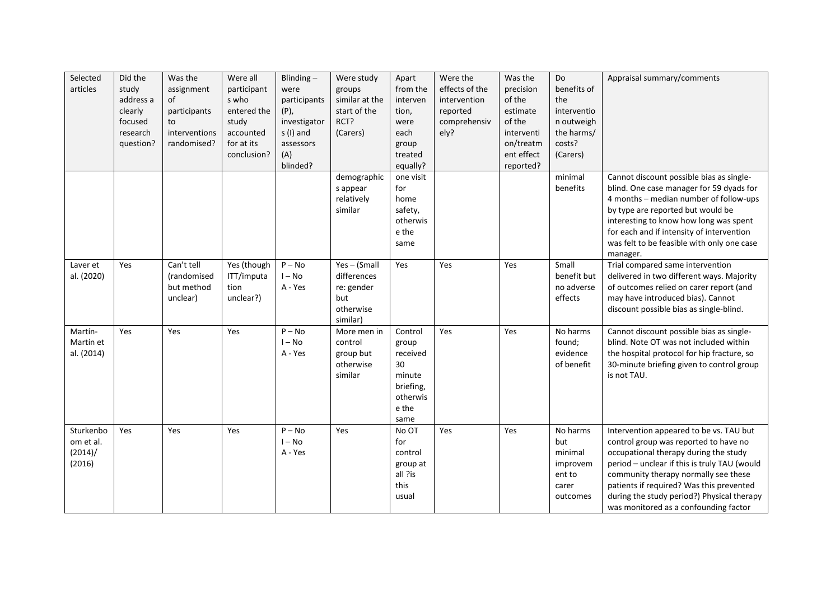| Selected<br>articles                        | Did the<br>study<br>address a<br>clearly<br>focused<br>research<br>question? | Was the<br>assignment<br>of<br>participants<br>to<br>interventions<br>randomised? | Were all<br>participant<br>s who<br>entered the<br>study<br>accounted<br>for at its<br>conclusion? | Blinding $-$<br>were<br>participants<br>$(P)$ ,<br>investigator<br>s (I) and<br>assessors<br>(A) | Were study<br>groups<br>similar at the<br>start of the<br>RCT?<br>(Carers) | Apart<br>from the<br>interven<br>tion,<br>were<br>each<br>group<br>treated             | Were the<br>effects of the<br>intervention<br>reported<br>comprehensiv<br>ely? | Was the<br>precision<br>of the<br>estimate<br>of the<br>interventi<br>on/treatm<br>ent effect | Do<br>benefits of<br>the<br>interventio<br>n outweigh<br>the harms/<br>costs?<br>(Carers) | Appraisal summary/comments                                                                                                                                                                                                                                                                                                                           |
|---------------------------------------------|------------------------------------------------------------------------------|-----------------------------------------------------------------------------------|----------------------------------------------------------------------------------------------------|--------------------------------------------------------------------------------------------------|----------------------------------------------------------------------------|----------------------------------------------------------------------------------------|--------------------------------------------------------------------------------|-----------------------------------------------------------------------------------------------|-------------------------------------------------------------------------------------------|------------------------------------------------------------------------------------------------------------------------------------------------------------------------------------------------------------------------------------------------------------------------------------------------------------------------------------------------------|
|                                             |                                                                              |                                                                                   |                                                                                                    | blinded?                                                                                         | demographic<br>s appear<br>relatively<br>similar                           | equally?<br>one visit<br>for<br>home<br>safety,<br>otherwis<br>e the<br>same           |                                                                                | reported?                                                                                     | minimal<br>benefits                                                                       | Cannot discount possible bias as single-<br>blind. One case manager for 59 dyads for<br>4 months - median number of follow-ups<br>by type are reported but would be<br>interesting to know how long was spent<br>for each and if intensity of intervention<br>was felt to be feasible with only one case<br>manager.                                 |
| Laver et<br>al. (2020)                      | Yes                                                                          | Can't tell<br><i>(randomised)</i><br>but method<br>unclear)                       | Yes (though<br>ITT/imputa<br>tion<br>unclear?)                                                     | $P - No$<br>$I - No$<br>A - Yes                                                                  | Yes-(Small<br>differences<br>re: gender<br>but<br>otherwise<br>similar)    | Yes                                                                                    | Yes                                                                            | Yes                                                                                           | Small<br>benefit but<br>no adverse<br>effects                                             | Trial compared same intervention<br>delivered in two different ways. Majority<br>of outcomes relied on carer report (and<br>may have introduced bias). Cannot<br>discount possible bias as single-blind.                                                                                                                                             |
| Martín-<br>Martín et<br>al. (2014)          | Yes                                                                          | Yes                                                                               | Yes                                                                                                | $P - No$<br>$I - No$<br>A - Yes                                                                  | More men in<br>control<br>group but<br>otherwise<br>similar                | Control<br>group<br>received<br>30<br>minute<br>briefing,<br>otherwis<br>e the<br>same | Yes                                                                            | Yes                                                                                           | No harms<br>found;<br>evidence<br>of benefit                                              | Cannot discount possible bias as single-<br>blind. Note OT was not included within<br>the hospital protocol for hip fracture, so<br>30-minute briefing given to control group<br>is not TAU.                                                                                                                                                         |
| Sturkenbo<br>om et al.<br>(2014)/<br>(2016) | Yes                                                                          | Yes                                                                               | Yes                                                                                                | $P - No$<br>$I - No$<br>A - Yes                                                                  | Yes                                                                        | No OT<br>for<br>control<br>group at<br>all ?is<br>this<br>usual                        | Yes                                                                            | Yes                                                                                           | No harms<br>but<br>minimal<br>improvem<br>ent to<br>carer<br>outcomes                     | Intervention appeared to be vs. TAU but<br>control group was reported to have no<br>occupational therapy during the study<br>period - unclear if this is truly TAU (would<br>community therapy normally see these<br>patients if required? Was this prevented<br>during the study period?) Physical therapy<br>was monitored as a confounding factor |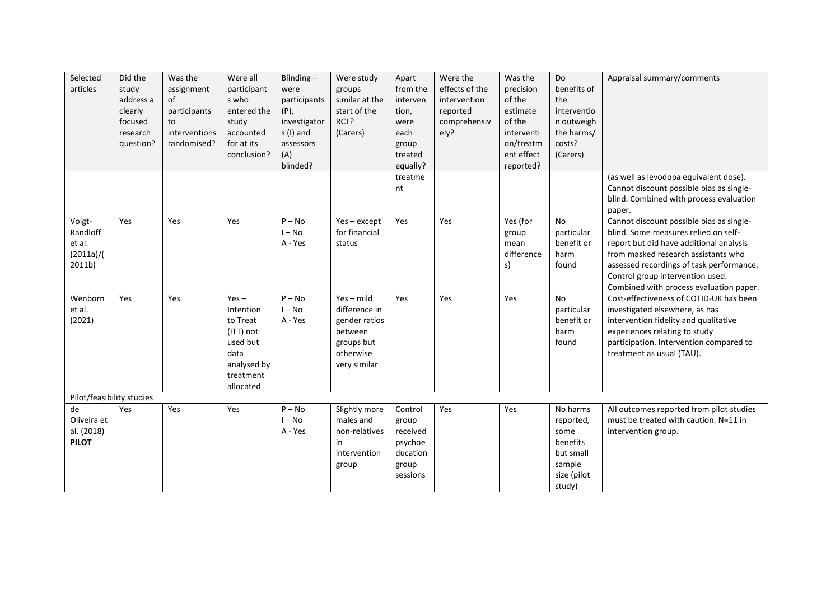| Selected<br>articles                                | Did the<br>study<br>address a<br>clearly<br>focused<br>research<br>question? | Was the<br>assignment<br>of<br>participants<br>to<br>interventions<br>randomised? | Were all<br>participant<br>s who<br>entered the<br>study<br>accounted<br>for at its<br>conclusion?         | $\overline{Blinding}$ –<br>were<br>participants<br>$(P)$ ,<br>investigator<br>s (I) and<br>assessors<br>(A)<br>blinded? | Were study<br>groups<br>similar at the<br>start of the<br>RCT?<br>(Carers)                           | Apart<br>from the<br>interven<br>tion,<br>were<br>each<br>group<br>treated<br>equally? | Were the<br>effects of the<br>intervention<br>reported<br>comprehensiv<br>ely? | Was the<br>precision<br>of the<br>estimate<br>of the<br>interventi<br>on/treatm<br>ent effect<br>reported? | Do<br>benefits of<br>the<br>interventio<br>n outweigh<br>the harms/<br>costs?<br>(Carers) | Appraisal summary/comments                                                                                                                                                                                                                                                                    |
|-----------------------------------------------------|------------------------------------------------------------------------------|-----------------------------------------------------------------------------------|------------------------------------------------------------------------------------------------------------|-------------------------------------------------------------------------------------------------------------------------|------------------------------------------------------------------------------------------------------|----------------------------------------------------------------------------------------|--------------------------------------------------------------------------------|------------------------------------------------------------------------------------------------------------|-------------------------------------------------------------------------------------------|-----------------------------------------------------------------------------------------------------------------------------------------------------------------------------------------------------------------------------------------------------------------------------------------------|
|                                                     |                                                                              |                                                                                   |                                                                                                            |                                                                                                                         |                                                                                                      | treatme<br>nt                                                                          |                                                                                |                                                                                                            |                                                                                           | (as well as levodopa equivalent dose).<br>Cannot discount possible bias as single-<br>blind. Combined with process evaluation<br>paper.                                                                                                                                                       |
| Voigt-<br>Randloff<br>et al.<br>(2011a)/(<br>2011b) | Yes                                                                          | Yes                                                                               | Yes                                                                                                        | $P - No$<br>$I - No$<br>A - Yes                                                                                         | $Yes - except$<br>for financial<br>status                                                            | Yes                                                                                    | Yes                                                                            | Yes (for<br>group<br>mean<br>difference<br>s)                                                              | <b>No</b><br>particular<br>benefit or<br>harm<br>found                                    | Cannot discount possible bias as single-<br>blind. Some measures relied on self-<br>report but did have additional analysis<br>from masked research assistants who<br>assessed recordings of task performance.<br>Control group intervention used.<br>Combined with process evaluation paper. |
| Wenborn<br>et al.<br>(2021)                         | Yes                                                                          | Yes                                                                               | $Yes -$<br>Intention<br>to Treat<br>(ITT) not<br>used but<br>data<br>analysed by<br>treatment<br>allocated | $P - No$<br>$I - No$<br>A - Yes                                                                                         | $Yes - mild$<br>difference in<br>gender ratios<br>between<br>groups but<br>otherwise<br>very similar | Yes                                                                                    | Yes                                                                            | Yes                                                                                                        | No<br>particular<br>benefit or<br>harm<br>found                                           | Cost-effectiveness of COTID-UK has been<br>investigated elsewhere, as has<br>intervention fidelity and qualitative<br>experiences relating to study<br>participation. Intervention compared to<br>treatment as usual (TAU).                                                                   |
| de<br>Oliveira et<br>al. (2018)<br><b>PILOT</b>     | Pilot/feasibility studies<br>Yes                                             | Yes                                                                               | Yes                                                                                                        | $P - No$<br>$I - No$<br>A - Yes                                                                                         | Slightly more<br>males and<br>non-relatives<br>in<br>intervention<br>group                           | Control<br>group<br>received<br>psychoe<br>ducation<br>group<br>sessions               | Yes                                                                            | Yes                                                                                                        | No harms<br>reported,<br>some<br>benefits<br>but small<br>sample<br>size (pilot<br>study) | All outcomes reported from pilot studies<br>must be treated with caution. N=11 in<br>intervention group.                                                                                                                                                                                      |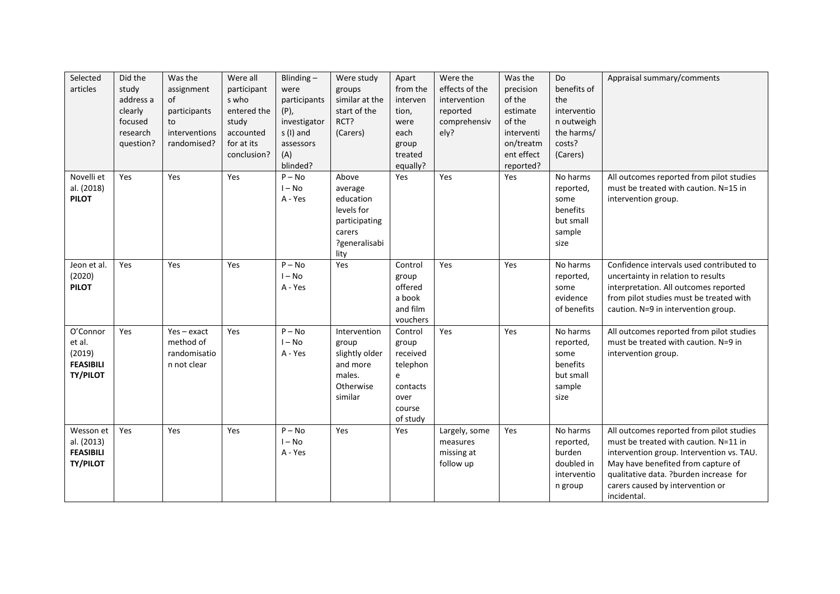| Selected<br>articles                                                | Did the<br>study<br>address a<br>clearly<br>focused<br>research<br>question? | Was the<br>assignment<br>of<br>participants<br>to<br>interventions<br>randomised? | Were all<br>participant<br>s who<br>entered the<br>study<br>accounted<br>for at its<br>conclusion? | Blinding $-$<br>were<br>participants<br>$(P)$ ,<br>investigator<br>s (I) and<br>assessors<br>(A)<br>blinded? | Were study<br>groups<br>similar at the<br>start of the<br>RCT?<br>(Carers)                      | Apart<br>from the<br>interven<br>tion,<br>were<br>each<br>group<br>treated<br>equally?  | Were the<br>effects of the<br>intervention<br>reported<br>comprehensiv<br>ely? | Was the<br>precision<br>of the<br>estimate<br>of the<br>interventi<br>on/treatm<br>ent effect<br>reported? | Do<br>benefits of<br>the<br>interventio<br>n outweigh<br>the harms/<br>costs?<br>(Carers) | Appraisal summary/comments                                                                                                                                                                                                                                        |
|---------------------------------------------------------------------|------------------------------------------------------------------------------|-----------------------------------------------------------------------------------|----------------------------------------------------------------------------------------------------|--------------------------------------------------------------------------------------------------------------|-------------------------------------------------------------------------------------------------|-----------------------------------------------------------------------------------------|--------------------------------------------------------------------------------|------------------------------------------------------------------------------------------------------------|-------------------------------------------------------------------------------------------|-------------------------------------------------------------------------------------------------------------------------------------------------------------------------------------------------------------------------------------------------------------------|
| Novelli et<br>al. (2018)<br><b>PILOT</b>                            | Yes                                                                          | Yes                                                                               | Yes                                                                                                | $P - No$<br>$I - No$<br>A - Yes                                                                              | Above<br>average<br>education<br>levels for<br>participating<br>carers<br>?generalisabi<br>lity | Yes                                                                                     | Yes                                                                            | Yes                                                                                                        | No harms<br>reported,<br>some<br>benefits<br>but small<br>sample<br>size                  | All outcomes reported from pilot studies<br>must be treated with caution. N=15 in<br>intervention group.                                                                                                                                                          |
| Jeon et al.<br>(2020)<br><b>PILOT</b>                               | Yes                                                                          | Yes                                                                               | Yes                                                                                                | $P - No$<br>$I - No$<br>A - Yes                                                                              | Yes                                                                                             | Control<br>group<br>offered<br>a book<br>and film<br>vouchers                           | Yes                                                                            | Yes                                                                                                        | No harms<br>reported,<br>some<br>evidence<br>of benefits                                  | Confidence intervals used contributed to<br>uncertainty in relation to results<br>interpretation. All outcomes reported<br>from pilot studies must be treated with<br>caution. N=9 in intervention group.                                                         |
| O'Connor<br>et al.<br>(2019)<br><b>FEASIBILI</b><br><b>TY/PILOT</b> | Yes                                                                          | $Yes - exact$<br>method of<br>randomisatio<br>n not clear                         | Yes                                                                                                | $P - No$<br>$I - No$<br>A - Yes                                                                              | Intervention<br>group<br>slightly older<br>and more<br>males.<br>Otherwise<br>similar           | Control<br>group<br>received<br>telephon<br>e<br>contacts<br>over<br>course<br>of study | Yes                                                                            | Yes                                                                                                        | No harms<br>reported,<br>some<br>benefits<br>but small<br>sample<br>size                  | All outcomes reported from pilot studies<br>must be treated with caution. N=9 in<br>intervention group.                                                                                                                                                           |
| Wesson et<br>al. (2013)<br><b>FEASIBILI</b><br><b>TY/PILOT</b>      | Yes                                                                          | Yes                                                                               | Yes                                                                                                | $P - No$<br>$I - No$<br>A - Yes                                                                              | Yes                                                                                             | Yes                                                                                     | Largely, some<br>measures<br>missing at<br>follow up                           | Yes                                                                                                        | No harms<br>reported,<br>burden<br>doubled in<br>interventio<br>n group                   | All outcomes reported from pilot studies<br>must be treated with caution. N=11 in<br>intervention group. Intervention vs. TAU.<br>May have benefited from capture of<br>qualitative data. ?burden increase for<br>carers caused by intervention or<br>incidental. |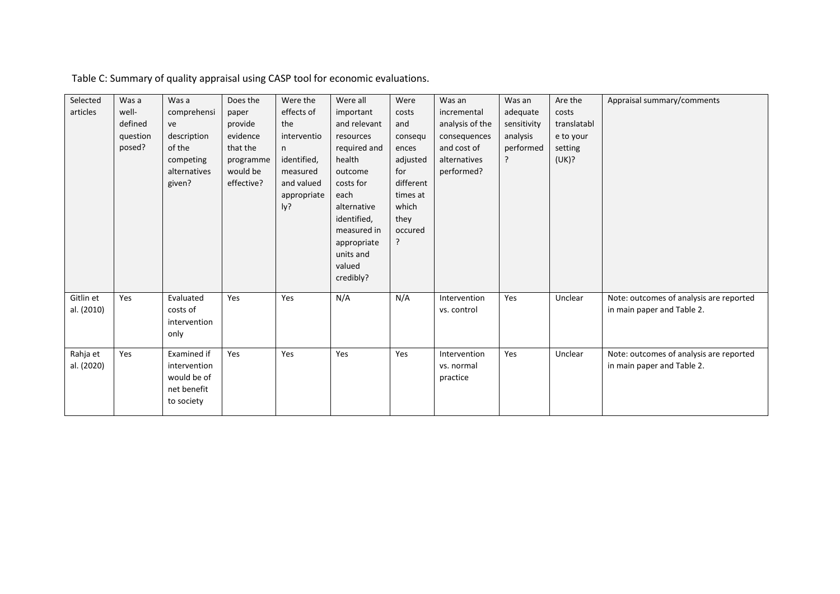Table C: Summary of quality appraisal using CASP tool for economic evaluations.

| Selected<br>articles    | Was a<br>well-<br>defined<br>question<br>posed? | Was a<br>comprehensi<br>ve<br>description<br>of the<br>competing<br>alternatives<br>given? | Does the<br>paper<br>provide<br>evidence<br>that the<br>programme<br>would be<br>effective? | Were the<br>effects of<br>the<br>interventio<br>n<br>identified,<br>measured<br>and valued<br>appropriate<br>ly? | Were all<br>important<br>and relevant<br>resources<br>required and<br>health<br>outcome<br>costs for<br>each<br>alternative<br>identified,<br>measured in<br>appropriate<br>units and<br>valued<br>credibly? | Were<br>costs<br>and<br>consequ<br>ences<br>adjusted<br>for<br>different<br>times at<br>which<br>they<br>occured<br>ς | Was an<br>incremental<br>analysis of the<br>consequences<br>and cost of<br>alternatives<br>performed? | Was an<br>adequate<br>sensitivity<br>analysis<br>performed | Are the<br>costs<br>translatabl<br>e to your<br>setting<br>(UK)? | Appraisal summary/comments                                            |
|-------------------------|-------------------------------------------------|--------------------------------------------------------------------------------------------|---------------------------------------------------------------------------------------------|------------------------------------------------------------------------------------------------------------------|--------------------------------------------------------------------------------------------------------------------------------------------------------------------------------------------------------------|-----------------------------------------------------------------------------------------------------------------------|-------------------------------------------------------------------------------------------------------|------------------------------------------------------------|------------------------------------------------------------------|-----------------------------------------------------------------------|
| Gitlin et<br>al. (2010) | Yes                                             | Evaluated<br>costs of<br>intervention<br>only                                              | Yes                                                                                         | Yes                                                                                                              | N/A                                                                                                                                                                                                          | N/A                                                                                                                   | Intervention<br>vs. control                                                                           | Yes                                                        | Unclear                                                          | Note: outcomes of analysis are reported<br>in main paper and Table 2. |
| Rahja et<br>al. (2020)  | Yes                                             | Examined if<br>intervention<br>would be of<br>net benefit<br>to society                    | Yes                                                                                         | Yes                                                                                                              | Yes                                                                                                                                                                                                          | Yes                                                                                                                   | Intervention<br>vs. normal<br>practice                                                                | Yes                                                        | Unclear                                                          | Note: outcomes of analysis are reported<br>in main paper and Table 2. |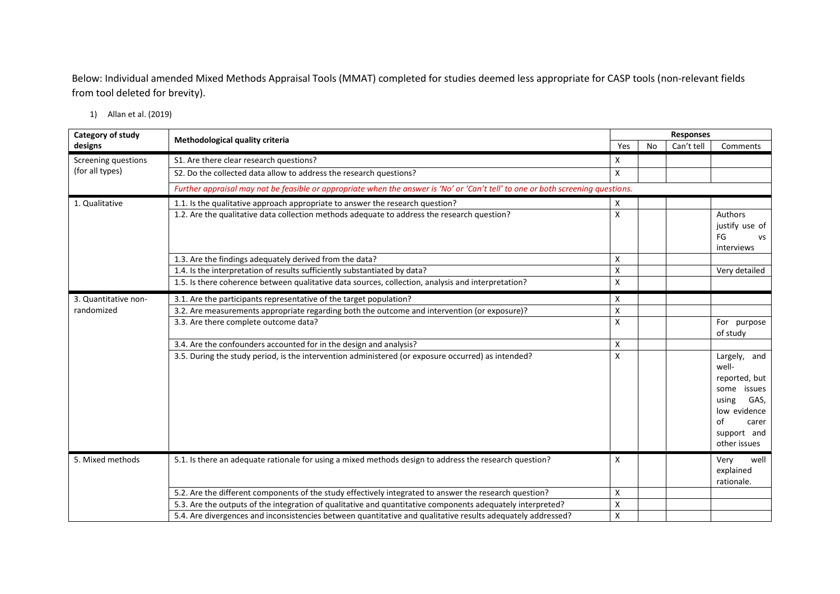Below: Individual amended Mixed Methods Appraisal Tools (MMAT) completed for studies deemed less appropriate for CASP tools (non-relevant fields from tool deleted for brevity).

1) Allan et al. (2019)

| Category of study    | Methodological quality criteria                                                                                                  |     | <b>Responses</b> |            |                                                                                                                                         |  |  |
|----------------------|----------------------------------------------------------------------------------------------------------------------------------|-----|------------------|------------|-----------------------------------------------------------------------------------------------------------------------------------------|--|--|
| designs              |                                                                                                                                  | Yes | <b>No</b>        | Can't tell | Comments                                                                                                                                |  |  |
| Screening questions  | S1. Are there clear research questions?                                                                                          | X   |                  |            |                                                                                                                                         |  |  |
| (for all types)      | S2. Do the collected data allow to address the research questions?                                                               | X   |                  |            |                                                                                                                                         |  |  |
|                      | Further appraisal may not be feasible or appropriate when the answer is 'No' or 'Can't tell' to one or both screening questions. |     |                  |            |                                                                                                                                         |  |  |
| 1. Qualitative       | 1.1. Is the qualitative approach appropriate to answer the research question?                                                    | X   |                  |            |                                                                                                                                         |  |  |
|                      | 1.2. Are the qualitative data collection methods adequate to address the research question?                                      | X   |                  |            | Authors<br>justify use of<br>FG<br>vs<br>interviews                                                                                     |  |  |
|                      | 1.3. Are the findings adequately derived from the data?                                                                          | X   |                  |            |                                                                                                                                         |  |  |
|                      | 1.4. Is the interpretation of results sufficiently substantiated by data?                                                        | X   |                  |            | Very detailed                                                                                                                           |  |  |
|                      | 1.5. Is there coherence between qualitative data sources, collection, analysis and interpretation?                               | Χ   |                  |            |                                                                                                                                         |  |  |
| 3. Quantitative non- | 3.1. Are the participants representative of the target population?                                                               | X   |                  |            |                                                                                                                                         |  |  |
| randomized           | 3.2. Are measurements appropriate regarding both the outcome and intervention (or exposure)?                                     | Χ   |                  |            |                                                                                                                                         |  |  |
|                      | 3.3. Are there complete outcome data?                                                                                            | Χ   |                  |            | For purpose<br>of study                                                                                                                 |  |  |
|                      | 3.4. Are the confounders accounted for in the design and analysis?                                                               | X   |                  |            |                                                                                                                                         |  |  |
|                      | 3.5. During the study period, is the intervention administered (or exposure occurred) as intended?                               | X   |                  |            | Largely, and<br>well-<br>reported, but<br>issues<br>some<br>GAS,<br>using<br>low evidence<br>οf<br>carer<br>support and<br>other issues |  |  |
| 5. Mixed methods     | 5.1. Is there an adequate rationale for using a mixed methods design to address the research question?                           | X   |                  |            | well<br>Very<br>explained<br>rationale.                                                                                                 |  |  |
|                      | 5.2. Are the different components of the study effectively integrated to answer the research question?                           | X   |                  |            |                                                                                                                                         |  |  |
|                      | 5.3. Are the outputs of the integration of qualitative and quantitative components adequately interpreted?                       | Χ   |                  |            |                                                                                                                                         |  |  |
|                      | 5.4. Are divergences and inconsistencies between quantitative and qualitative results adequately addressed?                      | X   |                  |            |                                                                                                                                         |  |  |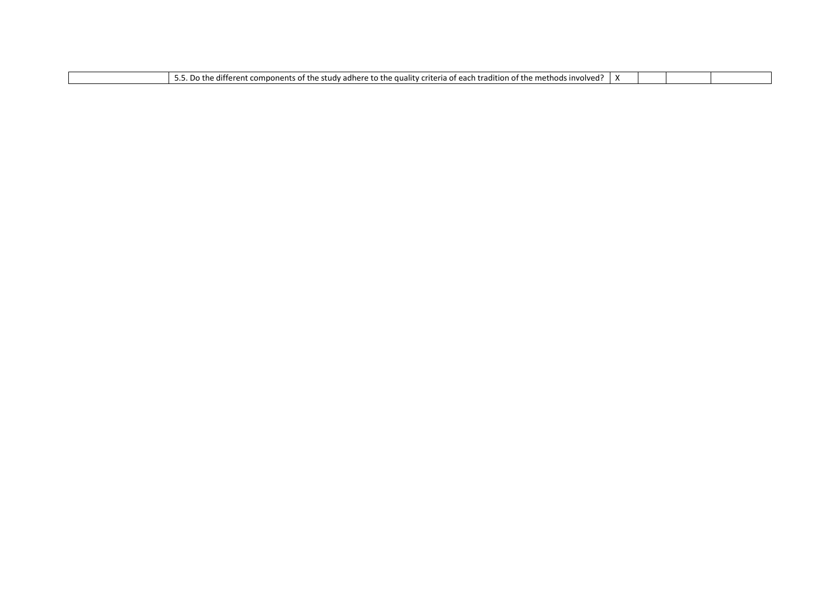| .<br>. .<br>.<br>. ethods∙<br>. .<br>:riteria<br>. quality <sup>.</sup><br>$\alpha$ radition of the m<br>invo.<br>. differen<br>, an oro<br>⊸rudy ⊺<br>$+ \sim$<br>c.<br>$\sim$<br>components<br>IJC<br>.<br>aunc<br>.<br>,,,,,, | ا مصرا |  |  |  |  |
|----------------------------------------------------------------------------------------------------------------------------------------------------------------------------------------------------------------------------------|--------|--|--|--|--|
|----------------------------------------------------------------------------------------------------------------------------------------------------------------------------------------------------------------------------------|--------|--|--|--|--|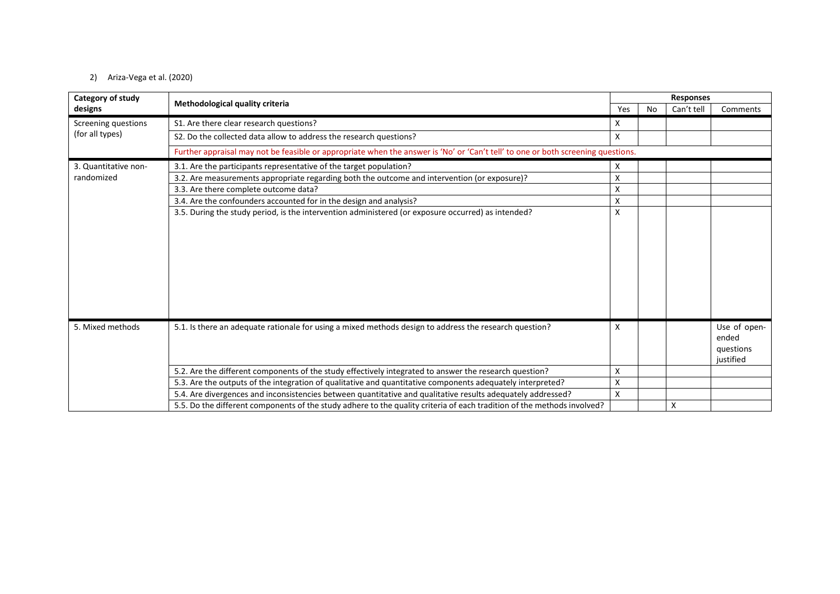### 2) Ariza-Vega et al. (2020)

| Category of study    |                                                                                                                                  | <b>Responses</b> |    |            |                                                 |  |
|----------------------|----------------------------------------------------------------------------------------------------------------------------------|------------------|----|------------|-------------------------------------------------|--|
| designs              | Methodological quality criteria                                                                                                  | Yes              | No | Can't tell | Comments                                        |  |
| Screening questions  | S1. Are there clear research questions?                                                                                          | X                |    |            |                                                 |  |
| (for all types)      | S2. Do the collected data allow to address the research questions?                                                               | X                |    |            |                                                 |  |
|                      | Further appraisal may not be feasible or appropriate when the answer is 'No' or 'Can't tell' to one or both screening questions. |                  |    |            |                                                 |  |
| 3. Quantitative non- | 3.1. Are the participants representative of the target population?                                                               | X                |    |            |                                                 |  |
| randomized           | 3.2. Are measurements appropriate regarding both the outcome and intervention (or exposure)?                                     | Χ                |    |            |                                                 |  |
|                      | 3.3. Are there complete outcome data?                                                                                            | X                |    |            |                                                 |  |
|                      | 3.4. Are the confounders accounted for in the design and analysis?                                                               | X                |    |            |                                                 |  |
|                      | 3.5. During the study period, is the intervention administered (or exposure occurred) as intended?                               | X                |    |            |                                                 |  |
|                      |                                                                                                                                  |                  |    |            |                                                 |  |
| 5. Mixed methods     | 5.1. Is there an adequate rationale for using a mixed methods design to address the research question?                           | X                |    |            | Use of open-<br>ended<br>questions<br>iustified |  |
|                      | 5.2. Are the different components of the study effectively integrated to answer the research question?                           | X                |    |            |                                                 |  |
|                      | 5.3. Are the outputs of the integration of qualitative and quantitative components adequately interpreted?                       | X                |    |            |                                                 |  |
|                      | 5.4. Are divergences and inconsistencies between quantitative and qualitative results adequately addressed?                      | X                |    |            |                                                 |  |
|                      | 5.5. Do the different components of the study adhere to the quality criteria of each tradition of the methods involved?          |                  |    | X          |                                                 |  |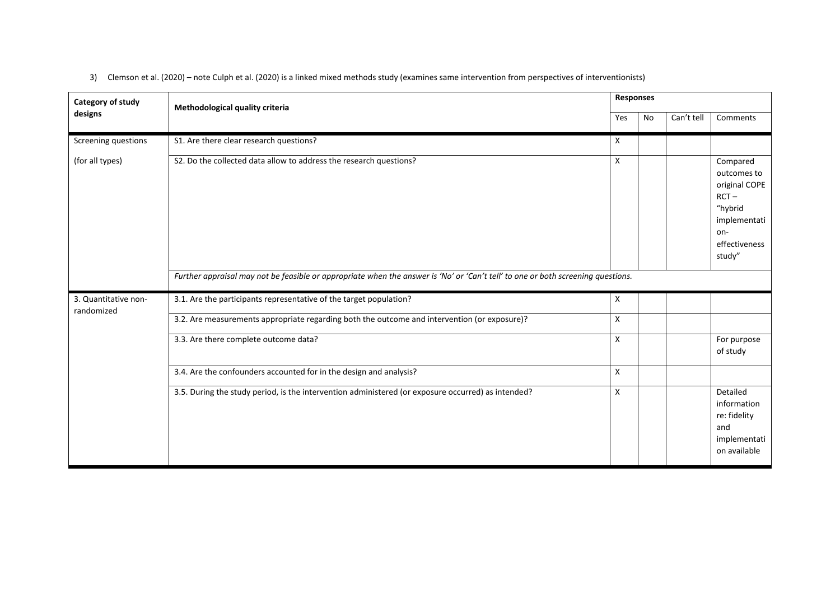| Category of study                  | Methodological quality criteria                                                                                                  | <b>Responses</b> |    |            |                                                                                                                  |  |
|------------------------------------|----------------------------------------------------------------------------------------------------------------------------------|------------------|----|------------|------------------------------------------------------------------------------------------------------------------|--|
| designs                            |                                                                                                                                  | Yes              | No | Can't tell | Comments                                                                                                         |  |
| Screening questions                | S1. Are there clear research questions?                                                                                          | X                |    |            |                                                                                                                  |  |
| (for all types)                    | S2. Do the collected data allow to address the research questions?                                                               | X                |    |            | Compared<br>outcomes to<br>original COPE<br>$RCT -$<br>"hybrid<br>implementati<br>on-<br>effectiveness<br>study" |  |
|                                    | Further appraisal may not be feasible or appropriate when the answer is 'No' or 'Can't tell' to one or both screening questions. |                  |    |            |                                                                                                                  |  |
| 3. Quantitative non-<br>randomized | 3.1. Are the participants representative of the target population?                                                               | X                |    |            |                                                                                                                  |  |
|                                    | 3.2. Are measurements appropriate regarding both the outcome and intervention (or exposure)?                                     | X                |    |            |                                                                                                                  |  |
|                                    | 3.3. Are there complete outcome data?                                                                                            | X                |    |            | For purpose<br>of study                                                                                          |  |
|                                    | 3.4. Are the confounders accounted for in the design and analysis?                                                               | X                |    |            |                                                                                                                  |  |
|                                    | 3.5. During the study period, is the intervention administered (or exposure occurred) as intended?                               | X                |    |            | Detailed<br>information<br>re: fidelity<br>and<br>implementati<br>on available                                   |  |

3) Clemson et al. (2020) – note Culph et al. (2020) is a linked mixed methods study (examines same intervention from perspectives of interventionists)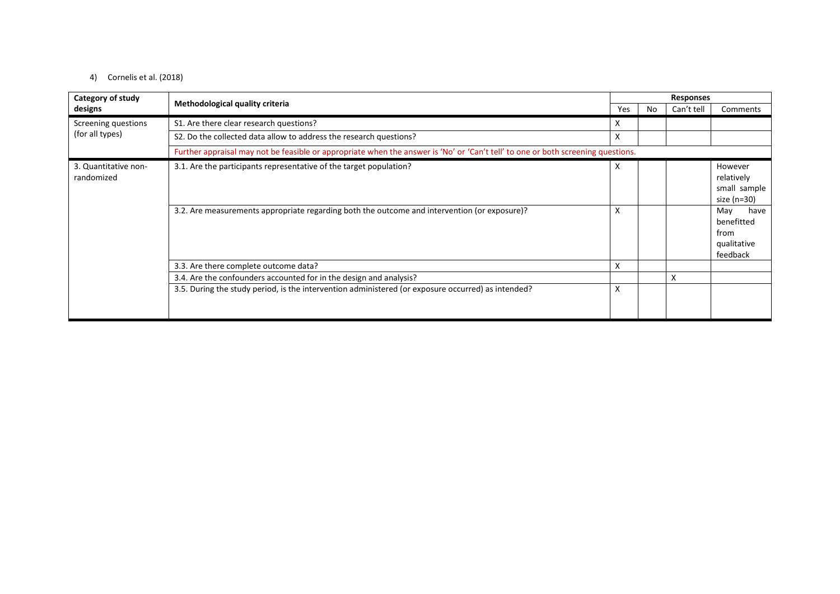### 4) Cornelis et al. (2018)

| Category of study<br>designs       | Methodological quality criteria                                                                                                  | <b>Responses</b> |     |            |                                                              |  |
|------------------------------------|----------------------------------------------------------------------------------------------------------------------------------|------------------|-----|------------|--------------------------------------------------------------|--|
|                                    |                                                                                                                                  | Yes              | No. | Can't tell | Comments                                                     |  |
| Screening questions                | S1. Are there clear research questions?                                                                                          | X                |     |            |                                                              |  |
| (for all types)                    | S2. Do the collected data allow to address the research questions?                                                               | X                |     |            |                                                              |  |
|                                    | Further appraisal may not be feasible or appropriate when the answer is 'No' or 'Can't tell' to one or both screening questions. |                  |     |            |                                                              |  |
| 3. Quantitative non-<br>randomized | 3.1. Are the participants representative of the target population?                                                               | X                |     |            | However<br>relatively<br>small sample<br>size (n=30)         |  |
|                                    | 3.2. Are measurements appropriate regarding both the outcome and intervention (or exposure)?                                     | X                |     |            | May<br>have<br>benefitted<br>from<br>qualitative<br>feedback |  |
|                                    | 3.3. Are there complete outcome data?                                                                                            | Χ                |     |            |                                                              |  |
|                                    | 3.4. Are the confounders accounted for in the design and analysis?                                                               |                  |     | X          |                                                              |  |
|                                    | 3.5. During the study period, is the intervention administered (or exposure occurred) as intended?                               | X                |     |            |                                                              |  |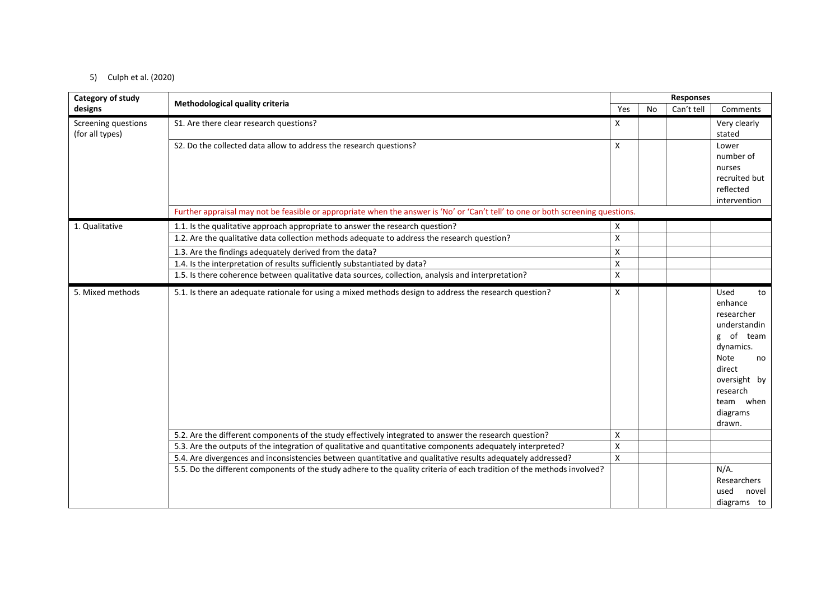### 5) Culph et al. (2020)

| Category of study   |                                                                                                                                  |     |    | <b>Responses</b> |                                                                                                                                                                             |  |
|---------------------|----------------------------------------------------------------------------------------------------------------------------------|-----|----|------------------|-----------------------------------------------------------------------------------------------------------------------------------------------------------------------------|--|
| designs             | Methodological quality criteria                                                                                                  | Yes | No | Can't tell       | Comments                                                                                                                                                                    |  |
| Screening questions | S1. Are there clear research questions?                                                                                          | X   |    |                  | Very clearly                                                                                                                                                                |  |
| (for all types)     |                                                                                                                                  |     |    |                  | stated                                                                                                                                                                      |  |
|                     | S2. Do the collected data allow to address the research questions?                                                               | X   |    |                  | Lower                                                                                                                                                                       |  |
|                     |                                                                                                                                  |     |    |                  | number of                                                                                                                                                                   |  |
|                     |                                                                                                                                  |     |    |                  | nurses<br>recruited but                                                                                                                                                     |  |
|                     |                                                                                                                                  |     |    |                  | reflected                                                                                                                                                                   |  |
|                     |                                                                                                                                  |     |    |                  | intervention                                                                                                                                                                |  |
|                     | Further appraisal may not be feasible or appropriate when the answer is 'No' or 'Can't tell' to one or both screening questions. |     |    |                  |                                                                                                                                                                             |  |
| 1. Qualitative      | 1.1. Is the qualitative approach appropriate to answer the research question?                                                    | x   |    |                  |                                                                                                                                                                             |  |
|                     | 1.2. Are the qualitative data collection methods adequate to address the research question?                                      | X   |    |                  |                                                                                                                                                                             |  |
|                     | 1.3. Are the findings adequately derived from the data?                                                                          | Χ   |    |                  |                                                                                                                                                                             |  |
|                     | 1.4. Is the interpretation of results sufficiently substantiated by data?                                                        | X   |    |                  |                                                                                                                                                                             |  |
|                     | 1.5. Is there coherence between qualitative data sources, collection, analysis and interpretation?                               | X   |    |                  |                                                                                                                                                                             |  |
| 5. Mixed methods    | 5.1. Is there an adequate rationale for using a mixed methods design to address the research question?                           | X   |    |                  | Used<br>to<br>enhance<br>researcher<br>understandin<br>g of team<br>dynamics.<br><b>Note</b><br>no<br>direct<br>oversight by<br>research<br>team when<br>diagrams<br>drawn. |  |
|                     | 5.2. Are the different components of the study effectively integrated to answer the research question?                           | X   |    |                  |                                                                                                                                                                             |  |
|                     | 5.3. Are the outputs of the integration of qualitative and quantitative components adequately interpreted?                       | X   |    |                  |                                                                                                                                                                             |  |
|                     | 5.4. Are divergences and inconsistencies between quantitative and qualitative results adequately addressed?                      | Χ   |    |                  |                                                                                                                                                                             |  |
|                     | 5.5. Do the different components of the study adhere to the quality criteria of each tradition of the methods involved?          |     |    |                  | $N/A$ .                                                                                                                                                                     |  |
|                     |                                                                                                                                  |     |    |                  | Researchers                                                                                                                                                                 |  |
|                     |                                                                                                                                  |     |    |                  | used<br>novel                                                                                                                                                               |  |
|                     |                                                                                                                                  |     |    |                  | diagrams to                                                                                                                                                                 |  |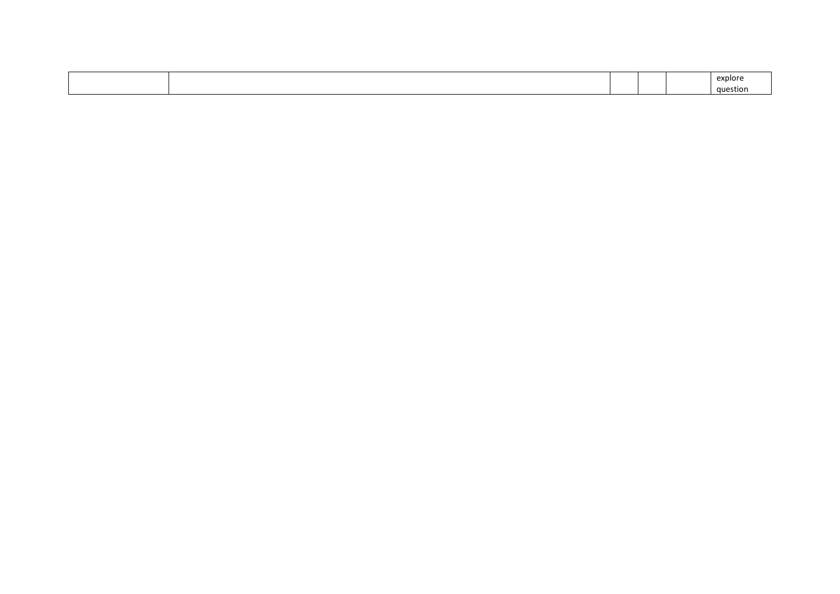|  |  | explore  |
|--|--|----------|
|  |  | astion ⊸ |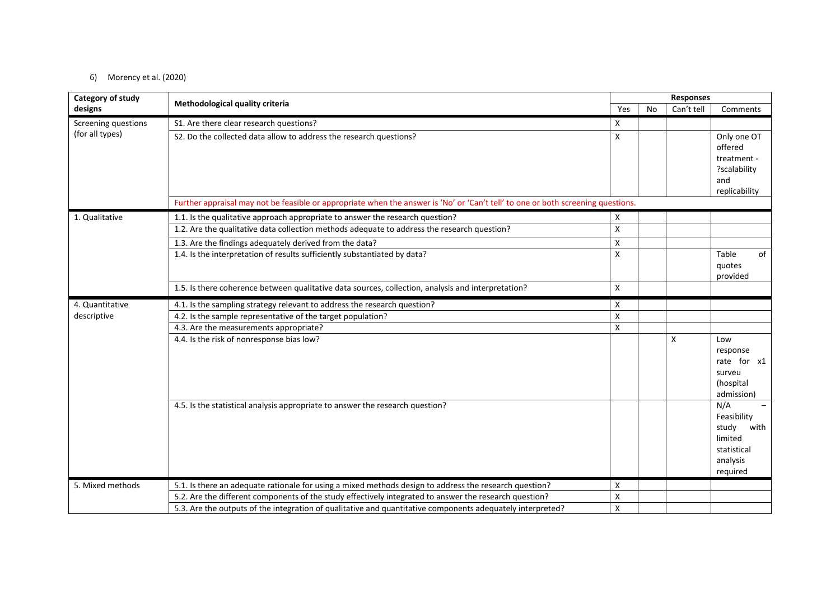### 6) Morency et al. (2020)

| Category of study   |                                                                                                                                  | <b>Responses</b>          |           |            |                          |  |
|---------------------|----------------------------------------------------------------------------------------------------------------------------------|---------------------------|-----------|------------|--------------------------|--|
| designs             | Methodological quality criteria                                                                                                  | Yes                       | <b>No</b> | Can't tell | Comments                 |  |
| Screening questions | S1. Are there clear research questions?                                                                                          | X                         |           |            |                          |  |
| (for all types)     | S2. Do the collected data allow to address the research questions?                                                               | X                         |           |            | Only one OT              |  |
|                     |                                                                                                                                  |                           |           |            | offered                  |  |
|                     |                                                                                                                                  |                           |           |            | treatment -              |  |
|                     |                                                                                                                                  |                           |           |            | ?scalability<br>and      |  |
|                     |                                                                                                                                  |                           |           |            | replicability            |  |
|                     | Further appraisal may not be feasible or appropriate when the answer is 'No' or 'Can't tell' to one or both screening questions. |                           |           |            |                          |  |
| 1. Qualitative      | 1.1. Is the qualitative approach appropriate to answer the research question?                                                    | X                         |           |            |                          |  |
|                     | 1.2. Are the qualitative data collection methods adequate to address the research question?                                      | $\pmb{\times}$            |           |            |                          |  |
|                     | 1.3. Are the findings adequately derived from the data?                                                                          | $\pmb{\times}$            |           |            |                          |  |
|                     | 1.4. Is the interpretation of results sufficiently substantiated by data?                                                        | X                         |           |            | of<br>Table              |  |
|                     |                                                                                                                                  |                           |           |            | quotes                   |  |
|                     |                                                                                                                                  |                           |           |            | provided                 |  |
|                     | 1.5. Is there coherence between qualitative data sources, collection, analysis and interpretation?                               | X                         |           |            |                          |  |
| 4. Quantitative     | 4.1. Is the sampling strategy relevant to address the research question?                                                         | X                         |           |            |                          |  |
| descriptive         | 4.2. Is the sample representative of the target population?                                                                      | $\boldsymbol{\mathsf{X}}$ |           |            |                          |  |
|                     | 4.3. Are the measurements appropriate?                                                                                           | $\pmb{\mathsf{X}}$        |           |            |                          |  |
|                     | 4.4. Is the risk of nonresponse bias low?                                                                                        |                           |           | X          | Low                      |  |
|                     |                                                                                                                                  |                           |           |            | response<br>rate for x1  |  |
|                     |                                                                                                                                  |                           |           |            | surveu                   |  |
|                     |                                                                                                                                  |                           |           |            | (hospital                |  |
|                     |                                                                                                                                  |                           |           |            | admission)               |  |
|                     | 4.5. Is the statistical analysis appropriate to answer the research question?                                                    |                           |           |            | N/A                      |  |
|                     |                                                                                                                                  |                           |           |            | Feasibility              |  |
|                     |                                                                                                                                  |                           |           |            | study<br>with<br>limited |  |
|                     |                                                                                                                                  |                           |           |            | statistical              |  |
|                     |                                                                                                                                  |                           |           |            | analysis                 |  |
|                     |                                                                                                                                  |                           |           |            | required                 |  |
| 5. Mixed methods    | 5.1. Is there an adequate rationale for using a mixed methods design to address the research question?                           | X                         |           |            |                          |  |
|                     | 5.2. Are the different components of the study effectively integrated to answer the research question?                           | $\pmb{\mathsf{X}}$        |           |            |                          |  |
|                     | 5.3. Are the outputs of the integration of qualitative and quantitative components adequately interpreted?                       | X                         |           |            |                          |  |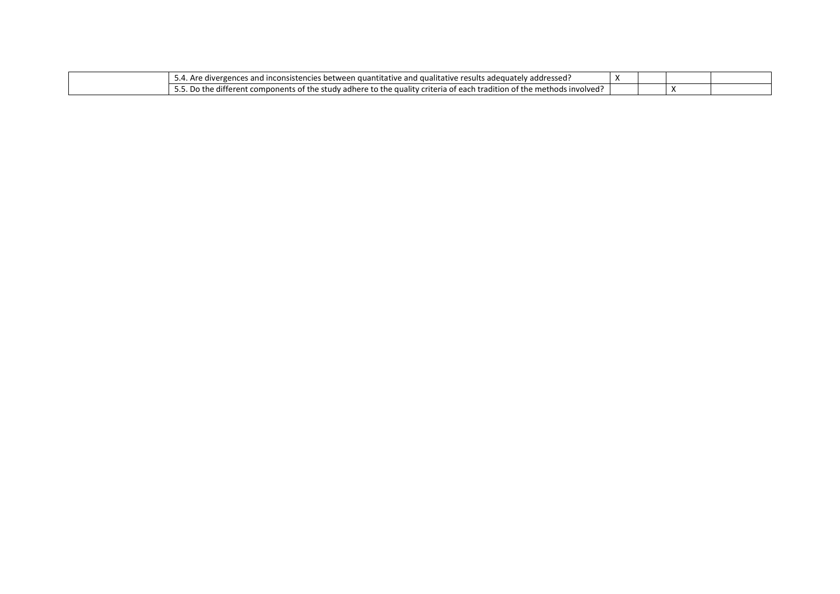| inconsistencies<br><sup>+</sup> ressed:<br>results<br><sup>.</sup> adequate<br>.<br>. auə<br>and<br>tes and<br>dive<br>Are<br>quantitativi<br>ildlive<br>$\overline{\phantom{a}}$ |  |  |
|-----------------------------------------------------------------------------------------------------------------------------------------------------------------------------------|--|--|
| $\cdots$<br>different !<br>involved<br>methods<br>adition c<br>. study adhere.<br>criteri<br>quality<br>components<br>the<br>0T.<br>r the<br>the<br>DO.<br>eac. '<br>vı<br>---    |  |  |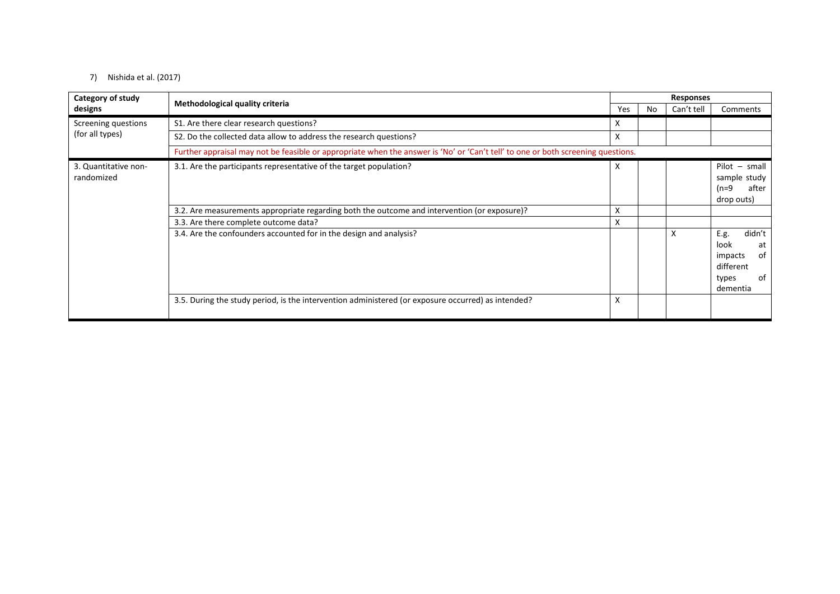### 7) Nishida et al. (2017)

| Category of study                  | Methodological quality criteria                                                                                                  |     | <b>Responses</b> |            |                                                                                       |
|------------------------------------|----------------------------------------------------------------------------------------------------------------------------------|-----|------------------|------------|---------------------------------------------------------------------------------------|
| designs                            |                                                                                                                                  | Yes | No.              | Can't tell | Comments                                                                              |
| Screening questions                | S1. Are there clear research questions?                                                                                          | X   |                  |            |                                                                                       |
| (for all types)                    | S2. Do the collected data allow to address the research questions?                                                               | X   |                  |            |                                                                                       |
|                                    | Further appraisal may not be feasible or appropriate when the answer is 'No' or 'Can't tell' to one or both screening questions. |     |                  |            |                                                                                       |
| 3. Quantitative non-<br>randomized | 3.1. Are the participants representative of the target population?                                                               | X   |                  |            | $Pilot - small$<br>sample study<br>after<br>$(n=9)$<br>drop outs)                     |
|                                    | 3.2. Are measurements appropriate regarding both the outcome and intervention (or exposure)?                                     | Χ   |                  |            |                                                                                       |
|                                    | 3.3. Are there complete outcome data?                                                                                            | X   |                  |            |                                                                                       |
|                                    | 3.4. Are the confounders accounted for in the design and analysis?                                                               |     |                  | X          | didn't<br>E.g.<br>look<br>at<br>0f<br>impacts<br>different<br>0f<br>types<br>dementia |
|                                    | 3.5. During the study period, is the intervention administered (or exposure occurred) as intended?                               | X   |                  |            |                                                                                       |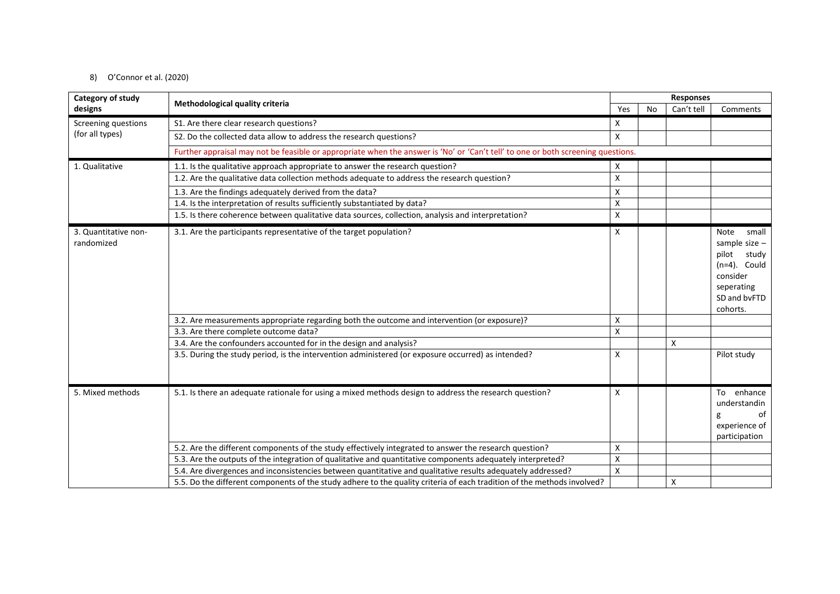### 8) O'Connor et al. (2020)

| Category of study                  |                                                                                                                                  | <b>Responses</b> |           |            |                                                                                                                           |  |
|------------------------------------|----------------------------------------------------------------------------------------------------------------------------------|------------------|-----------|------------|---------------------------------------------------------------------------------------------------------------------------|--|
| designs                            | Methodological quality criteria                                                                                                  | Yes              | <b>No</b> | Can't tell | Comments                                                                                                                  |  |
| Screening questions                | S1. Are there clear research questions?                                                                                          | X                |           |            |                                                                                                                           |  |
| (for all types)                    | S2. Do the collected data allow to address the research questions?                                                               | X                |           |            |                                                                                                                           |  |
|                                    | Further appraisal may not be feasible or appropriate when the answer is 'No' or 'Can't tell' to one or both screening questions. |                  |           |            |                                                                                                                           |  |
| 1. Qualitative                     | 1.1. Is the qualitative approach appropriate to answer the research question?                                                    | X                |           |            |                                                                                                                           |  |
|                                    | 1.2. Are the qualitative data collection methods adequate to address the research question?                                      | X                |           |            |                                                                                                                           |  |
|                                    | 1.3. Are the findings adequately derived from the data?                                                                          | X                |           |            |                                                                                                                           |  |
|                                    | 1.4. Is the interpretation of results sufficiently substantiated by data?                                                        | $\mathsf{x}$     |           |            |                                                                                                                           |  |
|                                    | 1.5. Is there coherence between qualitative data sources, collection, analysis and interpretation?                               | X                |           |            |                                                                                                                           |  |
| 3. Quantitative non-<br>randomized | 3.1. Are the participants representative of the target population?                                                               | X                |           |            | Note<br>small<br>sample size -<br>study<br>pilot<br>$(n=4)$ . Could<br>consider<br>seperating<br>SD and bvFTD<br>cohorts. |  |
|                                    | 3.2. Are measurements appropriate regarding both the outcome and intervention (or exposure)?                                     | X                |           |            |                                                                                                                           |  |
|                                    | 3.3. Are there complete outcome data?                                                                                            | X                |           |            |                                                                                                                           |  |
|                                    | 3.4. Are the confounders accounted for in the design and analysis?                                                               |                  |           | X          |                                                                                                                           |  |
|                                    | 3.5. During the study period, is the intervention administered (or exposure occurred) as intended?                               | X                |           |            | Pilot study                                                                                                               |  |
| 5. Mixed methods                   | 5.1. Is there an adequate rationale for using a mixed methods design to address the research question?                           | X                |           |            | To enhance<br>understandin<br>οf<br>g<br>experience of<br>participation                                                   |  |
|                                    | 5.2. Are the different components of the study effectively integrated to answer the research question?                           | X                |           |            |                                                                                                                           |  |
|                                    | 5.3. Are the outputs of the integration of qualitative and quantitative components adequately interpreted?                       | X                |           |            |                                                                                                                           |  |
|                                    | 5.4. Are divergences and inconsistencies between quantitative and qualitative results adequately addressed?                      | X                |           |            |                                                                                                                           |  |
|                                    | 5.5. Do the different components of the study adhere to the quality criteria of each tradition of the methods involved?          |                  |           | X          |                                                                                                                           |  |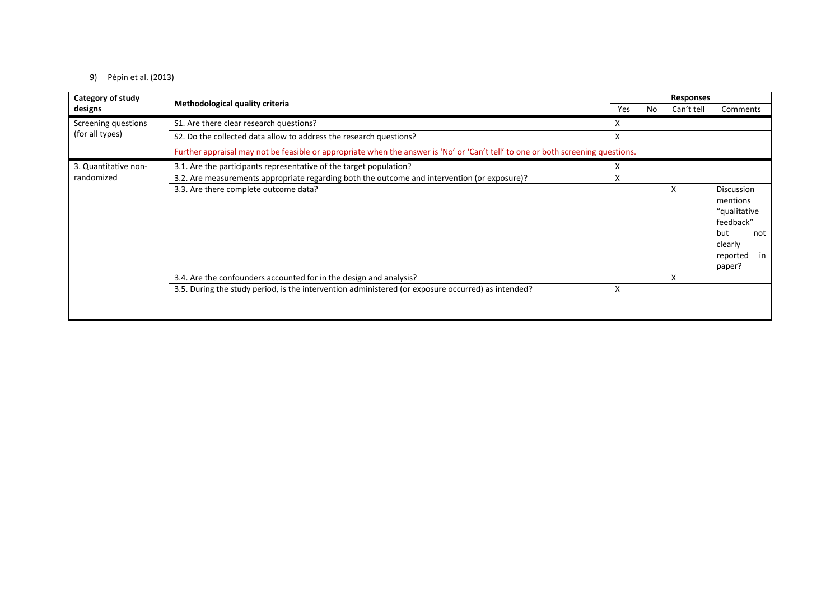### 9) Pépin et al. (2013)

| Category of study<br>designs       | Methodological quality criteria                                                                                                  | <b>Responses</b> |     |            |                                                                                                          |  |
|------------------------------------|----------------------------------------------------------------------------------------------------------------------------------|------------------|-----|------------|----------------------------------------------------------------------------------------------------------|--|
|                                    |                                                                                                                                  | Yes              | No. | Can't tell | Comments                                                                                                 |  |
| Screening questions                | S1. Are there clear research questions?                                                                                          | X                |     |            |                                                                                                          |  |
| (for all types)                    | S2. Do the collected data allow to address the research questions?                                                               | X                |     |            |                                                                                                          |  |
|                                    | Further appraisal may not be feasible or appropriate when the answer is 'No' or 'Can't tell' to one or both screening questions. |                  |     |            |                                                                                                          |  |
| 3. Quantitative non-<br>randomized | 3.1. Are the participants representative of the target population?                                                               | X                |     |            |                                                                                                          |  |
|                                    | 3.2. Are measurements appropriate regarding both the outcome and intervention (or exposure)?                                     | X                |     |            |                                                                                                          |  |
|                                    | 3.3. Are there complete outcome data?                                                                                            |                  |     | X          | Discussion<br>mentions<br>"qualitative<br>feedback"<br>but<br>not<br>clearly<br>reported<br>in<br>paper? |  |
|                                    | 3.4. Are the confounders accounted for in the design and analysis?                                                               |                  |     | X          |                                                                                                          |  |
|                                    | 3.5. During the study period, is the intervention administered (or exposure occurred) as intended?                               | X                |     |            |                                                                                                          |  |